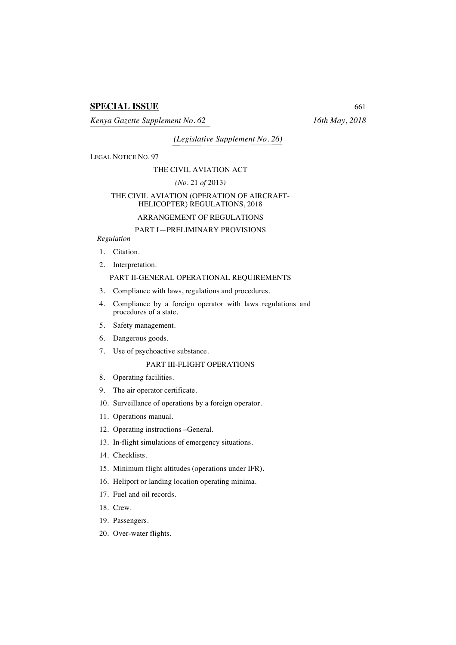# **SPECIAL ISSUE** 661

*Kenya Gazette Supplement No. 62 16th May, 2018*

*(Legislative Supplement No. 26)*

LEGAL NOTICE NO. 97

#### THE CIVIL AVIATION ACT

### *(No.* 21 *of* 2013*)*

### THE CIVIL AVIATION (OPERATION OF AIRCRAFT-HELICOPTER) REGULATIONS, 2018

### ARRANGEMENT OF REGULATIONS

## PART I—PRELIMINARY PROVISIONS

### *Regulation*

- 1. Citation.
- 2. Interpretation.

### PART II-GENERAL OPERATIONAL REQUIREMENTS

- 3. Compliance with laws, regulations and procedures.
- 4. Compliance by a foreign operator with laws regulations and procedures of a state.
- 5. Safety management.
- 6. Dangerous goods.
- 7. Use of psychoactive substance.

### PART III-FLIGHT OPERATIONS

- 8. Operating facilities.
- 9. The air operator certificate.
- 10. Surveillance of operations by a foreign operator.
- 11. Operations manual.
- 12. Operating instructions –General.
- 13. In-flight simulations of emergency situations.
- 14. Checklists.
- 15. Minimum flight altitudes (operations under IFR).
- 16. Heliport or landing location operating minima.
- 17. Fuel and oil records.
- 18. Crew.
- 19. Passengers.
- 20. Over-water flights.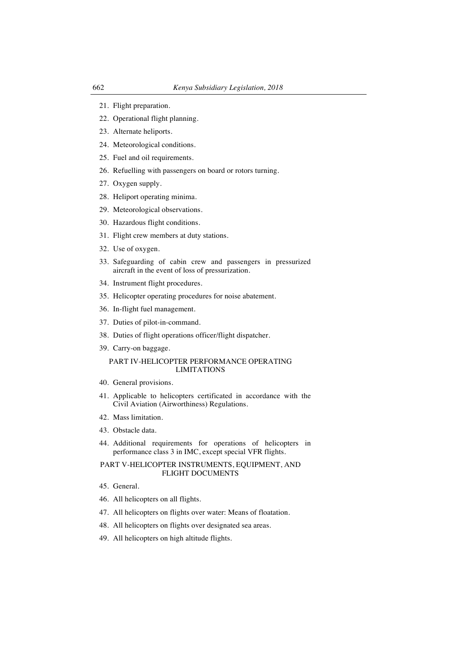- 21. Flight preparation.
- 22. Operational flight planning.
- 23. Alternate heliports.
- 24. Meteorological conditions.
- 25. Fuel and oil requirements.
- 26. Refuelling with passengers on board or rotors turning.
- 27. Oxygen supply.
- 28. Heliport operating minima.
- 29. Meteorological observations.
- 30. Hazardous flight conditions.
- 31. Flight crew members at duty stations.
- 32. Use of oxygen.
- 33. Safeguarding of cabin crew and passengers in pressurized aircraft in the event of loss of pressurization.
- 34. Instrument flight procedures.
- 35. Helicopter operating procedures for noise abatement.
- 36. In-flight fuel management.
- 37. Duties of pilot-in-command.
- 38. Duties of flight operations officer/flight dispatcher.
- 39. Carry-on baggage.

### PART IV-HELICOPTER PERFORMANCE OPERATING LIMITATIONS

- 40. General provisions.
- 41. Applicable to helicopters certificated in accordance with the Civil Aviation (Airworthiness) Regulations.
- 42. Mass limitation.
- 43. Obstacle data.
- 44. Additional requirements for operations of helicopters in performance class 3 in IMC, except special VFR flights.

### PART V-HELICOPTER INSTRUMENTS, EQUIPMENT, AND FLIGHT DOCUMENTS

- 45. General.
- 46. All helicopters on all flights.
- 47. All helicopters on flights over water: Means of floatation.
- 48. All helicopters on flights over designated sea areas.
- 49. All helicopters on high altitude flights.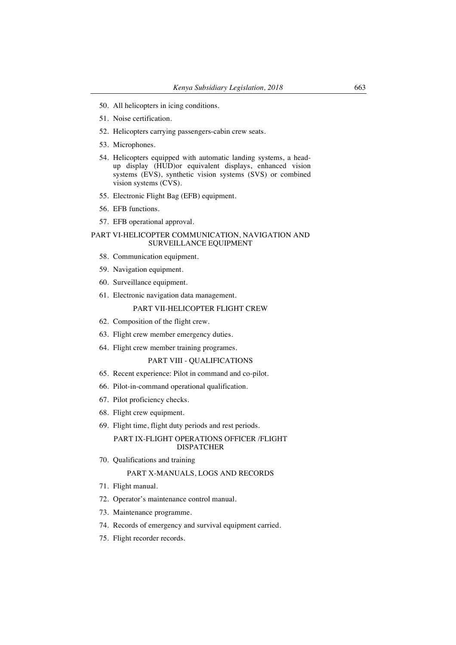- 50. All helicopters in icing conditions.
- 51. Noise certification.
- 52. Helicopters carrying passengers-cabin crew seats.
- 53. Microphones.
- 54. Helicopters equipped with automatic landing systems, a headup display (HUD)or equivalent displays, enhanced vision systems (EVS), synthetic vision systems (SVS) or combined vision systems (CVS).
- 55. Electronic Flight Bag (EFB) equipment.
- 56. EFB functions.
- 57. EFB operational approval.

### PART VI-HELICOPTER COMMUNICATION, NAVIGATION AND SURVEILLANCE EQUIPMENT

- 58. Communication equipment.
- 59. Navigation equipment.
- 60. Surveillance equipment.
- 61. Electronic navigation data management.

### PART VII-HELICOPTER FLIGHT CREW

- 62. Composition of the flight crew.
- 63. Flight crew member emergency duties.
- 64. Flight crew member training programes.

#### PART VIII - QUALIFICATIONS

- 65. Recent experience: Pilot in command and co-pilot.
- 66. Pilot-in-command operational qualification.
- 67. Pilot proficiency checks.
- 68. Flight crew equipment.
- 69. Flight time, flight duty periods and rest periods.

## PART IX-FLIGHT OPERATIONS OFFICER /FLIGHT DISPATCHER

70. Qualifications and training

### PART X-MANUALS, LOGS AND RECORDS

- 71. Flight manual.
- 72. Operator's maintenance control manual.
- 73. Maintenance programme.
- 74. Records of emergency and survival equipment carried.
- 75. Flight recorder records.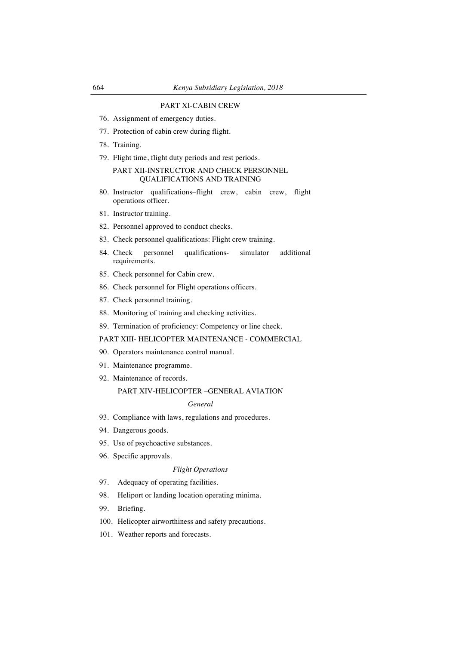### PART XI-CABIN CREW

- 76. Assignment of emergency duties.
- 77. Protection of cabin crew during flight.
- 78. Training.
- 79. Flight time, flight duty periods and rest periods.

### PART XII-INSTRUCTOR AND CHECK PERSONNEL QUALIFICATIONS AND TRAINING

- 80. Instructor qualifications–flight crew, cabin crew, flight operations officer.
- 81. Instructor training.
- 82. Personnel approved to conduct checks.
- 83. Check personnel qualifications: Flight crew training.
- 84. Check personnel qualifications- simulator additional requirements.
- 85. Check personnel for Cabin crew.
- 86. Check personnel for Flight operations officers.
- 87. Check personnel training.
- 88. Monitoring of training and checking activities.
- 89. Termination of proficiency: Competency or line check.

### PART XIII- HELICOPTER MAINTENANCE - COMMERCIAL

- 90. Operators maintenance control manual.
- 91. Maintenance programme.
- 92. Maintenance of records.

### PART XIV-HELICOPTER –GENERAL AVIATION

#### *General*

- 93. Compliance with laws, regulations and procedures.
- 94. Dangerous goods.
- 95. Use of psychoactive substances.
- 96. Specific approvals.

### *Flight Operations*

- 97. Adequacy of operating facilities.
- 98. Heliport or landing location operating minima.
- 99. Briefing.
- 100. Helicopter airworthiness and safety precautions.
- 101. Weather reports and forecasts.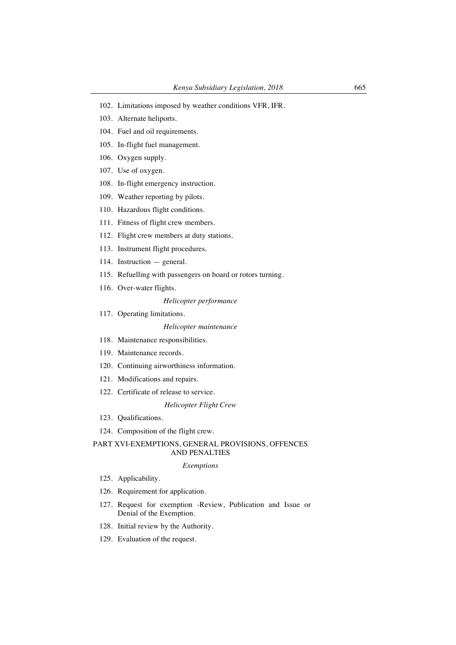- 102. Limitations imposed by weather conditions VFR, IFR.
- 103. Alternate heliports.
- 104. Fuel and oil requirements.
- 105. In-flight fuel management.
- 106. Oxygen supply.
- 107. Use of oxygen.
- 108. In-flight emergency instruction.
- 109. Weather reporting by pilots.
- 110. Hazardous flight conditions.
- 111. Fitness of flight crew members.
- 112. Flight crew members at duty stations.
- 113. Instrument flight procedures.
- 114. Instruction general.
- 115. Refuelling with passengers on board or rotors turning.
- 116. Over-water flights.

#### *Helicopter performance*

117. Operating limitations.

#### *Helicopter maintenance*

- 118. Maintenance responsibilities.
- 119. Maintenance records.
- 120. Continuing airworthiness information.
- 121. Modifications and repairs.
- 122. Certificate of release to service.

### *Helicopter Flight Crew*

- 123. Qualifications.
- 124. Composition of the flight crew.

### PART XVI-EXEMPTIONS, GENERAL PROVISIONS, OFFENCES AND PENALTIES

#### *Exemptions*

- 125. Applicability.
- 126. Requirement for application.
- 127. Request for exemption -Review, Publication and Issue or Denial of the Exemption.
- 128. Initial review by the Authority.
- 129. Evaluation of the request.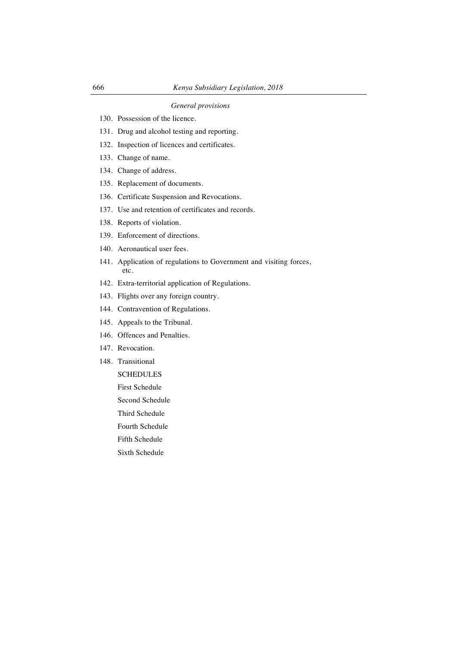## *General provisions*

- 130. Possession of the licence.
- 131. Drug and alcohol testing and reporting.
- 132. Inspection of licences and certificates.
- 133. Change of name.
- 134. Change of address.
- 135. Replacement of documents.
- 136. Certificate Suspension and Revocations.
- 137. Use and retention of certificates and records.
- 138. Reports of violation.
- 139. Enforcement of directions.
- 140. Aeronautical user fees.
- 141. Application of regulations to Government and visiting forces, etc.
- 142. Extra-territorial application of Regulations.
- 143. Flights over any foreign country.
- 144. Contravention of Regulations.
- 145. Appeals to the Tribunal.
- 146. Offences and Penalties.
- 147. Revocation.
- 148. Transitional
	- **SCHEDULES**
	- First Schedule
	- Second Schedule
	- Third Schedule
	- Fourth Schedule
	- Fifth Schedule
	- Sixth Schedule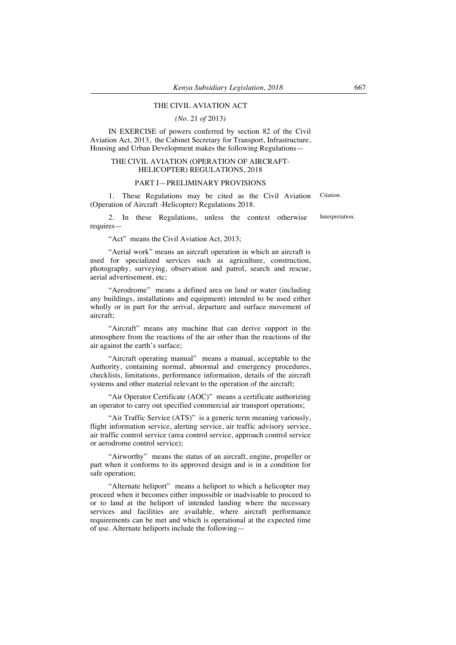#### THE CIVIL AVIATION ACT

*(No.* 21 *of* 2013*)*

IN EXERCISE of powers conferred by section 82 of the Civil Aviation Act, 2013, the Cabinet Secretary for Transport, Infrastructure, Housing and Urban Development makes the following Regulations—

#### THE CIVIL AVIATION (OPERATION OF AIRCRAFT-HELICOPTER) REGULATIONS, 2018

### PART I—PRELIMINARY PROVISIONS

1. These Regulations may be cited as the Civil Aviation (Operation of Aircraft -Helicopter) Regulations 2018. Citation.

2. In these Regulations, unless the context otherwise requires— Interpretation.

"Act" means the Civil Aviation Act, 2013;

"Aerial work" means an aircraft operation in which an aircraft is used for specialized services such as agriculture, construction, photography, surveying, observation and patrol, search and rescue, aerial advertisement, etc;

"Aerodrome" means a defined area on land or water (including any buildings, installations and equipment) intended to be used either wholly or in part for the arrival, departure and surface movement of aircraft;

"Aircraft" means any machine that can derive support in the atmosphere from the reactions of the air other than the reactions of the air against the earth's surface;

"Aircraft operating manual" means a manual, acceptable to the Authority, containing normal, abnormal and emergency procedures, checklists, limitations, performance information, details of the aircraft systems and other material relevant to the operation of the aircraft;

"Air Operator Certificate (AOC)" means a certificate authorizing an operator to carry out specified commercial air transport operations;

"Air Traffic Service (ATS)" is a generic term meaning variously, flight information service, alerting service, air traffic advisory service, air traffic control service (area control service, approach control service or aerodrome control service);

"Airworthy" means the status of an aircraft, engine, propeller or part when it conforms to its approved design and is in a condition for safe operation;

"Alternate heliport" means a heliport to which a helicopter may proceed when it becomes either impossible or inadvisable to proceed to or to land at the heliport of intended landing where the necessary services and facilities are available, where aircraft performance requirements can be met and which is operational at the expected time of use. Alternate heliports include the following—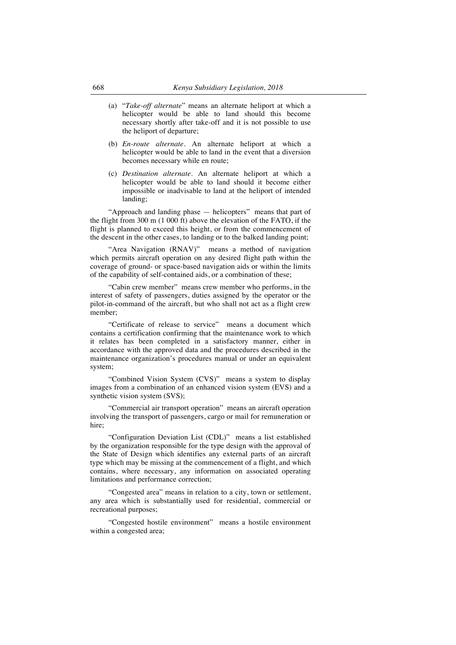- (a) "*Take-off alternate*" means an alternate heliport at which a helicopter would be able to land should this become necessary shortly after take-off and it is not possible to use the heliport of departure;
- (b) *En-route alternate.* An alternate heliport at which a helicopter would be able to land in the event that a diversion becomes necessary while en route;
- (c) *Destination alternate.* An alternate heliport at which a helicopter would be able to land should it become either impossible or inadvisable to land at the heliport of intended landing;

"Approach and landing phase — helicopters" means that part of the flight from 300 m (1 000 ft) above the elevation of the FATO, if the flight is planned to exceed this height, or from the commencement of the descent in the other cases, to landing or to the balked landing point;

"Area Navigation (RNAV)" means a method of navigation which permits aircraft operation on any desired flight path within the coverage of ground- or space-based navigation aids or within the limits of the capability of self-contained aids, or a combination of these;

"Cabin crew member" means crew member who performs, in the interest of safety of passengers, duties assigned by the operator or the pilot-in-command of the aircraft, but who shall not act as a flight crew member;

"Certificate of release to service" means a document which contains a certification confirming that the maintenance work to which it relates has been completed in a satisfactory manner, either in accordance with the approved data and the procedures described in the maintenance organization's procedures manual or under an equivalent system;

"Combined Vision System (CVS)" means a system to display images from a combination of an enhanced vision system (EVS) and a synthetic vision system (SVS);

"Commercial air transport operation" means an aircraft operation involving the transport of passengers, cargo or mail for remuneration or hire<sup>.</sup>

"Configuration Deviation List (CDL)" means a list established by the organization responsible for the type design with the approval of the State of Design which identifies any external parts of an aircraft type which may be missing at the commencement of a flight, and which contains, where necessary, any information on associated operating limitations and performance correction;

"Congested area" means in relation to a city, town or settlement, any area which is substantially used for residential, commercial or recreational purposes;

"Congested hostile environment" means a hostile environment within a congested area;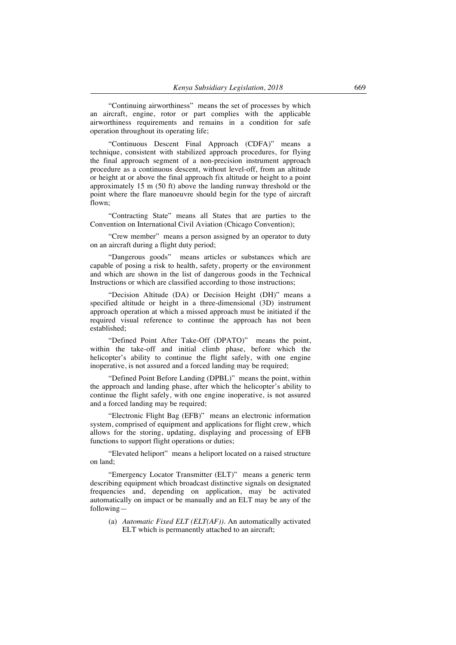"Continuing airworthiness" means the set of processes by which an aircraft, engine, rotor or part complies with the applicable airworthiness requirements and remains in a condition for safe operation throughout its operating life;

"Continuous Descent Final Approach (CDFA)" means a technique, consistent with stabilized approach procedures, for flying the final approach segment of a non-precision instrument approach procedure as a continuous descent, without level-off, from an altitude or height at or above the final approach fix altitude or height to a point approximately 15 m (50 ft) above the landing runway threshold or the point where the flare manoeuvre should begin for the type of aircraft flown;

"Contracting State" means all States that are parties to the Convention on International Civil Aviation (Chicago Convention);

"Crew member" means a person assigned by an operator to duty on an aircraft during a flight duty period;

"Dangerous goods" means articles or substances which are capable of posing a risk to health, safety, property or the environment and which are shown in the list of dangerous goods in the Technical Instructions or which are classified according to those instructions;

"Decision Altitude (DA) or Decision Height (DH)" means a specified altitude or height in a three-dimensional (3D) instrument approach operation at which a missed approach must be initiated if the required visual reference to continue the approach has not been established;

"Defined Point After Take-Off (DPATO)" means the point, within the take-off and initial climb phase, before which the helicopter's ability to continue the flight safely, with one engine inoperative, is not assured and a forced landing may be required;

"Defined Point Before Landing (DPBL)" means the point, within the approach and landing phase, after which the helicopter's ability to continue the flight safely, with one engine inoperative, is not assured and a forced landing may be required;

"Electronic Flight Bag (EFB)" means an electronic information system, comprised of equipment and applications for flight crew, which allows for the storing, updating, displaying and processing of EFB functions to support flight operations or duties;

"Elevated heliport" means a heliport located on a raised structure on land;

"Emergency Locator Transmitter (ELT)" means a generic term describing equipment which broadcast distinctive signals on designated frequencies and, depending on application, may be activated automatically on impact or be manually and an ELT may be any of the following—

(a) *Automatic Fixed ELT (ELT(AF)).* An automatically activated ELT which is permanently attached to an aircraft;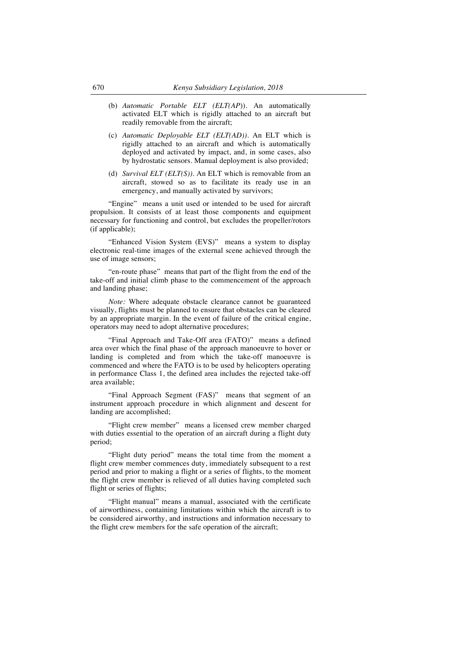- (b) *Automatic Portable ELT (ELT(AP*)). An automatically activated ELT which is rigidly attached to an aircraft but readily removable from the aircraft;
- (c) *Automatic Deployable ELT (ELT(AD)).* An ELT which is rigidly attached to an aircraft and which is automatically deployed and activated by impact, and, in some cases, also by hydrostatic sensors. Manual deployment is also provided;
- (d) *Survival ELT (ELT(S)).* An ELT which is removable from an aircraft, stowed so as to facilitate its ready use in an emergency, and manually activated by survivors;

"Engine" means a unit used or intended to be used for aircraft propulsion. It consists of at least those components and equipment necessary for functioning and control, but excludes the propeller/rotors (if applicable);

"Enhanced Vision System (EVS)" means a system to display electronic real-time images of the external scene achieved through the use of image sensors;

"en-route phase" means that part of the flight from the end of the take-off and initial climb phase to the commencement of the approach and landing phase;

*Note:* Where adequate obstacle clearance cannot be guaranteed visually, flights must be planned to ensure that obstacles can be cleared by an appropriate margin. In the event of failure of the critical engine, operators may need to adopt alternative procedures;

"Final Approach and Take-Off area (FATO)" means a defined area over which the final phase of the approach manoeuvre to hover or landing is completed and from which the take-off manoeuvre is commenced and where the FATO is to be used by helicopters operating in performance Class 1, the defined area includes the rejected take-off area available;

"Final Approach Segment (FAS)" means that segment of an instrument approach procedure in which alignment and descent for landing are accomplished;

"Flight crew member" means a licensed crew member charged with duties essential to the operation of an aircraft during a flight duty period;

"Flight duty period" means the total time from the moment a flight crew member commences duty, immediately subsequent to a rest period and prior to making a flight or a series of flights, to the moment the flight crew member is relieved of all duties having completed such flight or series of flights;

"Flight manual" means a manual, associated with the certificate of airworthiness, containing limitations within which the aircraft is to be considered airworthy, and instructions and information necessary to the flight crew members for the safe operation of the aircraft;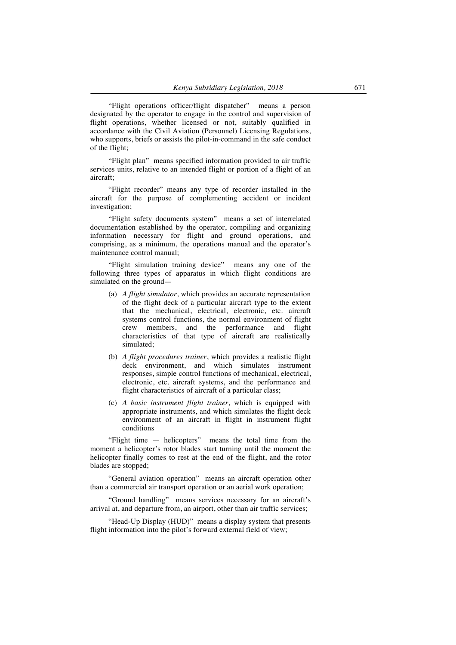"Flight operations officer/flight dispatcher" means a person designated by the operator to engage in the control and supervision of flight operations, whether licensed or not, suitably qualified in accordance with the Civil Aviation (Personnel) Licensing Regulations, who supports, briefs or assists the pilot-in-command in the safe conduct of the flight;

"Flight plan" means specified information provided to air traffic services units, relative to an intended flight or portion of a flight of an aircraft;

"Flight recorder" means any type of recorder installed in the aircraft for the purpose of complementing accident or incident investigation;

"Flight safety documents system" means a set of interrelated documentation established by the operator, compiling and organizing information necessary for flight and ground operations, and comprising, as a minimum, the operations manual and the operator's maintenance control manual;

"Flight simulation training device" means any one of the following three types of apparatus in which flight conditions are simulated on the ground—

- (a) *A flight simulator*, which provides an accurate representation of the flight deck of a particular aircraft type to the extent that the mechanical, electrical, electronic, etc. aircraft systems control functions, the normal environment of flight crew members, and the performance and flight characteristics of that type of aircraft are realistically simulated;
- (b) *A flight procedures trainer*, which provides a realistic flight deck environment, and which simulates instrument responses, simple control functions of mechanical, electrical, electronic, etc. aircraft systems, and the performance and flight characteristics of aircraft of a particular class;
- (c) *A basic instrument flight trainer,* which is equipped with appropriate instruments, and which simulates the flight deck environment of an aircraft in flight in instrument flight conditions

"Flight time — helicopters" means the total time from the moment a helicopter's rotor blades start turning until the moment the helicopter finally comes to rest at the end of the flight, and the rotor blades are stopped;

"General aviation operation" means an aircraft operation other than a commercial air transport operation or an aerial work operation;

"Ground handling" means services necessary for an aircraft's arrival at, and departure from, an airport, other than air traffic services;

"Head-Up Display (HUD)" means a display system that presents flight information into the pilot's forward external field of view;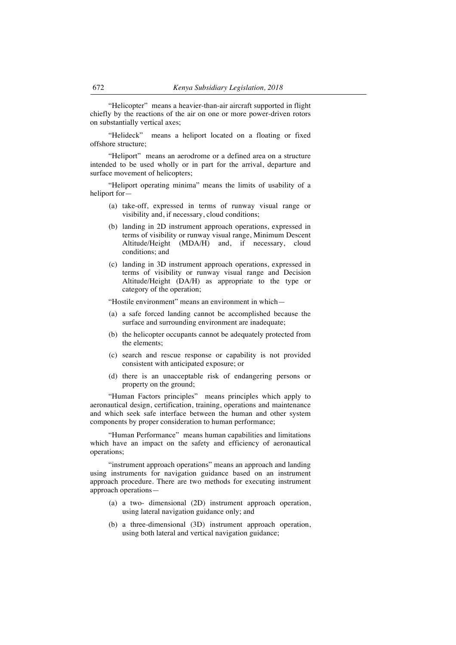"Helicopter" means a heavier-than-air aircraft supported in flight chiefly by the reactions of the air on one or more power-driven rotors on substantially vertical axes;

"Helideck" means a heliport located on a floating or fixed offshore structure;

"Heliport" means an aerodrome or a defined area on a structure intended to be used wholly or in part for the arrival, departure and surface movement of helicopters:

"Heliport operating minima" means the limits of usability of a heliport for—

- (a) take-off, expressed in terms of runway visual range or visibility and, if necessary, cloud conditions;
- (b) landing in 2D instrument approach operations, expressed in terms of visibility or runway visual range, Minimum Descent Altitude/Height (MDA/H) and, if necessary, cloud conditions; and
- (c) landing in 3D instrument approach operations, expressed in terms of visibility or runway visual range and Decision Altitude/Height (DA/H) as appropriate to the type or category of the operation;

"Hostile environment" means an environment in which—

- (a) a safe forced landing cannot be accomplished because the surface and surrounding environment are inadequate;
- (b) the helicopter occupants cannot be adequately protected from the elements;
- (c) search and rescue response or capability is not provided consistent with anticipated exposure; or
- (d) there is an unacceptable risk of endangering persons or property on the ground;

"Human Factors principles" means principles which apply to aeronautical design, certification, training, operations and maintenance and which seek safe interface between the human and other system components by proper consideration to human performance;

"Human Performance" means human capabilities and limitations which have an impact on the safety and efficiency of aeronautical operations;

"instrument approach operations" means an approach and landing using instruments for navigation guidance based on an instrument approach procedure. There are two methods for executing instrument approach operations—

- (a) a two- dimensional (2D) instrument approach operation, using lateral navigation guidance only; and
- (b) a three-dimensional (3D) instrument approach operation, using both lateral and vertical navigation guidance;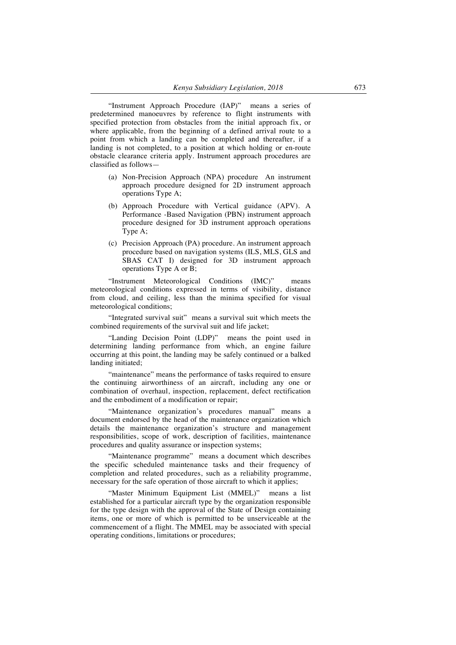"Instrument Approach Procedure (IAP)" means a series of predetermined manoeuvres by reference to flight instruments with specified protection from obstacles from the initial approach fix, or where applicable, from the beginning of a defined arrival route to a point from which a landing can be completed and thereafter, if a landing is not completed, to a position at which holding or en-route obstacle clearance criteria apply. Instrument approach procedures are classified as follows—

- (a) Non-Precision Approach (NPA) procedure An instrument approach procedure designed for 2D instrument approach operations Type A;
- (b) Approach Procedure with Vertical guidance (APV). A Performance -Based Navigation (PBN) instrument approach procedure designed for 3D instrument approach operations Type A;
- (c) Precision Approach (PA) procedure. An instrument approach procedure based on navigation systems (ILS, MLS, GLS and SBAS CAT I) designed for 3D instrument approach operations Type A or B;

"Instrument Meteorological Conditions (IMC)" means meteorological conditions expressed in terms of visibility, distance from cloud, and ceiling, less than the minima specified for visual meteorological conditions;

"Integrated survival suit" means a survival suit which meets the combined requirements of the survival suit and life jacket;

"Landing Decision Point (LDP)" means the point used in determining landing performance from which, an engine failure occurring at this point, the landing may be safely continued or a balked landing initiated;

"maintenance" means the performance of tasks required to ensure the continuing airworthiness of an aircraft, including any one or combination of overhaul, inspection, replacement, defect rectification and the embodiment of a modification or repair;

"Maintenance organization's procedures manual" means a document endorsed by the head of the maintenance organization which details the maintenance organization's structure and management responsibilities, scope of work, description of facilities, maintenance procedures and quality assurance or inspection systems;

"Maintenance programme" means a document which describes the specific scheduled maintenance tasks and their frequency of completion and related procedures, such as a reliability programme, necessary for the safe operation of those aircraft to which it applies;

"Master Minimum Equipment List (MMEL)" means a list established for a particular aircraft type by the organization responsible for the type design with the approval of the State of Design containing items, one or more of which is permitted to be unserviceable at the commencement of a flight. The MMEL may be associated with special operating conditions, limitations or procedures;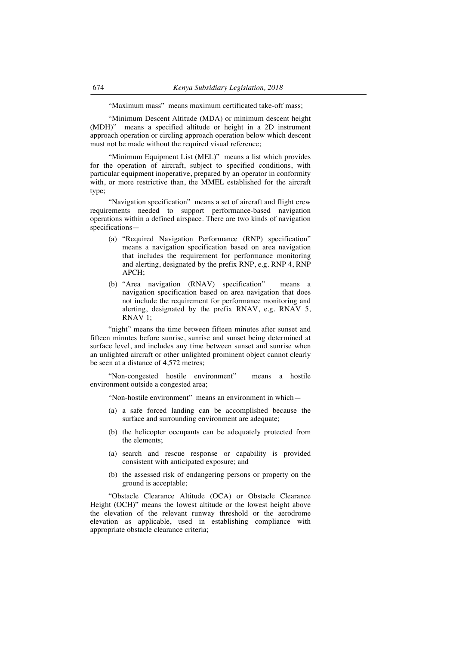"Maximum mass" means maximum certificated take-off mass;

"Minimum Descent Altitude (MDA) or minimum descent height (MDH)" means a specified altitude or height in a 2D instrument approach operation or circling approach operation below which descent must not be made without the required visual reference;

"Minimum Equipment List (MEL)" means a list which provides for the operation of aircraft, subject to specified conditions, with particular equipment inoperative, prepared by an operator in conformity with, or more restrictive than, the MMEL established for the aircraft type;

"Navigation specification" means a set of aircraft and flight crew requirements needed to support performance-based navigation operations within a defined airspace. There are two kinds of navigation specifications—

- (a) "Required Navigation Performance (RNP) specification" means a navigation specification based on area navigation that includes the requirement for performance monitoring and alerting, designated by the prefix RNP, e.g. RNP 4, RNP APCH;
- (b) "Area navigation (RNAV) specification" means a navigation specification based on area navigation that does not include the requirement for performance monitoring and alerting, designated by the prefix RNAV, e.g. RNAV 5, RNAV 1;

"night" means the time between fifteen minutes after sunset and fifteen minutes before sunrise, sunrise and sunset being determined at surface level, and includes any time between sunset and sunrise when an unlighted aircraft or other unlighted prominent object cannot clearly be seen at a distance of 4,572 metres;

"Non-congested hostile environment" means a hostile environment outside a congested area;

"Non-hostile environment" means an environment in which—

- (a) a safe forced landing can be accomplished because the surface and surrounding environment are adequate;
- (b) the helicopter occupants can be adequately protected from the elements;
- (a) search and rescue response or capability is provided consistent with anticipated exposure; and
- (b) the assessed risk of endangering persons or property on the ground is acceptable;

"Obstacle Clearance Altitude (OCA) or Obstacle Clearance Height (OCH)" means the lowest altitude or the lowest height above the elevation of the relevant runway threshold or the aerodrome elevation as applicable, used in establishing compliance with appropriate obstacle clearance criteria;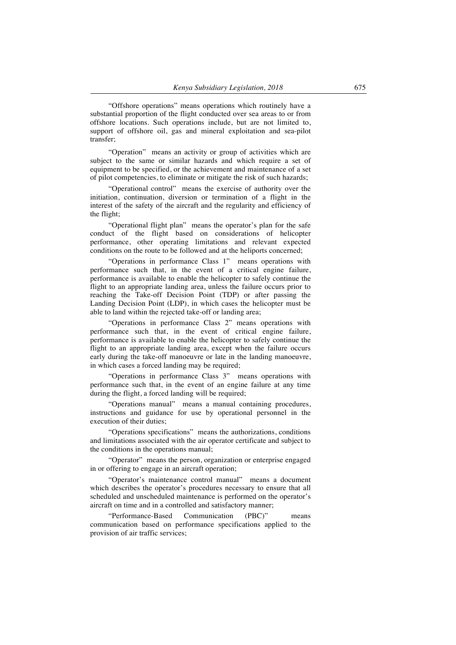"Offshore operations" means operations which routinely have a substantial proportion of the flight conducted over sea areas to or from offshore locations. Such operations include, but are not limited to, support of offshore oil, gas and mineral exploitation and sea-pilot transfer;

"Operation" means an activity or group of activities which are subject to the same or similar hazards and which require a set of equipment to be specified, or the achievement and maintenance of a set of pilot competencies, to eliminate or mitigate the risk of such hazards;

"Operational control" means the exercise of authority over the initiation, continuation, diversion or termination of a flight in the interest of the safety of the aircraft and the regularity and efficiency of the flight;

"Operational flight plan" means the operator's plan for the safe conduct of the flight based on considerations of helicopter performance, other operating limitations and relevant expected conditions on the route to be followed and at the heliports concerned;

"Operations in performance Class 1" means operations with performance such that, in the event of a critical engine failure, performance is available to enable the helicopter to safely continue the flight to an appropriate landing area, unless the failure occurs prior to reaching the Take-off Decision Point (TDP) or after passing the Landing Decision Point (LDP), in which cases the helicopter must be able to land within the rejected take-off or landing area;

"Operations in performance Class 2" means operations with performance such that, in the event of critical engine failure, performance is available to enable the helicopter to safely continue the flight to an appropriate landing area, except when the failure occurs early during the take-off manoeuvre or late in the landing manoeuvre, in which cases a forced landing may be required;

"Operations in performance Class 3" means operations with performance such that, in the event of an engine failure at any time during the flight, a forced landing will be required;

"Operations manual" means a manual containing procedures, instructions and guidance for use by operational personnel in the execution of their duties;

"Operations specifications" means the authorizations, conditions and limitations associated with the air operator certificate and subject to the conditions in the operations manual;

"Operator" means the person, organization or enterprise engaged in or offering to engage in an aircraft operation;

"Operator's maintenance control manual" means a document which describes the operator's procedures necessary to ensure that all scheduled and unscheduled maintenance is performed on the operator's aircraft on time and in a controlled and satisfactory manner;

"Performance-Based Communication (PBC)" means communication based on performance specifications applied to the provision of air traffic services;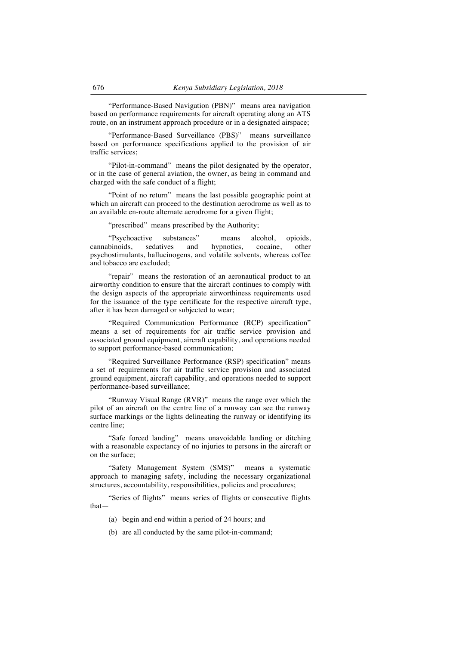"Performance-Based Navigation (PBN)" means area navigation based on performance requirements for aircraft operating along an ATS route, on an instrument approach procedure or in a designated airspace;

"Performance-Based Surveillance (PBS)" means surveillance based on performance specifications applied to the provision of air traffic services;

"Pilot-in-command" means the pilot designated by the operator, or in the case of general aviation, the owner, as being in command and charged with the safe conduct of a flight;

"Point of no return" means the last possible geographic point at which an aircraft can proceed to the destination aerodrome as well as to an available en-route alternate aerodrome for a given flight;

"prescribed" means prescribed by the Authority;

"Psychoactive substances" means alcohol, opioids, cannabinoids, sedatives and hypnotics, cocaine, other psychostimulants, hallucinogens, and volatile solvents, whereas coffee and tobacco are excluded;

"repair" means the restoration of an aeronautical product to an airworthy condition to ensure that the aircraft continues to comply with the design aspects of the appropriate airworthiness requirements used for the issuance of the type certificate for the respective aircraft type, after it has been damaged or subjected to wear;

"Required Communication Performance (RCP) specification" means a set of requirements for air traffic service provision and associated ground equipment, aircraft capability, and operations needed to support performance-based communication;

"Required Surveillance Performance (RSP) specification" means a set of requirements for air traffic service provision and associated ground equipment, aircraft capability, and operations needed to support performance-based surveillance;

"Runway Visual Range (RVR)" means the range over which the pilot of an aircraft on the centre line of a runway can see the runway surface markings or the lights delineating the runway or identifying its centre line;

"Safe forced landing" means unavoidable landing or ditching with a reasonable expectancy of no injuries to persons in the aircraft or on the surface;

"Safety Management System (SMS)" means a systematic approach to managing safety, including the necessary organizational structures, accountability, responsibilities, policies and procedures;

"Series of flights" means series of flights or consecutive flights that—

- (a) begin and end within a period of 24 hours; and
- (b) are all conducted by the same pilot-in-command;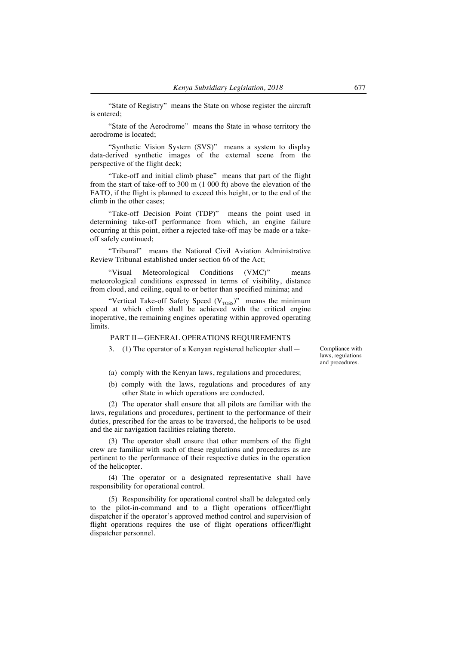"State of Registry" means the State on whose register the aircraft is entered;

"State of the Aerodrome" means the State in whose territory the aerodrome is located;

"Synthetic Vision System (SVS)" means a system to display data-derived synthetic images of the external scene from the perspective of the flight deck;

"Take-off and initial climb phase" means that part of the flight from the start of take-off to 300 m (1 000 ft) above the elevation of the FATO, if the flight is planned to exceed this height, or to the end of the climb in the other cases;

"Take-off Decision Point (TDP)" means the point used in determining take-off performance from which, an engine failure occurring at this point, either a rejected take-off may be made or a takeoff safely continued;

"Tribunal" means the National Civil Aviation Administrative Review Tribunal established under section 66 of the Act;

"Visual Meteorological Conditions (VMC)" means meteorological conditions expressed in terms of visibility, distance from cloud, and ceiling, equal to or better than specified minima; and

"Vertical Take-off Safety Speed  $(V<sub>TOS</sub>)$ " means the minimum speed at which climb shall be achieved with the critical engine inoperative, the remaining engines operating within approved operating limits.

#### PART II—GENERAL OPERATIONS REQUIREMENTS

3. (1) The operator of a Kenyan registered helicopter shall— Compliance with

laws, regulations and procedures.

- (a) comply with the Kenyan laws, regulations and procedures;
- (b) comply with the laws, regulations and procedures of any other State in which operations are conducted.

(2) The operator shall ensure that all pilots are familiar with the laws, regulations and procedures, pertinent to the performance of their duties, prescribed for the areas to be traversed, the heliports to be used and the air navigation facilities relating thereto.

(3) The operator shall ensure that other members of the flight crew are familiar with such of these regulations and procedures as are pertinent to the performance of their respective duties in the operation of the helicopter.

(4) The operator or a designated representative shall have responsibility for operational control.

(5) Responsibility for operational control shall be delegated only to the pilot-in-command and to a flight operations officer/flight dispatcher if the operator's approved method control and supervision of flight operations requires the use of flight operations officer/flight dispatcher personnel.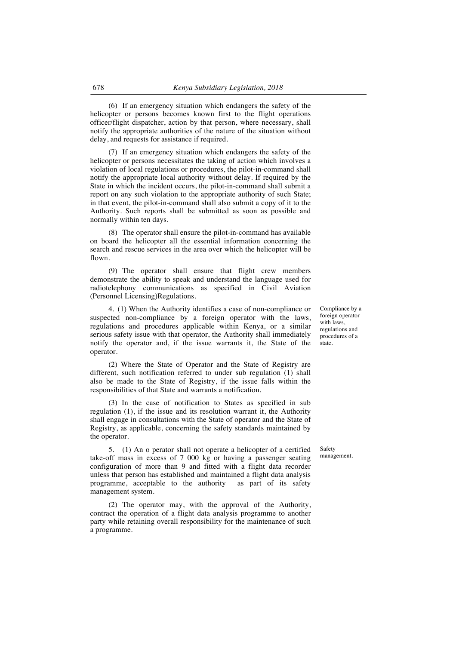(6) If an emergency situation which endangers the safety of the helicopter or persons becomes known first to the flight operations officer/flight dispatcher, action by that person, where necessary, shall notify the appropriate authorities of the nature of the situation without delay, and requests for assistance if required.

(7) If an emergency situation which endangers the safety of the helicopter or persons necessitates the taking of action which involves a violation of local regulations or procedures, the pilot-in-command shall notify the appropriate local authority without delay. If required by the State in which the incident occurs, the pilot-in-command shall submit a report on any such violation to the appropriate authority of such State; in that event, the pilot-in-command shall also submit a copy of it to the Authority. Such reports shall be submitted as soon as possible and normally within ten days.

(8) The operator shall ensure the pilot-in-command has available on board the helicopter all the essential information concerning the search and rescue services in the area over which the helicopter will be flown.

(9) The operator shall ensure that flight crew members demonstrate the ability to speak and understand the language used for radiotelephony communications as specified in Civil Aviation (Personnel Licensing)Regulations.

4. (1) When the Authority identifies a case of non-compliance or suspected non-compliance by a foreign operator with the laws, regulations and procedures applicable within Kenya, or a similar serious safety issue with that operator, the Authority shall immediately notify the operator and, if the issue warrants it, the State of the operator.

(2) Where the State of Operator and the State of Registry are different, such notification referred to under sub regulation (1) shall also be made to the State of Registry, if the issue falls within the responsibilities of that State and warrants a notification.

(3) In the case of notification to States as specified in sub regulation (1), if the issue and its resolution warrant it, the Authority shall engage in consultations with the State of operator and the State of Registry, as applicable, concerning the safety standards maintained by the operator.

5. (1) An o perator shall not operate a helicopter of a certified take-off mass in excess of 7 000 kg or having a passenger seating configuration of more than 9 and fitted with a flight data recorder unless that person has established and maintained a flight data analysis programme, acceptable to the authority management system.

(2) The operator may, with the approval of the Authority, contract the operation of a flight data analysis programme to another party while retaining overall responsibility for the maintenance of such a programme.

Compliance by a foreign operator with laws, regulations and procedures of a state.

Safety management.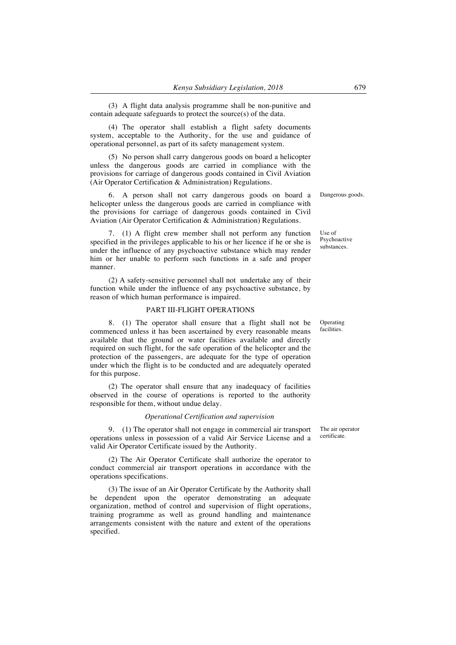(3) A flight data analysis programme shall be non-punitive and contain adequate safeguards to protect the source(s) of the data.

(4) The operator shall establish a flight safety documents system, acceptable to the Authority, for the use and guidance of operational personnel, as part of its safety management system.

(5) No person shall carry dangerous goods on board a helicopter unless the dangerous goods are carried in compliance with the provisions for carriage of dangerous goods contained in Civil Aviation (Air Operator Certification & Administration) Regulations.

6. A person shall not carry dangerous goods on board a helicopter unless the dangerous goods are carried in compliance with the provisions for carriage of dangerous goods contained in Civil Aviation (Air Operator Certification & Administration) Regulations.

7. (1) A flight crew member shall not perform any function specified in the privileges applicable to his or her licence if he or she is under the influence of any psychoactive substance which may render him or her unable to perform such functions in a safe and proper manner.

(2) A safety-sensitive personnel shall not undertake any of their function while under the influence of any psychoactive substance, by reason of which human performance is impaired.

### PART III-FLIGHT OPERATIONS

8. (1) The operator shall ensure that a flight shall not be commenced unless it has been ascertained by every reasonable means available that the ground or water facilities available and directly required on such flight, for the safe operation of the helicopter and the protection of the passengers, are adequate for the type of operation under which the flight is to be conducted and are adequately operated for this purpose.

(2) The operator shall ensure that any inadequacy of facilities observed in the course of operations is reported to the authority responsible for them, without undue delay.

#### *Operational Certification and supervision*

9. (1) The operator shall not engage in commercial air transport operations unless in possession of a valid Air Service License and a valid Air Operator Certificate issued by the Authority.

(2) The Air Operator Certificate shall authorize the operator to conduct commercial air transport operations in accordance with the operations specifications.

(3) The issue of an Air Operator Certificate by the Authority shall be dependent upon the operator demonstrating an adequate organization, method of control and supervision of flight operations, training programme as well as ground handling and maintenance arrangements consistent with the nature and extent of the operations specified.

Dangerous goods.

Use of Psychoactive substances.

Operating facilities.

The air operator certificate.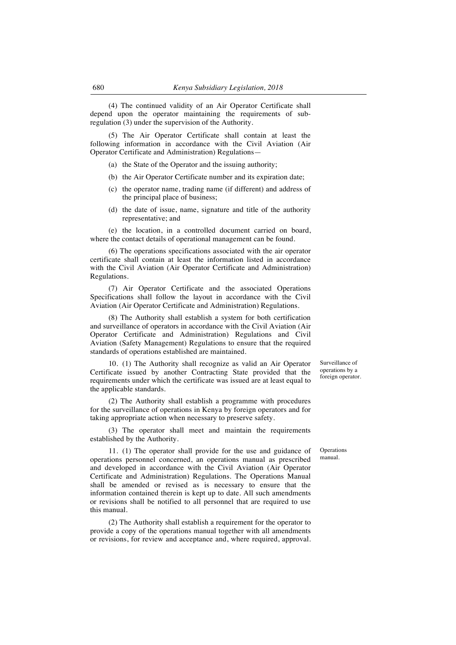(4) The continued validity of an Air Operator Certificate shall depend upon the operator maintaining the requirements of subregulation (3) under the supervision of the Authority.

(5) The Air Operator Certificate shall contain at least the following information in accordance with the Civil Aviation (Air Operator Certificate and Administration) Regulations—

- (a) the State of the Operator and the issuing authority;
- (b) the Air Operator Certificate number and its expiration date;
- (c) the operator name, trading name (if different) and address of the principal place of business;
- (d) the date of issue, name, signature and title of the authority representative; and

(e) the location, in a controlled document carried on board, where the contact details of operational management can be found.

(6) The operations specifications associated with the air operator certificate shall contain at least the information listed in accordance with the Civil Aviation (Air Operator Certificate and Administration) Regulations.

(7) Air Operator Certificate and the associated Operations Specifications shall follow the layout in accordance with the Civil Aviation (Air Operator Certificate and Administration) Regulations.

(8) The Authority shall establish a system for both certification and surveillance of operators in accordance with the Civil Aviation (Air Operator Certificate and Administration) Regulations and Civil Aviation (Safety Management) Regulations to ensure that the required standards of operations established are maintained.

10. (1) The Authority shall recognize as valid an Air Operator Certificate issued by another Contracting State provided that the requirements under which the certificate was issued are at least equal to the applicable standards.

(2) The Authority shall establish a programme with procedures for the surveillance of operations in Kenya by foreign operators and for taking appropriate action when necessary to preserve safety.

(3) The operator shall meet and maintain the requirements established by the Authority.

11. (1) The operator shall provide for the use and guidance of operations personnel concerned, an operations manual as prescribed and developed in accordance with the Civil Aviation (Air Operator Certificate and Administration) Regulations. The Operations Manual shall be amended or revised as is necessary to ensure that the information contained therein is kept up to date. All such amendments or revisions shall be notified to all personnel that are required to use this manual.

(2) The Authority shall establish a requirement for the operator to provide a copy of the operations manual together with all amendments or revisions, for review and acceptance and, where required, approval.

Surveillance of operations by a foreign operator.

Operations manual.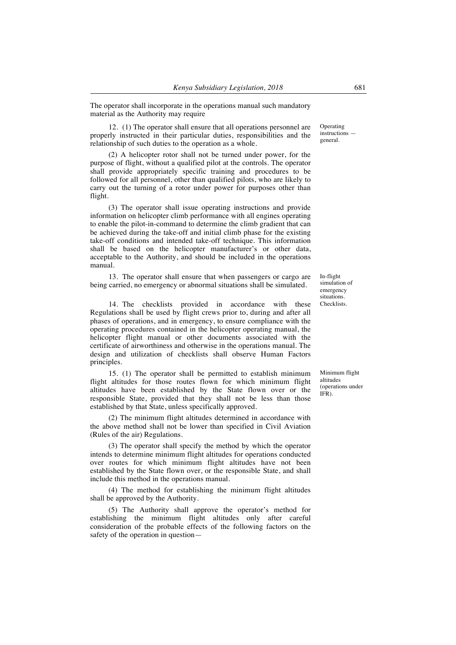The operator shall incorporate in the operations manual such mandatory material as the Authority may require

12. (1) The operator shall ensure that all operations personnel are properly instructed in their particular duties, responsibilities and the relationship of such duties to the operation as a whole.

(2) A helicopter rotor shall not be turned under power, for the purpose of flight, without a qualified pilot at the controls. The operator shall provide appropriately specific training and procedures to be followed for all personnel, other than qualified pilots, who are likely to carry out the turning of a rotor under power for purposes other than flight.

(3) The operator shall issue operating instructions and provide information on helicopter climb performance with all engines operating to enable the pilot-in-command to determine the climb gradient that can be achieved during the take-off and initial climb phase for the existing take-off conditions and intended take-off technique. This information shall be based on the helicopter manufacturer's or other data, acceptable to the Authority, and should be included in the operations manual.

13. The operator shall ensure that when passengers or cargo are being carried, no emergency or abnormal situations shall be simulated.

14. The checklists provided in accordance with these Regulations shall be used by flight crews prior to, during and after all phases of operations, and in emergency, to ensure compliance with the operating procedures contained in the helicopter operating manual, the helicopter flight manual or other documents associated with the certificate of airworthiness and otherwise in the operations manual. The design and utilization of checklists shall observe Human Factors principles.

15. (1) The operator shall be permitted to establish minimum flight altitudes for those routes flown for which minimum flight altitudes have been established by the State flown over or the responsible State, provided that they shall not be less than those established by that State, unless specifically approved.

(2) The minimum flight altitudes determined in accordance with the above method shall not be lower than specified in Civil Aviation (Rules of the air) Regulations.

(3) The operator shall specify the method by which the operator intends to determine minimum flight altitudes for operations conducted over routes for which minimum flight altitudes have not been established by the State flown over, or the responsible State, and shall include this method in the operations manual.

(4) The method for establishing the minimum flight altitudes shall be approved by the Authority.

(5) The Authority shall approve the operator's method for establishing the minimum flight altitudes only after careful consideration of the probable effects of the following factors on the safety of the operation in questionOperating instructions general.

In-flight simulation of emergency situations. Checklists.

Minimum flight altitudes (operations under IFR).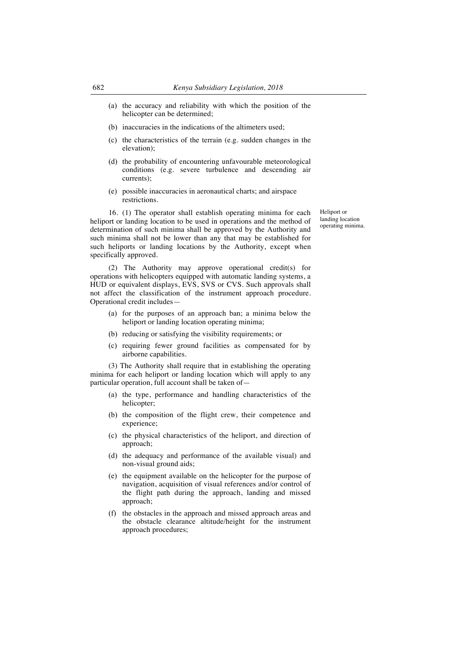- (a) the accuracy and reliability with which the position of the helicopter can be determined;
- (b) inaccuracies in the indications of the altimeters used;
- (c) the characteristics of the terrain (e.g. sudden changes in the elevation);
- (d) the probability of encountering unfavourable meteorological conditions (e.g. severe turbulence and descending air currents);
- (e) possible inaccuracies in aeronautical charts; and airspace restrictions.

16. (1) The operator shall establish operating minima for each heliport or landing location to be used in operations and the method of determination of such minima shall be approved by the Authority and such minima shall not be lower than any that may be established for such heliports or landing locations by the Authority, except when specifically approved.

(2) The Authority may approve operational credit(s) for operations with helicopters equipped with automatic landing systems, a HUD or equivalent displays, EVS, SVS or CVS. Such approvals shall not affect the classification of the instrument approach procedure. Operational credit includes—

- (a) for the purposes of an approach ban; a minima below the heliport or landing location operating minima;
- (b) reducing or satisfying the visibility requirements; or
- (c) requiring fewer ground facilities as compensated for by airborne capabilities.

(3) The Authority shall require that in establishing the operating minima for each heliport or landing location which will apply to any particular operation, full account shall be taken of—

- (a) the type, performance and handling characteristics of the helicopter:
- (b) the composition of the flight crew, their competence and experience;
- (c) the physical characteristics of the heliport, and direction of approach;
- (d) the adequacy and performance of the available visual) and non-visual ground aids;
- (e) the equipment available on the helicopter for the purpose of navigation, acquisition of visual references and/or control of the flight path during the approach, landing and missed approach;
- (f) the obstacles in the approach and missed approach areas and the obstacle clearance altitude/height for the instrument approach procedures;

Heliport or landing location operating minima.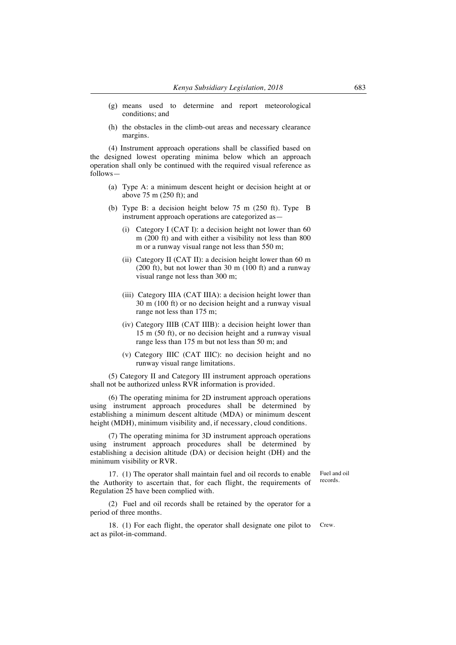- (g) means used to determine and report meteorological conditions; and
- (h) the obstacles in the climb-out areas and necessary clearance margins.

(4) Instrument approach operations shall be classified based on the designed lowest operating minima below which an approach operation shall only be continued with the required visual reference as follows—

- (a) Type A: a minimum descent height or decision height at or above 75 m (250 ft); and
- (b) Type B: a decision height below 75 m (250 ft). Type B instrument approach operations are categorized as—
	- (i) Category I (CAT I): a decision height not lower than 60 m (200 ft) and with either a visibility not less than 800 m or a runway visual range not less than 550 m;
	- (ii) Category II (CAT II): a decision height lower than 60 m (200 ft), but not lower than 30 m (100 ft) and a runway visual range not less than 300 m;
	- (iii) Category IIIA (CAT IIIA): a decision height lower than 30 m (100 ft) or no decision height and a runway visual range not less than 175 m;
	- (iv) Category IIIB (CAT IIIB): a decision height lower than 15 m (50 ft), or no decision height and a runway visual range less than 175 m but not less than 50 m; and
	- (v) Category IIIC (CAT IIIC): no decision height and no runway visual range limitations.

(5) Category II and Category III instrument approach operations shall not be authorized unless RVR information is provided.

(6) The operating minima for 2D instrument approach operations using instrument approach procedures shall be determined by establishing a minimum descent altitude (MDA) or minimum descent height (MDH), minimum visibility and, if necessary, cloud conditions.

(7) The operating minima for 3D instrument approach operations using instrument approach procedures shall be determined by establishing a decision altitude (DA) or decision height (DH) and the minimum visibility or RVR.

17. (1) The operator shall maintain fuel and oil records to enable the Authority to ascertain that, for each flight, the requirements of Regulation 25 have been complied with.

Fuel and oil records.

(2) Fuel and oil records shall be retained by the operator for a period of three months.

18. (1) For each flight, the operator shall designate one pilot to act as pilot-in-command. Crew.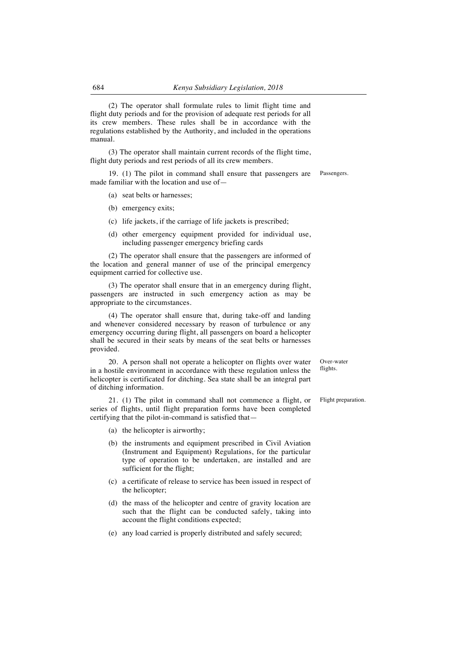(2) The operator shall formulate rules to limit flight time and flight duty periods and for the provision of adequate rest periods for all its crew members. These rules shall be in accordance with the regulations established by the Authority, and included in the operations manual.

(3) The operator shall maintain current records of the flight time, flight duty periods and rest periods of all its crew members.

19. (1) The pilot in command shall ensure that passengers are made familiar with the location and use of—

- (a) seat belts or harnesses;
- (b) emergency exits;
- (c) life jackets, if the carriage of life jackets is prescribed;
- (d) other emergency equipment provided for individual use, including passenger emergency briefing cards

(2) The operator shall ensure that the passengers are informed of the location and general manner of use of the principal emergency equipment carried for collective use.

(3) The operator shall ensure that in an emergency during flight, passengers are instructed in such emergency action as may be appropriate to the circumstances.

(4) The operator shall ensure that, during take-off and landing and whenever considered necessary by reason of turbulence or any emergency occurring during flight, all passengers on board a helicopter shall be secured in their seats by means of the seat belts or harnesses provided.

20. A person shall not operate a helicopter on flights over water in a hostile environment in accordance with these regulation unless the helicopter is certificated for ditching. Sea state shall be an integral part of ditching information.

21. (1) The pilot in command shall not commence a flight, or series of flights, until flight preparation forms have been completed certifying that the pilot-in-command is satisfied that—

(a) the helicopter is airworthy;

- (b) the instruments and equipment prescribed in Civil Aviation (Instrument and Equipment) Regulations, for the particular type of operation to be undertaken, are installed and are sufficient for the flight;
- (c) a certificate of release to service has been issued in respect of the helicopter;
- (d) the mass of the helicopter and centre of gravity location are such that the flight can be conducted safely, taking into account the flight conditions expected;
- (e) any load carried is properly distributed and safely secured;

Over-water flights

Flight preparation.

Passengers.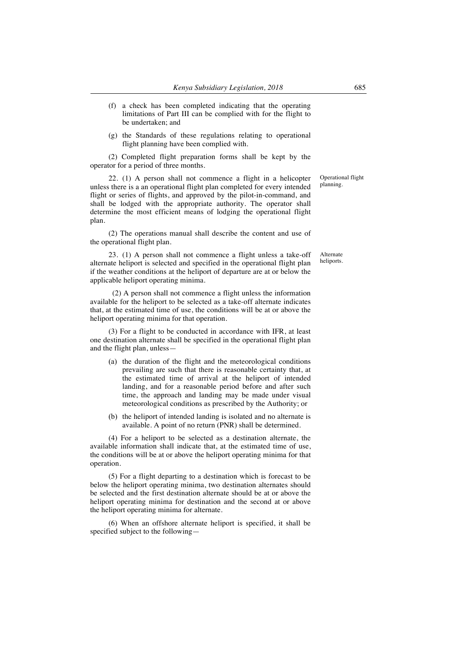- (f) a check has been completed indicating that the operating limitations of Part III can be complied with for the flight to be undertaken; and
- (g) the Standards of these regulations relating to operational flight planning have been complied with.

(2) Completed flight preparation forms shall be kept by the operator for a period of three months.

22. (1) A person shall not commence a flight in a helicopter unless there is a an operational flight plan completed for every intended flight or series of flights, and approved by the pilot-in-command, and shall be lodged with the appropriate authority. The operator shall determine the most efficient means of lodging the operational flight plan.

(2) The operations manual shall describe the content and use of the operational flight plan.

23. (1) A person shall not commence a flight unless a take-off alternate heliport is selected and specified in the operational flight plan if the weather conditions at the heliport of departure are at or below the applicable heliport operating minima.

 (2) A person shall not commence a flight unless the information available for the heliport to be selected as a take-off alternate indicates that, at the estimated time of use, the conditions will be at or above the heliport operating minima for that operation.

(3) For a flight to be conducted in accordance with IFR, at least one destination alternate shall be specified in the operational flight plan and the flight plan, unless—

- (a) the duration of the flight and the meteorological conditions prevailing are such that there is reasonable certainty that, at the estimated time of arrival at the heliport of intended landing, and for a reasonable period before and after such time, the approach and landing may be made under visual meteorological conditions as prescribed by the Authority; or
- (b) the heliport of intended landing is isolated and no alternate is available. A point of no return (PNR) shall be determined.

(4) For a heliport to be selected as a destination alternate, the available information shall indicate that, at the estimated time of use, the conditions will be at or above the heliport operating minima for that operation.

(5) For a flight departing to a destination which is forecast to be below the heliport operating minima, two destination alternates should be selected and the first destination alternate should be at or above the heliport operating minima for destination and the second at or above the heliport operating minima for alternate.

(6) When an offshore alternate heliport is specified, it shall be specified subject to the followingOperational flight planning.

Alternate heliports.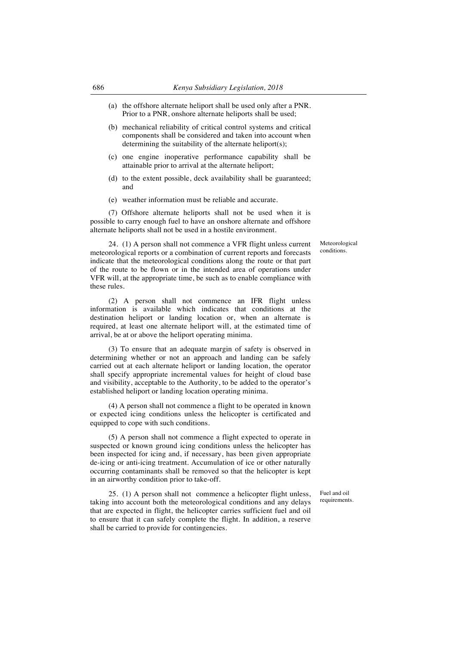- (a) the offshore alternate heliport shall be used only after a PNR. Prior to a PNR, onshore alternate heliports shall be used;
- (b) mechanical reliability of critical control systems and critical components shall be considered and taken into account when determining the suitability of the alternate heliport(s);
- (c) one engine inoperative performance capability shall be attainable prior to arrival at the alternate heliport;
- (d) to the extent possible, deck availability shall be guaranteed; and
- (e) weather information must be reliable and accurate.

(7) Offshore alternate heliports shall not be used when it is possible to carry enough fuel to have an onshore alternate and offshore alternate heliports shall not be used in a hostile environment.

> Meteorological conditions.

24. (1) A person shall not commence a VFR flight unless current meteorological reports or a combination of current reports and forecasts indicate that the meteorological conditions along the route or that part of the route to be flown or in the intended area of operations under VFR will, at the appropriate time, be such as to enable compliance with these rules.

(2) A person shall not commence an IFR flight unless information is available which indicates that conditions at the destination heliport or landing location or, when an alternate is required, at least one alternate heliport will, at the estimated time of arrival, be at or above the heliport operating minima.

(3) To ensure that an adequate margin of safety is observed in determining whether or not an approach and landing can be safely carried out at each alternate heliport or landing location, the operator shall specify appropriate incremental values for height of cloud base and visibility, acceptable to the Authority, to be added to the operator's established heliport or landing location operating minima.

(4) A person shall not commence a flight to be operated in known or expected icing conditions unless the helicopter is certificated and equipped to cope with such conditions.

(5) A person shall not commence a flight expected to operate in suspected or known ground icing conditions unless the helicopter has been inspected for icing and, if necessary, has been given appropriate de-icing or anti-icing treatment. Accumulation of ice or other naturally occurring contaminants shall be removed so that the helicopter is kept in an airworthy condition prior to take-off.

25. (1) A person shall not commence a helicopter flight unless, taking into account both the meteorological conditions and any delays that are expected in flight, the helicopter carries sufficient fuel and oil to ensure that it can safely complete the flight. In addition, a reserve shall be carried to provide for contingencies.

Fuel and oil requirements.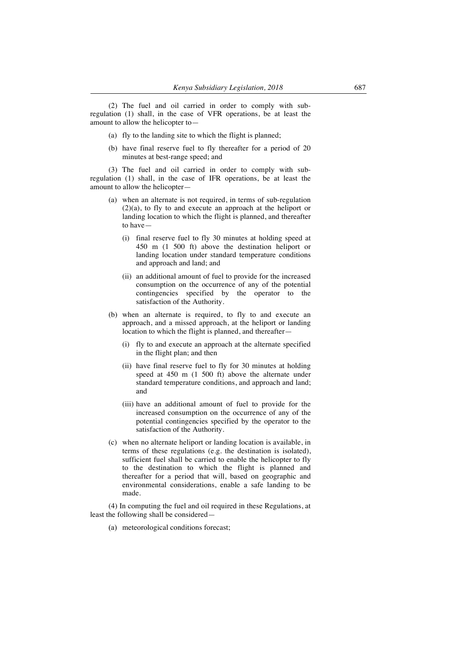(2) The fuel and oil carried in order to comply with subregulation (1) shall, in the case of VFR operations, be at least the amount to allow the helicopter to—

- (a) fly to the landing site to which the flight is planned;
- (b) have final reserve fuel to fly thereafter for a period of 20 minutes at best-range speed; and

(3) The fuel and oil carried in order to comply with subregulation (1) shall, in the case of IFR operations, be at least the amount to allow the helicopter—

- (a) when an alternate is not required, in terms of sub-regulation (2)(a), to fly to and execute an approach at the heliport or landing location to which the flight is planned, and thereafter to have—
	- (i) final reserve fuel to fly 30 minutes at holding speed at 450 m (1 500 ft) above the destination heliport or landing location under standard temperature conditions and approach and land; and
	- (ii) an additional amount of fuel to provide for the increased consumption on the occurrence of any of the potential contingencies specified by the operator to the satisfaction of the Authority.
- (b) when an alternate is required, to fly to and execute an approach, and a missed approach, at the heliport or landing location to which the flight is planned, and thereafter—
	- (i) fly to and execute an approach at the alternate specified in the flight plan; and then
	- (ii) have final reserve fuel to fly for 30 minutes at holding speed at 450 m (1 500 ft) above the alternate under standard temperature conditions, and approach and land; and
	- (iii) have an additional amount of fuel to provide for the increased consumption on the occurrence of any of the potential contingencies specified by the operator to the satisfaction of the Authority.
- (c) when no alternate heliport or landing location is available, in terms of these regulations (e.g. the destination is isolated), sufficient fuel shall be carried to enable the helicopter to fly to the destination to which the flight is planned and thereafter for a period that will, based on geographic and environmental considerations, enable a safe landing to be made.

(4) In computing the fuel and oil required in these Regulations, at least the following shall be considered—

(a) meteorological conditions forecast;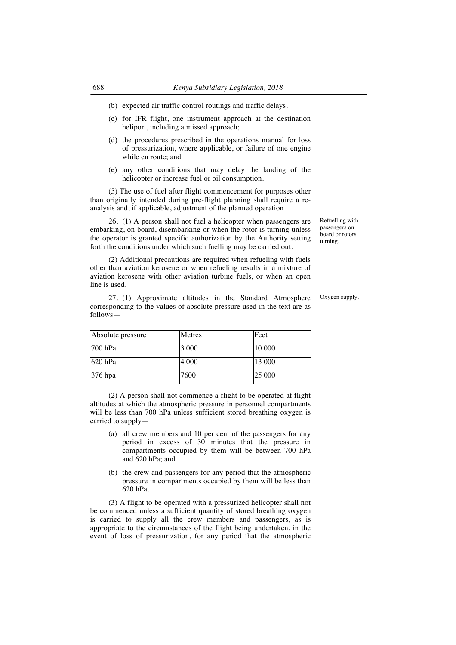- (b) expected air traffic control routings and traffic delays;
- (c) for IFR flight, one instrument approach at the destination heliport, including a missed approach;
- (d) the procedures prescribed in the operations manual for loss of pressurization, where applicable, or failure of one engine while en route; and
- (e) any other conditions that may delay the landing of the helicopter or increase fuel or oil consumption.

(5) The use of fuel after flight commencement for purposes other than originally intended during pre-flight planning shall require a reanalysis and, if applicable, adjustment of the planned operation

26. (1) A person shall not fuel a helicopter when passengers are embarking, on board, disembarking or when the rotor is turning unless the operator is granted specific authorization by the Authority setting forth the conditions under which such fuelling may be carried out.

(2) Additional precautions are required when refueling with fuels other than aviation kerosene or when refueling results in a mixture of aviation kerosene with other aviation turbine fuels, or when an open line is used.

27. (1) Approximate altitudes in the Standard Atmosphere corresponding to the values of absolute pressure used in the text are as follows—

Oxygen supply.

Refuelling with passengers on board or rotors turning.

| Absolute pressure | Metres  | Feet   |
|-------------------|---------|--------|
| $700$ hPa         | 3 0 0 0 | 10 000 |
| $620$ hPa         | 4 0 0 0 | 13 000 |
| 376 hpa           | 7600    | 25 000 |

(2) A person shall not commence a flight to be operated at flight altitudes at which the atmospheric pressure in personnel compartments will be less than 700 hPa unless sufficient stored breathing oxygen is carried to supply—

- (a) all crew members and 10 per cent of the passengers for any period in excess of 30 minutes that the pressure in compartments occupied by them will be between 700 hPa and 620 hPa; and
- (b) the crew and passengers for any period that the atmospheric pressure in compartments occupied by them will be less than 620 hPa.

(3) A flight to be operated with a pressurized helicopter shall not be commenced unless a sufficient quantity of stored breathing oxygen is carried to supply all the crew members and passengers, as is appropriate to the circumstances of the flight being undertaken, in the event of loss of pressurization, for any period that the atmospheric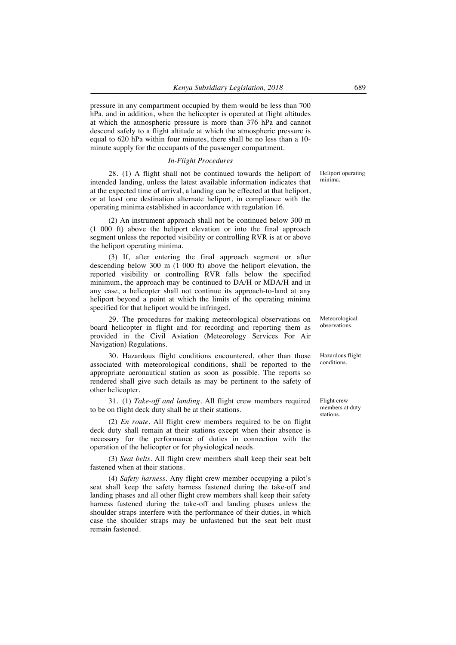pressure in any compartment occupied by them would be less than 700 hPa. and in addition, when the helicopter is operated at flight altitudes at which the atmospheric pressure is more than 376 hPa and cannot descend safely to a flight altitude at which the atmospheric pressure is equal to 620 hPa within four minutes, there shall be no less than a 10 minute supply for the occupants of the passenger compartment.

#### *In-Flight Procedures*

28. (1) A flight shall not be continued towards the heliport of intended landing, unless the latest available information indicates that at the expected time of arrival, a landing can be effected at that heliport, or at least one destination alternate heliport, in compliance with the operating minima established in accordance with regulation 16.

(2) An instrument approach shall not be continued below 300 m (1 000 ft) above the heliport elevation or into the final approach segment unless the reported visibility or controlling RVR is at or above the heliport operating minima.

(3) If, after entering the final approach segment or after descending below 300 m (1 000 ft) above the heliport elevation, the reported visibility or controlling RVR falls below the specified minimum, the approach may be continued to DA/H or MDA/H and in any case, a helicopter shall not continue its approach-to-land at any heliport beyond a point at which the limits of the operating minima specified for that heliport would be infringed.

29. The procedures for making meteorological observations on board helicopter in flight and for recording and reporting them as provided in the Civil Aviation (Meteorology Services For Air Navigation) Regulations.

30. Hazardous flight conditions encountered, other than those associated with meteorological conditions, shall be reported to the appropriate aeronautical station as soon as possible. The reports so rendered shall give such details as may be pertinent to the safety of other helicopter.

31. (1) *Take-off and landing*. All flight crew members required to be on flight deck duty shall be at their stations.

(2) *En route.* All flight crew members required to be on flight deck duty shall remain at their stations except when their absence is necessary for the performance of duties in connection with the operation of the helicopter or for physiological needs.

(3) *Seat belts.* All flight crew members shall keep their seat belt fastened when at their stations.

(4) *Safety harness.* Any flight crew member occupying a pilot's seat shall keep the safety harness fastened during the take-off and landing phases and all other flight crew members shall keep their safety harness fastened during the take-off and landing phases unless the shoulder straps interfere with the performance of their duties, in which case the shoulder straps may be unfastened but the seat belt must remain fastened.

Heliport operating minima.

Meteorological observations.

Hazardous flight conditions.

Flight crew members at duty stations.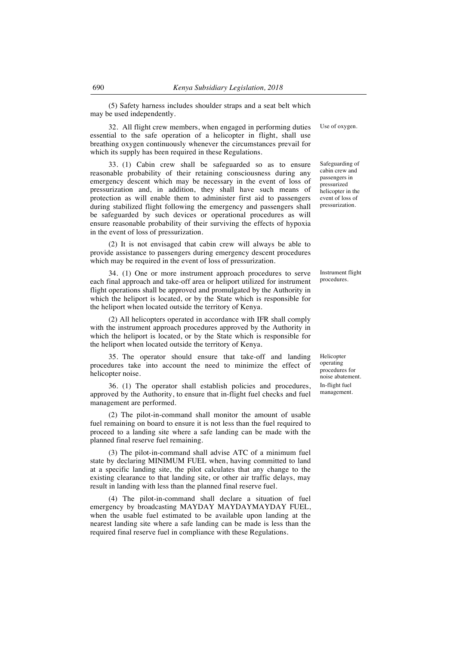(5) Safety harness includes shoulder straps and a seat belt which may be used independently.

32. All flight crew members, when engaged in performing duties essential to the safe operation of a helicopter in flight, shall use breathing oxygen continuously whenever the circumstances prevail for which its supply has been required in these Regulations.

33. (1) Cabin crew shall be safeguarded so as to ensure reasonable probability of their retaining consciousness during any emergency descent which may be necessary in the event of loss of pressurization and, in addition, they shall have such means of protection as will enable them to administer first aid to passengers during stabilized flight following the emergency and passengers shall be safeguarded by such devices or operational procedures as will ensure reasonable probability of their surviving the effects of hypoxia in the event of loss of pressurization.

(2) It is not envisaged that cabin crew will always be able to provide assistance to passengers during emergency descent procedures which may be required in the event of loss of pressurization.

34. (1) One or more instrument approach procedures to serve each final approach and take-off area or heliport utilized for instrument flight operations shall be approved and promulgated by the Authority in which the heliport is located, or by the State which is responsible for the heliport when located outside the territory of Kenya.

(2) All helicopters operated in accordance with IFR shall comply with the instrument approach procedures approved by the Authority in which the heliport is located, or by the State which is responsible for the heliport when located outside the territory of Kenya.

35. The operator should ensure that take-off and landing procedures take into account the need to minimize the effect of helicopter noise.

36. (1) The operator shall establish policies and procedures, approved by the Authority, to ensure that in-flight fuel checks and fuel management are performed.

(2) The pilot-in-command shall monitor the amount of usable fuel remaining on board to ensure it is not less than the fuel required to proceed to a landing site where a safe landing can be made with the planned final reserve fuel remaining.

(3) The pilot-in-command shall advise ATC of a minimum fuel state by declaring MINIMUM FUEL when, having committed to land at a specific landing site, the pilot calculates that any change to the existing clearance to that landing site, or other air traffic delays, may result in landing with less than the planned final reserve fuel.

(4) The pilot-in-command shall declare a situation of fuel emergency by broadcasting MAYDAY MAYDAYMAYDAY FUEL, when the usable fuel estimated to be available upon landing at the nearest landing site where a safe landing can be made is less than the required final reserve fuel in compliance with these Regulations.

Use of oxygen.

Safeguarding of cabin crew and passengers in pressurized helicopter in the event of loss of pressurization.

Instrument flight procedures.

Helicopter operating procedures for noise abatement. In-flight fuel management.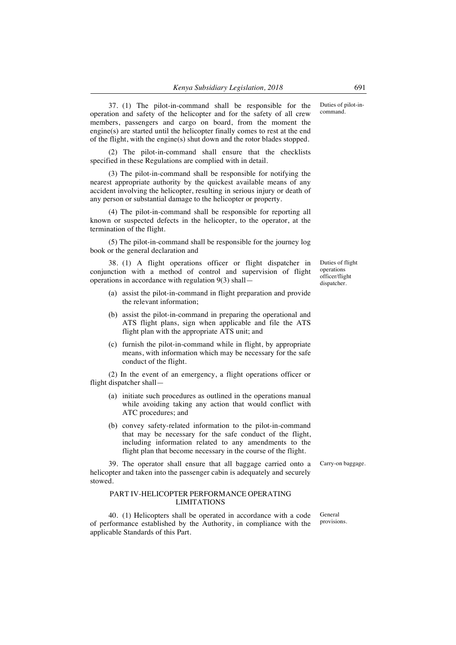37. (1) The pilot-in-command shall be responsible for the operation and safety of the helicopter and for the safety of all crew members, passengers and cargo on board, from the moment the engine(s) are started until the helicopter finally comes to rest at the end of the flight, with the engine(s) shut down and the rotor blades stopped.

(2) The pilot-in-command shall ensure that the checklists specified in these Regulations are complied with in detail.

(3) The pilot-in-command shall be responsible for notifying the nearest appropriate authority by the quickest available means of any accident involving the helicopter, resulting in serious injury or death of any person or substantial damage to the helicopter or property.

(4) The pilot-in-command shall be responsible for reporting all known or suspected defects in the helicopter, to the operator, at the termination of the flight.

(5) The pilot-in-command shall be responsible for the journey log book or the general declaration and

38. (1) A flight operations officer or flight dispatcher in conjunction with a method of control and supervision of flight operations in accordance with regulation 9(3) shall—

- (a) assist the pilot-in-command in flight preparation and provide the relevant information;
- (b) assist the pilot-in-command in preparing the operational and ATS flight plans, sign when applicable and file the ATS flight plan with the appropriate ATS unit; and
- (c) furnish the pilot-in-command while in flight, by appropriate means, with information which may be necessary for the safe conduct of the flight.

(2) In the event of an emergency, a flight operations officer or flight dispatcher shall—

- (a) initiate such procedures as outlined in the operations manual while avoiding taking any action that would conflict with ATC procedures; and
- (b) convey safety-related information to the pilot-in-command that may be necessary for the safe conduct of the flight, including information related to any amendments to the flight plan that become necessary in the course of the flight.

39. The operator shall ensure that all baggage carried onto a helicopter and taken into the passenger cabin is adequately and securely stowed.

### PART IV-HELICOPTER PERFORMANCE OPERATING LIMITATIONS

40. (1) Helicopters shall be operated in accordance with a code of performance established by the Authority, in compliance with the applicable Standards of this Part.

Carry-on baggage.

General provisions.

Duties of flight operations officer/flight dispatcher.

Duties of pilot-incommand.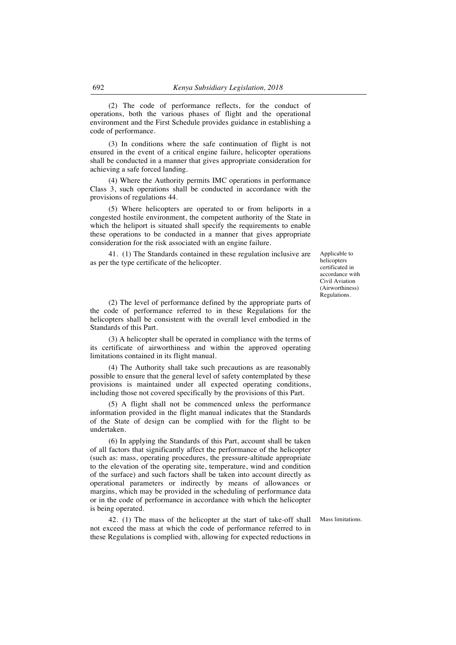(2) The code of performance reflects, for the conduct of operations, both the various phases of flight and the operational environment and the First Schedule provides guidance in establishing a code of performance.

(3) In conditions where the safe continuation of flight is not ensured in the event of a critical engine failure, helicopter operations shall be conducted in a manner that gives appropriate consideration for achieving a safe forced landing.

(4) Where the Authority permits IMC operations in performance Class 3, such operations shall be conducted in accordance with the provisions of regulations 44.

(5) Where helicopters are operated to or from heliports in a congested hostile environment, the competent authority of the State in which the heliport is situated shall specify the requirements to enable these operations to be conducted in a manner that gives appropriate consideration for the risk associated with an engine failure.

41. (1) The Standards contained in these regulation inclusive are as per the type certificate of the helicopter.

(2) The level of performance defined by the appropriate parts of the code of performance referred to in these Regulations for the helicopters shall be consistent with the overall level embodied in the Standards of this Part.

(3) A helicopter shall be operated in compliance with the terms of its certificate of airworthiness and within the approved operating limitations contained in its flight manual.

(4) The Authority shall take such precautions as are reasonably possible to ensure that the general level of safety contemplated by these provisions is maintained under all expected operating conditions, including those not covered specifically by the provisions of this Part.

(5) A flight shall not be commenced unless the performance information provided in the flight manual indicates that the Standards of the State of design can be complied with for the flight to be undertaken.

(6) In applying the Standards of this Part, account shall be taken of all factors that significantly affect the performance of the helicopter (such as: mass, operating procedures, the pressure-altitude appropriate to the elevation of the operating site, temperature, wind and condition of the surface) and such factors shall be taken into account directly as operational parameters or indirectly by means of allowances or margins, which may be provided in the scheduling of performance data or in the code of performance in accordance with which the helicopter is being operated.

42. (1) The mass of the helicopter at the start of take-off shall not exceed the mass at which the code of performance referred to in these Regulations is complied with, allowing for expected reductions in

helicopters certificated in accordance with Civil Aviation (Airworthiness) Regulations.

Applicable to

Mass limitations.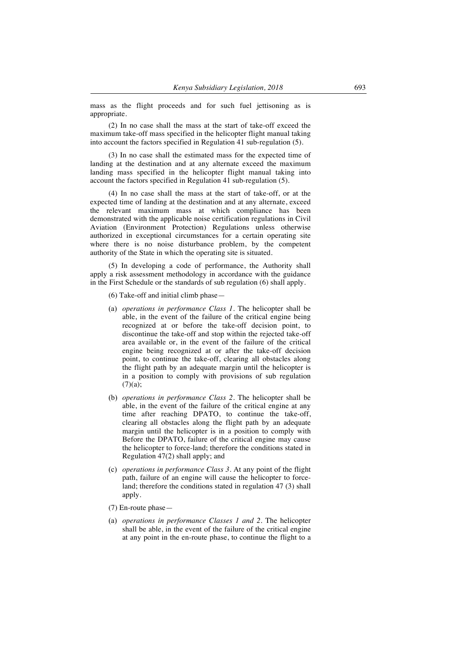mass as the flight proceeds and for such fuel jettisoning as is appropriate.

(2) In no case shall the mass at the start of take-off exceed the maximum take-off mass specified in the helicopter flight manual taking into account the factors specified in Regulation 41 sub-regulation (5).

(3) In no case shall the estimated mass for the expected time of landing at the destination and at any alternate exceed the maximum landing mass specified in the helicopter flight manual taking into account the factors specified in Regulation 41 sub-regulation (5).

(4) In no case shall the mass at the start of take-off, or at the expected time of landing at the destination and at any alternate, exceed the relevant maximum mass at which compliance has been demonstrated with the applicable noise certification regulations in Civil Aviation (Environment Protection) Regulations unless otherwise authorized in exceptional circumstances for a certain operating site where there is no noise disturbance problem, by the competent authority of the State in which the operating site is situated.

(5) In developing a code of performance, the Authority shall apply a risk assessment methodology in accordance with the guidance in the First Schedule or the standards of sub regulation (6) shall apply.

- (6) Take-off and initial climb phase—
- (a) *operations in performance Class 1.* The helicopter shall be able, in the event of the failure of the critical engine being recognized at or before the take-off decision point, to discontinue the take-off and stop within the rejected take-off area available or, in the event of the failure of the critical engine being recognized at or after the take-off decision point, to continue the take-off, clearing all obstacles along the flight path by an adequate margin until the helicopter is in a position to comply with provisions of sub regulation  $(7)(a);$
- (b) *operations in performance Class 2.* The helicopter shall be able, in the event of the failure of the critical engine at any time after reaching DPATO, to continue the take-off, clearing all obstacles along the flight path by an adequate margin until the helicopter is in a position to comply with Before the DPATO, failure of the critical engine may cause the helicopter to force-land; therefore the conditions stated in Regulation 47(2) shall apply; and
- (c) *operations in performance Class 3.* At any point of the flight path, failure of an engine will cause the helicopter to forceland; therefore the conditions stated in regulation 47 (3) shall apply.
- (7) En-route phase—
- (a) *operations in performance Classes 1 and 2.* The helicopter shall be able, in the event of the failure of the critical engine at any point in the en-route phase, to continue the flight to a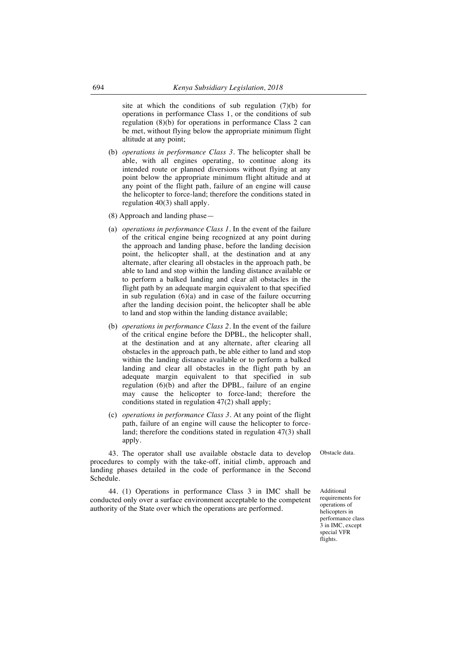site at which the conditions of sub regulation (7)(b) for operations in performance Class 1, or the conditions of sub regulation (8)(b) for operations in performance Class 2 can be met, without flying below the appropriate minimum flight altitude at any point;

- (b) *operations in performance Class 3.* The helicopter shall be able, with all engines operating, to continue along its intended route or planned diversions without flying at any point below the appropriate minimum flight altitude and at any point of the flight path, failure of an engine will cause the helicopter to force-land; therefore the conditions stated in regulation 40(3) shall apply.
- (8) Approach and landing phase—
- (a) *operations in performance Class 1.* In the event of the failure of the critical engine being recognized at any point during the approach and landing phase, before the landing decision point, the helicopter shall, at the destination and at any alternate, after clearing all obstacles in the approach path, be able to land and stop within the landing distance available or to perform a balked landing and clear all obstacles in the flight path by an adequate margin equivalent to that specified in sub regulation  $(6)(a)$  and in case of the failure occurring after the landing decision point, the helicopter shall be able to land and stop within the landing distance available;
- (b) *operations in performance Class 2*. In the event of the failure of the critical engine before the DPBL, the helicopter shall, at the destination and at any alternate, after clearing all obstacles in the approach path, be able either to land and stop within the landing distance available or to perform a balked landing and clear all obstacles in the flight path by an adequate margin equivalent to that specified in sub regulation (6)(b) and after the DPBL, failure of an engine may cause the helicopter to force-land; therefore the conditions stated in regulation 47(2) shall apply;
- (c) *operations in performance Class 3.* At any point of the flight path, failure of an engine will cause the helicopter to forceland; therefore the conditions stated in regulation 47(3) shall apply.

43. The operator shall use available obstacle data to develop procedures to comply with the take-off, initial climb, approach and landing phases detailed in the code of performance in the Second Schedule.

44. (1) Operations in performance Class 3 in IMC shall be conducted only over a surface environment acceptable to the competent authority of the State over which the operations are performed.

Obstacle data.

Additional requirements for operations of helicopters in performance class 3 in IMC, except special VFR flights.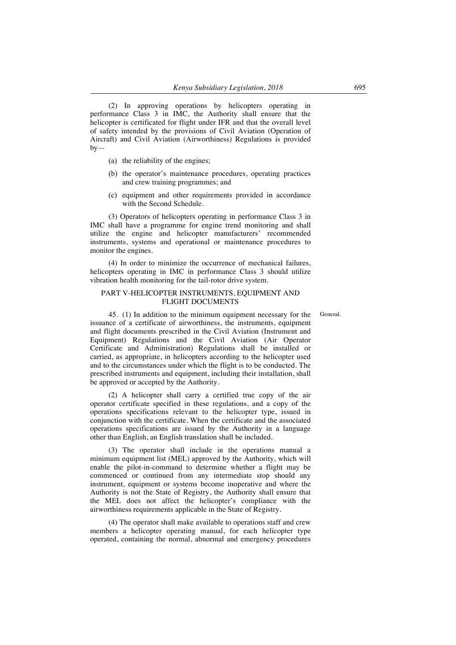(2) In approving operations by helicopters operating in performance Class 3 in IMC, the Authority shall ensure that the helicopter is certificated for flight under IFR and that the overall level of safety intended by the provisions of Civil Aviation (Operation of Aircraft) and Civil Aviation (Airworthiness) Regulations is provided  $by-$ 

- (a) the reliability of the engines;
- (b) the operator's maintenance procedures, operating practices and crew training programmes; and
- (c) equipment and other requirements provided in accordance with the Second Schedule.

(3) Operators of helicopters operating in performance Class 3 in IMC shall have a programme for engine trend monitoring and shall utilize the engine and helicopter manufacturers' recommended instruments, systems and operational or maintenance procedures to monitor the engines.

(4) In order to minimize the occurrence of mechanical failures, helicopters operating in IMC in performance Class 3 should utilize vibration health monitoring for the tail-rotor drive system.

#### PART V-HELICOPTER INSTRUMENTS, EQUIPMENT AND FLIGHT DOCUMENTS

General.

45. (1) In addition to the minimum equipment necessary for the issuance of a certificate of airworthiness, the instruments, equipment and flight documents prescribed in the Civil Aviation (Instrument and Equipment) Regulations and the Civil Aviation (Air Operator Certificate and Administration) Regulations shall be installed or carried, as appropriate, in helicopters according to the helicopter used and to the circumstances under which the flight is to be conducted. The prescribed instruments and equipment, including their installation, shall be approved or accepted by the Authority.

(2) A helicopter shall carry a certified true copy of the air operator certificate specified in these regulations, and a copy of the operations specifications relevant to the helicopter type, issued in conjunction with the certificate. When the certificate and the associated operations specifications are issued by the Authority in a language other than English, an English translation shall be included.

(3) The operator shall include in the operations manual a minimum equipment list (MEL) approved by the Authority, which will enable the pilot-in-command to determine whether a flight may be commenced or continued from any intermediate stop should any instrument, equipment or systems become inoperative and where the Authority is not the State of Registry, the Authority shall ensure that the MEL does not affect the helicopter's compliance with the airworthiness requirements applicable in the State of Registry.

(4) The operator shall make available to operations staff and crew members a helicopter operating manual, for each helicopter type operated, containing the normal, abnormal and emergency procedures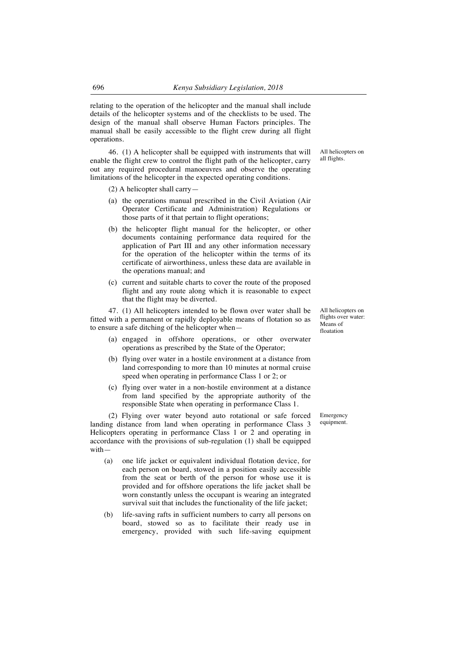relating to the operation of the helicopter and the manual shall include details of the helicopter systems and of the checklists to be used. The design of the manual shall observe Human Factors principles. The manual shall be easily accessible to the flight crew during all flight operations.

46. (1) A helicopter shall be equipped with instruments that will enable the flight crew to control the flight path of the helicopter, carry out any required procedural manoeuvres and observe the operating limitations of the helicopter in the expected operating conditions.

(2) A helicopter shall carry—

- (a) the operations manual prescribed in the Civil Aviation (Air Operator Certificate and Administration) Regulations or those parts of it that pertain to flight operations;
- (b) the helicopter flight manual for the helicopter, or other documents containing performance data required for the application of Part III and any other information necessary for the operation of the helicopter within the terms of its certificate of airworthiness, unless these data are available in the operations manual; and
- (c) current and suitable charts to cover the route of the proposed flight and any route along which it is reasonable to expect that the flight may be diverted.

47. (1) All helicopters intended to be flown over water shall be fitted with a permanent or rapidly deployable means of flotation so as to ensure a safe ditching of the helicopter when—

- (a) engaged in offshore operations, or other overwater operations as prescribed by the State of the Operator;
- (b) flying over water in a hostile environment at a distance from land corresponding to more than 10 minutes at normal cruise speed when operating in performance Class 1 or 2; or
- (c) flying over water in a non-hostile environment at a distance from land specified by the appropriate authority of the responsible State when operating in performance Class 1.

(2) Flying over water beyond auto rotational or safe forced landing distance from land when operating in performance Class 3 Helicopters operating in performance Class 1 or 2 and operating in accordance with the provisions of sub-regulation (1) shall be equipped with—

- (a) one life jacket or equivalent individual flotation device, for each person on board, stowed in a position easily accessible from the seat or berth of the person for whose use it is provided and for offshore operations the life jacket shall be worn constantly unless the occupant is wearing an integrated survival suit that includes the functionality of the life jacket;
- (b) life-saving rafts in sufficient numbers to carry all persons on board, stowed so as to facilitate their ready use in emergency, provided with such life-saving equipment

All helicopters on all flights.

All helicopters on flights over water: Means of floatation

Emergency equipment.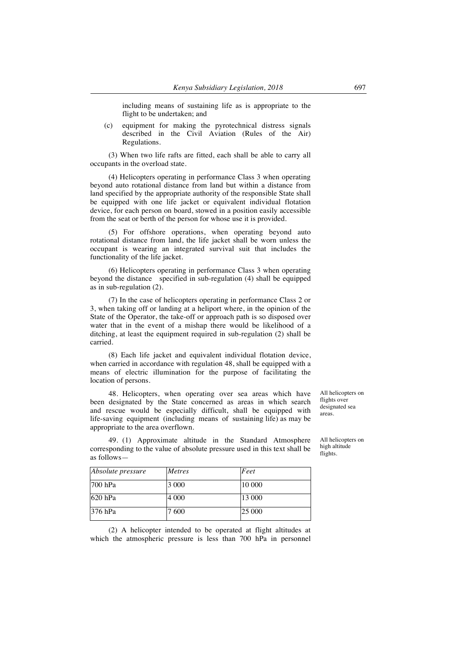including means of sustaining life as is appropriate to the flight to be undertaken; and

(c) equipment for making the pyrotechnical distress signals described in the Civil Aviation (Rules of the Air) Regulations.

(3) When two life rafts are fitted, each shall be able to carry all occupants in the overload state.

(4) Helicopters operating in performance Class 3 when operating beyond auto rotational distance from land but within a distance from land specified by the appropriate authority of the responsible State shall be equipped with one life jacket or equivalent individual flotation device, for each person on board, stowed in a position easily accessible from the seat or berth of the person for whose use it is provided.

(5) For offshore operations, when operating beyond auto rotational distance from land, the life jacket shall be worn unless the occupant is wearing an integrated survival suit that includes the functionality of the life jacket.

(6) Helicopters operating in performance Class 3 when operating beyond the distance specified in sub-regulation (4) shall be equipped as in sub-regulation (2).

(7) In the case of helicopters operating in performance Class 2 or 3, when taking off or landing at a heliport where, in the opinion of the State of the Operator, the take-off or approach path is so disposed over water that in the event of a mishap there would be likelihood of a ditching, at least the equipment required in sub-regulation (2) shall be carried.

(8) Each life jacket and equivalent individual flotation device, when carried in accordance with regulation 48, shall be equipped with a means of electric illumination for the purpose of facilitating the location of persons.

48. Helicopters, when operating over sea areas which have been designated by the State concerned as areas in which search and rescue would be especially difficult, shall be equipped with life-saving equipment (including means of sustaining life) as may be appropriate to the area overflown.

All helicopters on flights over designated sea areas.

All helicopters on high altitude flights.

49. (1) Approximate altitude in the Standard Atmosphere corresponding to the value of absolute pressure used in this text shall be as follows—

| <i>Absolute pressure</i> | <b>Metres</b> | Feet   |
|--------------------------|---------------|--------|
| $1700$ hPa               | 3 000         | 10 000 |
| $1620$ hPa               | 4 000         | 13 000 |
| $376$ hPa                | 7 600         | 25 000 |

(2) A helicopter intended to be operated at flight altitudes at which the atmospheric pressure is less than 700 hPa in personnel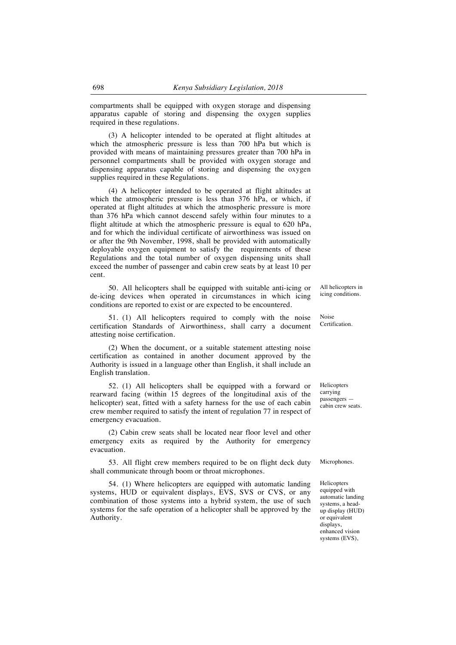compartments shall be equipped with oxygen storage and dispensing apparatus capable of storing and dispensing the oxygen supplies required in these regulations.

(3) A helicopter intended to be operated at flight altitudes at which the atmospheric pressure is less than 700 hPa but which is provided with means of maintaining pressures greater than 700 hPa in personnel compartments shall be provided with oxygen storage and dispensing apparatus capable of storing and dispensing the oxygen supplies required in these Regulations.

(4) A helicopter intended to be operated at flight altitudes at which the atmospheric pressure is less than 376 hPa, or which, if operated at flight altitudes at which the atmospheric pressure is more than 376 hPa which cannot descend safely within four minutes to a flight altitude at which the atmospheric pressure is equal to 620 hPa, and for which the individual certificate of airworthiness was issued on or after the 9th November, 1998, shall be provided with automatically deployable oxygen equipment to satisfy the requirements of these Regulations and the total number of oxygen dispensing units shall exceed the number of passenger and cabin crew seats by at least 10 per cent.

50. All helicopters shall be equipped with suitable anti-icing or de-icing devices when operated in circumstances in which icing conditions are reported to exist or are expected to be encountered.

51. (1) All helicopters required to comply with the noise certification Standards of Airworthiness, shall carry a document attesting noise certification.

(2) When the document, or a suitable statement attesting noise certification as contained in another document approved by the Authority is issued in a language other than English, it shall include an English translation.

52. (1) All helicopters shall be equipped with a forward or rearward facing (within 15 degrees of the longitudinal axis of the helicopter) seat, fitted with a safety harness for the use of each cabin crew member required to satisfy the intent of regulation 77 in respect of emergency evacuation.

(2) Cabin crew seats shall be located near floor level and other emergency exits as required by the Authority for emergency evacuation.

53. All flight crew members required to be on flight deck duty shall communicate through boom or throat microphones.

54. (1) Where helicopters are equipped with automatic landing systems, HUD or equivalent displays, EVS, SVS or CVS, or any combination of those systems into a hybrid system, the use of such systems for the safe operation of a helicopter shall be approved by the Authority.

All helicopters in icing conditions.

Noise Certification.

Helicopters carrying passengers cabin crew seats.

Microphones.

Helicopters equipped with automatic landing systems, a headup display (HUD) or equivalent displays, enhanced vision systems (EVS),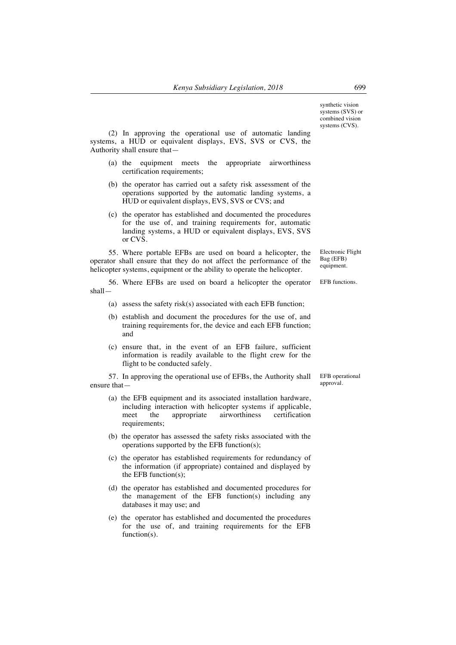synthetic vision systems (SVS) or combined vision systems (CVS).

(2) In approving the operational use of automatic landing systems, a HUD or equivalent displays, EVS, SVS or CVS, the Authority shall ensure that—

- (a) the equipment meets the appropriate airworthiness certification requirements;
- (b) the operator has carried out a safety risk assessment of the operations supported by the automatic landing systems, a HUD or equivalent displays, EVS, SVS or CVS; and
- (c) the operator has established and documented the procedures for the use of, and training requirements for, automatic landing systems, a HUD or equivalent displays, EVS, SVS or CVS.

55. Where portable EFBs are used on board a helicopter, the operator shall ensure that they do not affect the performance of the helicopter systems, equipment or the ability to operate the helicopter.

Electronic Flight Bag (EFB) equipment.

56. Where EFBs are used on board a helicopter the operator shall— EFB functions.

- (a) assess the safety risk(s) associated with each EFB function;
- (b) establish and document the procedures for the use of, and training requirements for, the device and each EFB function; and
- (c) ensure that, in the event of an EFB failure, sufficient information is readily available to the flight crew for the flight to be conducted safely.

57. In approving the operational use of EFBs, the Authority shall ensure that—

- (a) the EFB equipment and its associated installation hardware, including interaction with helicopter systems if applicable,<br>meet the appropriate airworthiness certification meet the appropriate airworthiness requirements;
- (b) the operator has assessed the safety risks associated with the operations supported by the EFB function(s);
- (c) the operator has established requirements for redundancy of the information (if appropriate) contained and displayed by the EFB function(s);
- (d) the operator has established and documented procedures for the management of the EFB function(s) including any databases it may use; and
- (e) the operator has established and documented the procedures for the use of, and training requirements for the EFB function(s).

EFB operational approval.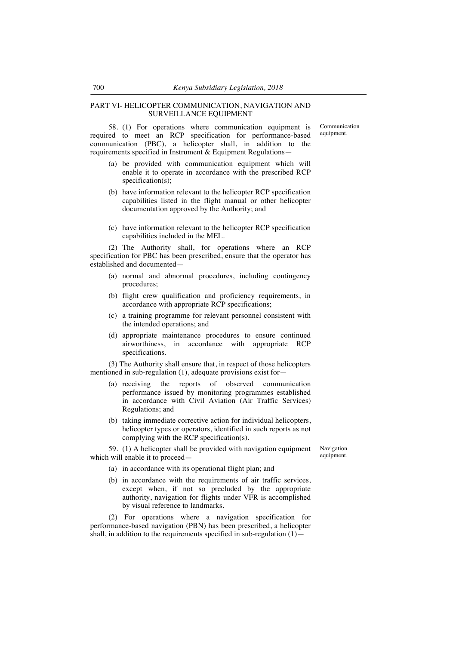## PART VI- HELICOPTER COMMUNICATION, NAVIGATION AND SURVEILLANCE EQUIPMENT

58. (1) For operations where communication equipment is required to meet an RCP specification for performance-based communication (PBC), a helicopter shall, in addition to the requirements specified in Instrument & Equipment Regulations—

- (a) be provided with communication equipment which will enable it to operate in accordance with the prescribed RCP specification(s);
- (b) have information relevant to the helicopter RCP specification capabilities listed in the flight manual or other helicopter documentation approved by the Authority; and
- (c) have information relevant to the helicopter RCP specification capabilities included in the MEL.

(2) The Authority shall, for operations where an RCP specification for PBC has been prescribed, ensure that the operator has established and documented—

- (a) normal and abnormal procedures, including contingency procedures;
- (b) flight crew qualification and proficiency requirements, in accordance with appropriate RCP specifications;
- (c) a training programme for relevant personnel consistent with the intended operations; and
- (d) appropriate maintenance procedures to ensure continued airworthiness, in accordance with appropriate RCP specifications.

(3) The Authority shall ensure that, in respect of those helicopters mentioned in sub-regulation (1), adequate provisions exist for—

- (a) receiving the reports of observed communication performance issued by monitoring programmes established in accordance with Civil Aviation (Air Traffic Services) Regulations; and
- (b) taking immediate corrective action for individual helicopters, helicopter types or operators, identified in such reports as not complying with the RCP specification(s).

59. (1) A helicopter shall be provided with navigation equipment which will enable it to proceed—

Navigation equipment.

- (a) in accordance with its operational flight plan; and
- (b) in accordance with the requirements of air traffic services, except when, if not so precluded by the appropriate authority, navigation for flights under VFR is accomplished by visual reference to landmarks.

(2) For operations where a navigation specification for performance-based navigation (PBN) has been prescribed, a helicopter shall, in addition to the requirements specified in sub-regulation  $(1)$ —

Communication equipment.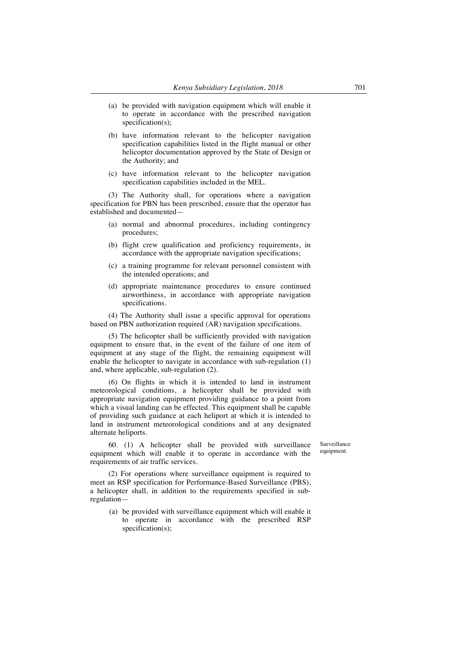- (a) be provided with navigation equipment which will enable it to operate in accordance with the prescribed navigation specification(s);
- (b) have information relevant to the helicopter navigation specification capabilities listed in the flight manual or other helicopter documentation approved by the State of Design or the Authority; and
- (c) have information relevant to the helicopter navigation specification capabilities included in the MEL.

(3) The Authority shall, for operations where a navigation specification for PBN has been prescribed, ensure that the operator has established and documented—

- (a) normal and abnormal procedures, including contingency procedures;
- (b) flight crew qualification and proficiency requirements, in accordance with the appropriate navigation specifications;
- (c) a training programme for relevant personnel consistent with the intended operations; and
- (d) appropriate maintenance procedures to ensure continued airworthiness, in accordance with appropriate navigation specifications.

(4) The Authority shall issue a specific approval for operations based on PBN authorization required (AR) navigation specifications.

(5) The helicopter shall be sufficiently provided with navigation equipment to ensure that, in the event of the failure of one item of equipment at any stage of the flight, the remaining equipment will enable the helicopter to navigate in accordance with sub-regulation (1) and, where applicable, sub-regulation (2).

(6) On flights in which it is intended to land in instrument meteorological conditions, a helicopter shall be provided with appropriate navigation equipment providing guidance to a point from which a visual landing can be effected. This equipment shall be capable of providing such guidance at each heliport at which it is intended to land in instrument meteorological conditions and at any designated alternate heliports.

60. (1) A helicopter shall be provided with surveillance equipment which will enable it to operate in accordance with the requirements of air traffic services.

Surveillance equipment.

(2) For operations where surveillance equipment is required to meet an RSP specification for Performance-Based Surveillance (PBS), a helicopter shall, in addition to the requirements specified in subregulation—

(a) be provided with surveillance equipment which will enable it to operate in accordance with the prescribed RSP specification(s);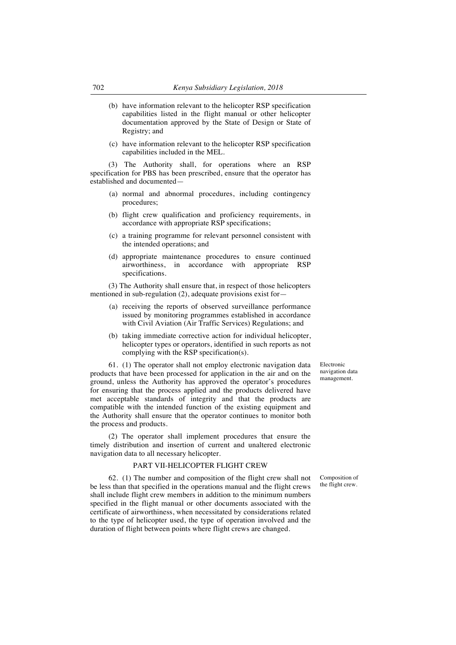- (b) have information relevant to the helicopter RSP specification capabilities listed in the flight manual or other helicopter documentation approved by the State of Design or State of Registry; and
- (c) have information relevant to the helicopter RSP specification capabilities included in the MEL.

(3) The Authority shall, for operations where an RSP specification for PBS has been prescribed, ensure that the operator has established and documented—

- (a) normal and abnormal procedures, including contingency procedures;
- (b) flight crew qualification and proficiency requirements, in accordance with appropriate RSP specifications;
- (c) a training programme for relevant personnel consistent with the intended operations; and
- (d) appropriate maintenance procedures to ensure continued airworthiness, in accordance with appropriate RSP specifications.

(3) The Authority shall ensure that, in respect of those helicopters mentioned in sub-regulation (2), adequate provisions exist for—

- (a) receiving the reports of observed surveillance performance issued by monitoring programmes established in accordance with Civil Aviation (Air Traffic Services) Regulations; and
- (b) taking immediate corrective action for individual helicopter, helicopter types or operators, identified in such reports as not complying with the RSP specification(s).

61. (1) The operator shall not employ electronic navigation data products that have been processed for application in the air and on the ground, unless the Authority has approved the operator's procedures for ensuring that the process applied and the products delivered have met acceptable standards of integrity and that the products are compatible with the intended function of the existing equipment and the Authority shall ensure that the operator continues to monitor both the process and products.

(2) The operator shall implement procedures that ensure the timely distribution and insertion of current and unaltered electronic navigation data to all necessary helicopter.

### PART VII-HELICOPTER FLIGHT CREW

62. (1) The number and composition of the flight crew shall not be less than that specified in the operations manual and the flight crews shall include flight crew members in addition to the minimum numbers specified in the flight manual or other documents associated with the certificate of airworthiness, when necessitated by considerations related to the type of helicopter used, the type of operation involved and the duration of flight between points where flight crews are changed.

Electronic navigation data management.

Composition of the flight crew.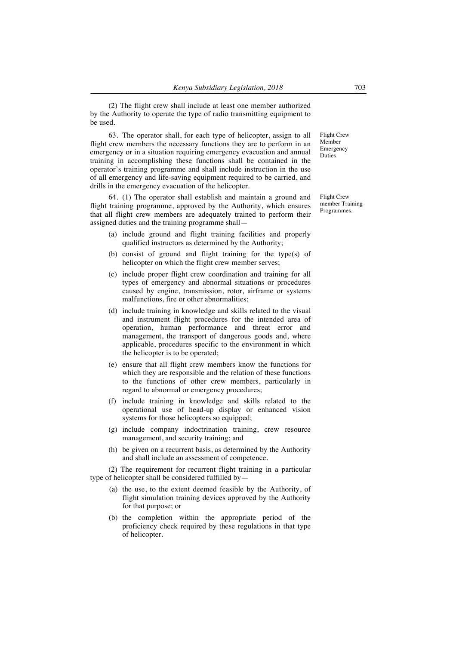(2) The flight crew shall include at least one member authorized by the Authority to operate the type of radio transmitting equipment to be used.

63. The operator shall, for each type of helicopter, assign to all flight crew members the necessary functions they are to perform in an emergency or in a situation requiring emergency evacuation and annual training in accomplishing these functions shall be contained in the operator's training programme and shall include instruction in the use of all emergency and life-saving equipment required to be carried, and drills in the emergency evacuation of the helicopter.

64. (1) The operator shall establish and maintain a ground and flight training programme, approved by the Authority, which ensures that all flight crew members are adequately trained to perform their assigned duties and the training programme shall—

- (a) include ground and flight training facilities and properly qualified instructors as determined by the Authority;
- (b) consist of ground and flight training for the type(s) of helicopter on which the flight crew member serves;
- (c) include proper flight crew coordination and training for all types of emergency and abnormal situations or procedures caused by engine, transmission, rotor, airframe or systems malfunctions, fire or other abnormalities;
- (d) include training in knowledge and skills related to the visual and instrument flight procedures for the intended area of operation, human performance and threat error and management, the transport of dangerous goods and, where applicable, procedures specific to the environment in which the helicopter is to be operated;
- (e) ensure that all flight crew members know the functions for which they are responsible and the relation of these functions to the functions of other crew members, particularly in regard to abnormal or emergency procedures;
- (f) include training in knowledge and skills related to the operational use of head-up display or enhanced vision systems for those helicopters so equipped;
- (g) include company indoctrination training, crew resource management, and security training; and
- (h) be given on a recurrent basis, as determined by the Authority and shall include an assessment of competence.

(2) The requirement for recurrent flight training in a particular type of helicopter shall be considered fulfilled by—

- (a) the use, to the extent deemed feasible by the Authority, of flight simulation training devices approved by the Authority for that purpose; or
- (b) the completion within the appropriate period of the proficiency check required by these regulations in that type of helicopter.

Flight Crew Member Emergency Duties.

Flight Crew member Training Programmes.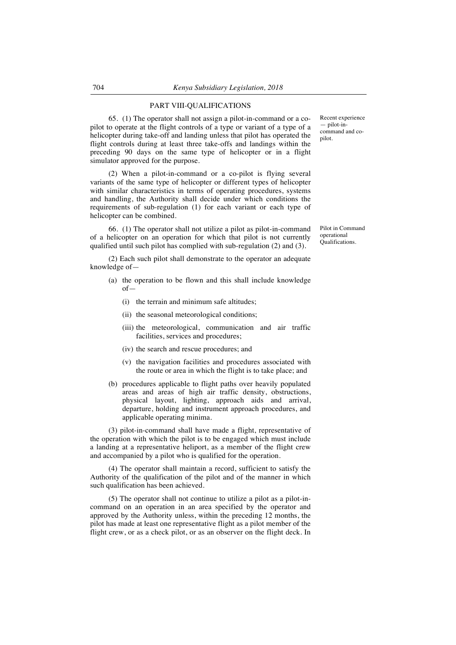## PART VIII-QUALIFICATIONS

65. (1) The operator shall not assign a pilot-in-command or a copilot to operate at the flight controls of a type or variant of a type of a helicopter during take-off and landing unless that pilot has operated the flight controls during at least three take-offs and landings within the preceding 90 days on the same type of helicopter or in a flight simulator approved for the purpose.

(2) When a pilot-in-command or a co-pilot is flying several variants of the same type of helicopter or different types of helicopter with similar characteristics in terms of operating procedures, systems and handling, the Authority shall decide under which conditions the requirements of sub-regulation (1) for each variant or each type of helicopter can be combined.

66. (1) The operator shall not utilize a pilot as pilot-in-command of a helicopter on an operation for which that pilot is not currently qualified until such pilot has complied with sub-regulation (2) and (3).

(2) Each such pilot shall demonstrate to the operator an adequate knowledge of—

- (a) the operation to be flown and this shall include knowledge of—
	- (i) the terrain and minimum safe altitudes;
	- (ii) the seasonal meteorological conditions;
	- (iii) the meteorological, communication and air traffic facilities, services and procedures;
	- (iv) the search and rescue procedures; and
	- (v) the navigation facilities and procedures associated with the route or area in which the flight is to take place; and
- (b) procedures applicable to flight paths over heavily populated areas and areas of high air traffic density, obstructions, physical layout, lighting, approach aids and arrival, departure, holding and instrument approach procedures, and applicable operating minima.

(3) pilot-in-command shall have made a flight, representative of the operation with which the pilot is to be engaged which must include a landing at a representative heliport, as a member of the flight crew and accompanied by a pilot who is qualified for the operation.

(4) The operator shall maintain a record, sufficient to satisfy the Authority of the qualification of the pilot and of the manner in which such qualification has been achieved.

(5) The operator shall not continue to utilize a pilot as a pilot-incommand on an operation in an area specified by the operator and approved by the Authority unless, within the preceding 12 months, the pilot has made at least one representative flight as a pilot member of the flight crew, or as a check pilot, or as an observer on the flight deck. In Recent experience — pilot-incommand and copilot.

Pilot in Command operational Qualifications.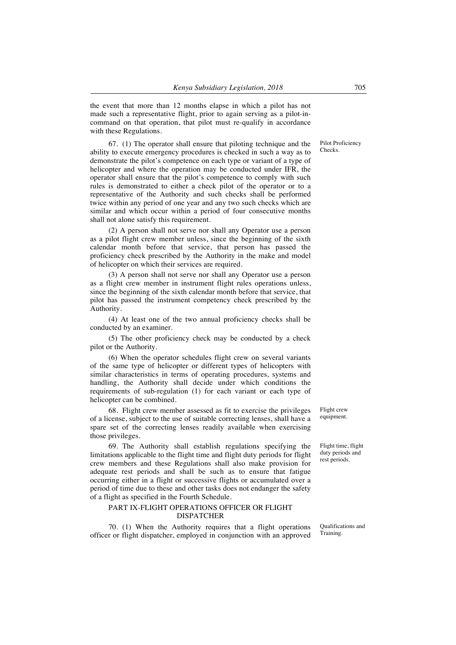the event that more than 12 months elapse in which a pilot has not made such a representative flight, prior to again serving as a pilot-incommand on that operation, that pilot must re-qualify in accordance with these Regulations.

67. (1) The operator shall ensure that piloting technique and the ability to execute emergency procedures is checked in such a way as to demonstrate the pilot's competence on each type or variant of a type of helicopter and where the operation may be conducted under IFR, the operator shall ensure that the pilot's competence to comply with such rules is demonstrated to either a check pilot of the operator or to a representative of the Authority and such checks shall be performed twice within any period of one year and any two such checks which are similar and which occur within a period of four consecutive months shall not alone satisfy this requirement.

(2) A person shall not serve nor shall any Operator use a person as a pilot flight crew member unless, since the beginning of the sixth calendar month before that service, that person has passed the proficiency check prescribed by the Authority in the make and model of helicopter on which their services are required.

(3) A person shall not serve nor shall any Operator use a person as a flight crew member in instrument flight rules operations unless, since the beginning of the sixth calendar month before that service, that pilot has passed the instrument competency check prescribed by the Authority.

(4) At least one of the two annual proficiency checks shall be conducted by an examiner.

(5) The other proficiency check may be conducted by a check pilot or the Authority.

(6) When the operator schedules flight crew on several variants of the same type of helicopter or different types of helicopters with similar characteristics in terms of operating procedures, systems and handling, the Authority shall decide under which conditions the requirements of sub-regulation (1) for each variant or each type of helicopter can be combined.

68. Flight crew member assessed as fit to exercise the privileges of a license, subject to the use of suitable correcting lenses, shall have a spare set of the correcting lenses readily available when exercising those privileges.

69. The Authority shall establish regulations specifying the limitations applicable to the flight time and flight duty periods for flight crew members and these Regulations shall also make provision for adequate rest periods and shall be such as to ensure that fatigue occurring either in a flight or successive flights or accumulated over a period of time due to these and other tasks does not endanger the safety of a flight as specified in the Fourth Schedule.

## PART IX-FLIGHT OPERATIONS OFFICER OR FLIGHT DISPATCHER

70. (1) When the Authority requires that a flight operations officer or flight dispatcher, employed in conjunction with an approved

Qualifications and Training.

Flight crew equipment.

Flight time, flight duty periods and rest periods.

Pilot Proficiency Checks.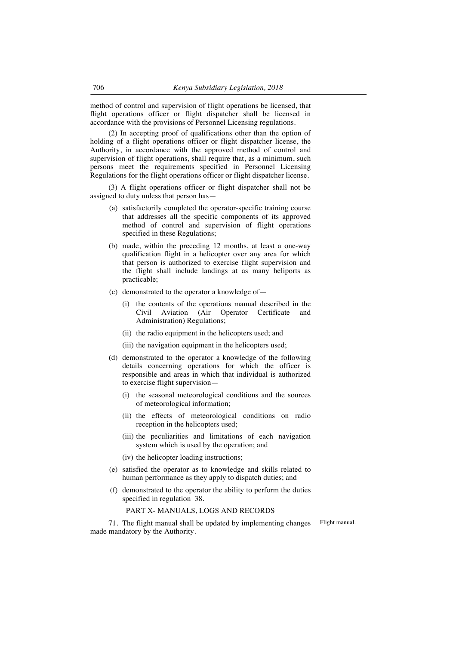method of control and supervision of flight operations be licensed, that flight operations officer or flight dispatcher shall be licensed in accordance with the provisions of Personnel Licensing regulations.

(2) In accepting proof of qualifications other than the option of holding of a flight operations officer or flight dispatcher license, the Authority, in accordance with the approved method of control and supervision of flight operations, shall require that, as a minimum, such persons meet the requirements specified in Personnel Licensing Regulations for the flight operations officer or flight dispatcher license.

(3) A flight operations officer or flight dispatcher shall not be assigned to duty unless that person has—

- (a) satisfactorily completed the operator-specific training course that addresses all the specific components of its approved method of control and supervision of flight operations specified in these Regulations;
- (b) made, within the preceding 12 months, at least a one-way qualification flight in a helicopter over any area for which that person is authorized to exercise flight supervision and the flight shall include landings at as many heliports as practicable;
- (c) demonstrated to the operator a knowledge of—
	- (i) the contents of the operations manual described in the Civil Aviation (Air Operator Certificate and Administration) Regulations;
	- (ii) the radio equipment in the helicopters used; and
	- (iii) the navigation equipment in the helicopters used;
- (d) demonstrated to the operator a knowledge of the following details concerning operations for which the officer is responsible and areas in which that individual is authorized to exercise flight supervision—
	- (i) the seasonal meteorological conditions and the sources of meteorological information;
	- (ii) the effects of meteorological conditions on radio reception in the helicopters used;
	- (iii) the peculiarities and limitations of each navigation system which is used by the operation; and
	- (iv) the helicopter loading instructions;
- (e) satisfied the operator as to knowledge and skills related to human performance as they apply to dispatch duties; and
- (f) demonstrated to the operator the ability to perform the duties specified in regulation 38.

# PART X- MANUALS, LOGS AND RECORDS

71. The flight manual shall be updated by implementing changes made mandatory by the Authority.

Flight manual.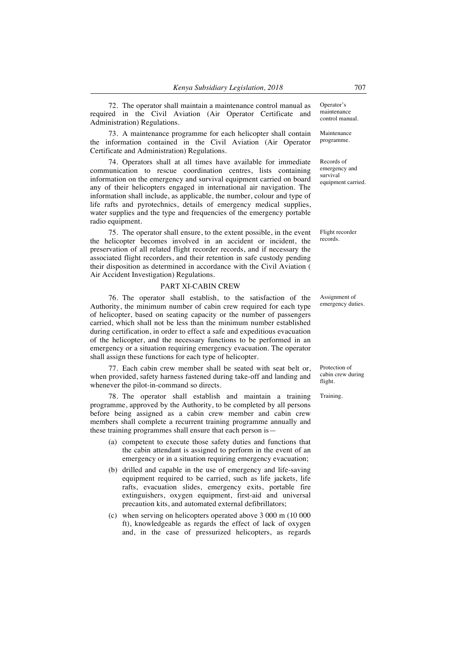72. The operator shall maintain a maintenance control manual as required in the Civil Aviation (Air Operator Certificate and Administration) Regulations.

73. A maintenance programme for each helicopter shall contain the information contained in the Civil Aviation (Air Operator Certificate and Administration) Regulations.

74. Operators shall at all times have available for immediate communication to rescue coordination centres, lists containing information on the emergency and survival equipment carried on board any of their helicopters engaged in international air navigation. The information shall include, as applicable, the number, colour and type of life rafts and pyrotechnics, details of emergency medical supplies, water supplies and the type and frequencies of the emergency portable radio equipment.

75. The operator shall ensure, to the extent possible, in the event the helicopter becomes involved in an accident or incident, the preservation of all related flight recorder records, and if necessary the associated flight recorders, and their retention in safe custody pending their disposition as determined in accordance with the Civil Aviation ( Air Accident Investigation) Regulations.

#### PART XI-CABIN CREW

76. The operator shall establish, to the satisfaction of the Authority, the minimum number of cabin crew required for each type of helicopter, based on seating capacity or the number of passengers carried, which shall not be less than the minimum number established during certification, in order to effect a safe and expeditious evacuation of the helicopter, and the necessary functions to be performed in an emergency or a situation requiring emergency evacuation. The operator shall assign these functions for each type of helicopter.

77. Each cabin crew member shall be seated with seat belt or, when provided, safety harness fastened during take-off and landing and whenever the pilot-in-command so directs.

78. The operator shall establish and maintain a training programme, approved by the Authority, to be completed by all persons before being assigned as a cabin crew member and cabin crew members shall complete a recurrent training programme annually and these training programmes shall ensure that each person is—

- (a) competent to execute those safety duties and functions that the cabin attendant is assigned to perform in the event of an emergency or in a situation requiring emergency evacuation;
- (b) drilled and capable in the use of emergency and life-saving equipment required to be carried, such as life jackets, life rafts, evacuation slides, emergency exits, portable fire extinguishers, oxygen equipment, first-aid and universal precaution kits, and automated external defibrillators;
- (c) when serving on helicopters operated above 3 000 m (10 000 ft), knowledgeable as regards the effect of lack of oxygen and, in the case of pressurized helicopters, as regards

Operator's maintenance control manual.

Maintenance programme.

Records of emergency and survival equipment carried.

Flight recorder records.

Assignment of emergency duties.

Protection of cabin crew during flight.

Training.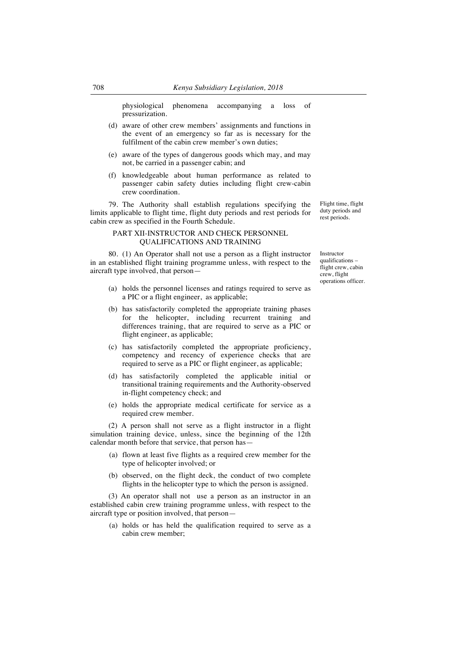physiological phenomena accompanying a loss of pressurization.

- (d) aware of other crew members' assignments and functions in the event of an emergency so far as is necessary for the fulfilment of the cabin crew member's own duties;
- (e) aware of the types of dangerous goods which may, and may not, be carried in a passenger cabin; and
- (f) knowledgeable about human performance as related to passenger cabin safety duties including flight crew-cabin crew coordination.

79. The Authority shall establish regulations specifying the limits applicable to flight time, flight duty periods and rest periods for cabin crew as specified in the Fourth Schedule.

## PART XII-INSTRUCTOR AND CHECK PERSONNEL QUALIFICATIONS AND TRAINING

80. (1) An Operator shall not use a person as a flight instructor in an established flight training programme unless, with respect to the aircraft type involved, that person—

- (a) holds the personnel licenses and ratings required to serve as a PIC or a flight engineer, as applicable;
- (b) has satisfactorily completed the appropriate training phases for the helicopter, including recurrent training and differences training, that are required to serve as a PIC or flight engineer, as applicable;
- (c) has satisfactorily completed the appropriate proficiency, competency and recency of experience checks that are required to serve as a PIC or flight engineer, as applicable;
- (d) has satisfactorily completed the applicable initial or transitional training requirements and the Authority-observed in-flight competency check; and
- (e) holds the appropriate medical certificate for service as a required crew member.

(2) A person shall not serve as a flight instructor in a flight simulation training device, unless, since the beginning of the 12th calendar month before that service, that person has—

- (a) flown at least five flights as a required crew member for the type of helicopter involved; or
- (b) observed, on the flight deck, the conduct of two complete flights in the helicopter type to which the person is assigned.

(3) An operator shall not use a person as an instructor in an established cabin crew training programme unless, with respect to the aircraft type or position involved, that person—

(a) holds or has held the qualification required to serve as a cabin crew member;

Flight time, flight duty periods and rest periods.

Instructor qualifications – flight crew, cabin crew, flight operations officer.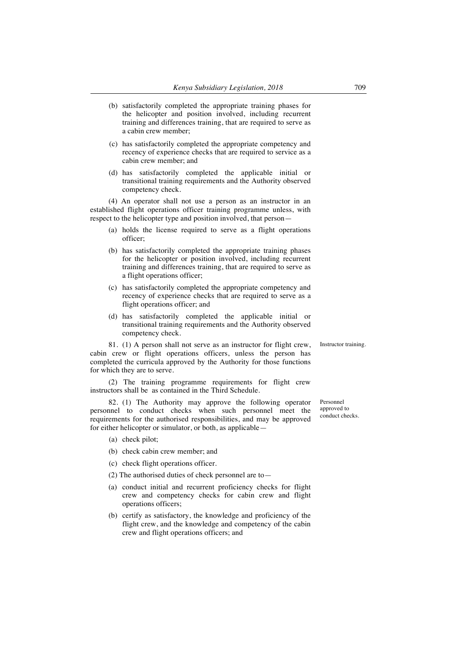- (b) satisfactorily completed the appropriate training phases for the helicopter and position involved, including recurrent training and differences training, that are required to serve as a cabin crew member;
- (c) has satisfactorily completed the appropriate competency and recency of experience checks that are required to service as a cabin crew member; and
- (d) has satisfactorily completed the applicable initial or transitional training requirements and the Authority observed competency check.

(4) An operator shall not use a person as an instructor in an established flight operations officer training programme unless, with respect to the helicopter type and position involved, that person—

- (a) holds the license required to serve as a flight operations officer;
- (b) has satisfactorily completed the appropriate training phases for the helicopter or position involved, including recurrent training and differences training, that are required to serve as a flight operations officer;
- (c) has satisfactorily completed the appropriate competency and recency of experience checks that are required to serve as a flight operations officer; and
- (d) has satisfactorily completed the applicable initial or transitional training requirements and the Authority observed competency check.

81. (1) A person shall not serve as an instructor for flight crew, cabin crew or flight operations officers, unless the person has completed the curricula approved by the Authority for those functions for which they are to serve.

(2) The training programme requirements for flight crew instructors shall be as contained in the Third Schedule.

82. (1) The Authority may approve the following operator personnel to conduct checks when such personnel meet the requirements for the authorised responsibilities, and may be approved for either helicopter or simulator, or both, as applicable—

- (a) check pilot;
- (b) check cabin crew member; and
- (c) check flight operations officer.
- (2) The authorised duties of check personnel are to—
- (a) conduct initial and recurrent proficiency checks for flight crew and competency checks for cabin crew and flight operations officers;
- (b) certify as satisfactory, the knowledge and proficiency of the flight crew, and the knowledge and competency of the cabin crew and flight operations officers; and

Personnel approved to conduct checks.

Instructor training.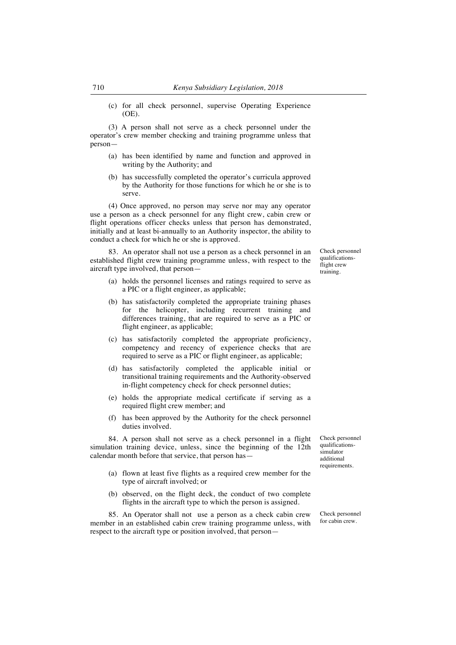(c) for all check personnel, supervise Operating Experience (OE).

(3) A person shall not serve as a check personnel under the operator's crew member checking and training programme unless that person—

- (a) has been identified by name and function and approved in writing by the Authority; and
- (b) has successfully completed the operator's curricula approved by the Authority for those functions for which he or she is to serve.

(4) Once approved, no person may serve nor may any operator use a person as a check personnel for any flight crew, cabin crew or flight operations officer checks unless that person has demonstrated, initially and at least bi-annually to an Authority inspector, the ability to conduct a check for which he or she is approved.

83. An operator shall not use a person as a check personnel in an established flight crew training programme unless, with respect to the aircraft type involved, that person—

- (a) holds the personnel licenses and ratings required to serve as a PIC or a flight engineer, as applicable;
- (b) has satisfactorily completed the appropriate training phases for the helicopter, including recurrent training and differences training, that are required to serve as a PIC or flight engineer, as applicable;
- (c) has satisfactorily completed the appropriate proficiency, competency and recency of experience checks that are required to serve as a PIC or flight engineer, as applicable;
- (d) has satisfactorily completed the applicable initial or transitional training requirements and the Authority-observed in-flight competency check for check personnel duties;
- (e) holds the appropriate medical certificate if serving as a required flight crew member; and
- (f) has been approved by the Authority for the check personnel duties involved.

84. A person shall not serve as a check personnel in a flight simulation training device, unless, since the beginning of the 12th calendar month before that service, that person has—

- (a) flown at least five flights as a required crew member for the type of aircraft involved; or
- (b) observed, on the flight deck, the conduct of two complete flights in the aircraft type to which the person is assigned.

85. An Operator shall not use a person as a check cabin crew member in an established cabin crew training programme unless, with respect to the aircraft type or position involved, that personCheck personnel qualificationssimulator additional requirements.

Check personnel for cabin crew.

Check personnel qualificationsflight crew training.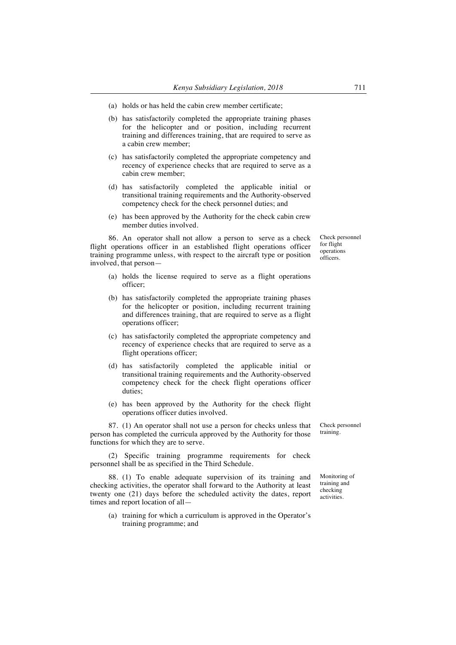- (a) holds or has held the cabin crew member certificate;
- (b) has satisfactorily completed the appropriate training phases for the helicopter and or position, including recurrent training and differences training, that are required to serve as a cabin crew member;
- (c) has satisfactorily completed the appropriate competency and recency of experience checks that are required to serve as a cabin crew member;
- (d) has satisfactorily completed the applicable initial or transitional training requirements and the Authority-observed competency check for the check personnel duties; and
- (e) has been approved by the Authority for the check cabin crew member duties involved.

86. An operator shall not allow a person to serve as a check flight operations officer in an established flight operations officer training programme unless, with respect to the aircraft type or position involved, that person—

- (a) holds the license required to serve as a flight operations officer;
- (b) has satisfactorily completed the appropriate training phases for the helicopter or position, including recurrent training and differences training, that are required to serve as a flight operations officer;
- (c) has satisfactorily completed the appropriate competency and recency of experience checks that are required to serve as a flight operations officer;
- (d) has satisfactorily completed the applicable initial or transitional training requirements and the Authority-observed competency check for the check flight operations officer duties;
- (e) has been approved by the Authority for the check flight operations officer duties involved.

87. (1) An operator shall not use a person for checks unless that person has completed the curricula approved by the Authority for those functions for which they are to serve.

(2) Specific training programme requirements for check personnel shall be as specified in the Third Schedule.

88. (1) To enable adequate supervision of its training and checking activities, the operator shall forward to the Authority at least twenty one (21) days before the scheduled activity the dates, report times and report location of all—

(a) training for which a curriculum is approved in the Operator's training programme; and

Check personnel training.

Monitoring of training and checking activities.

Check personnel for flight operations officers.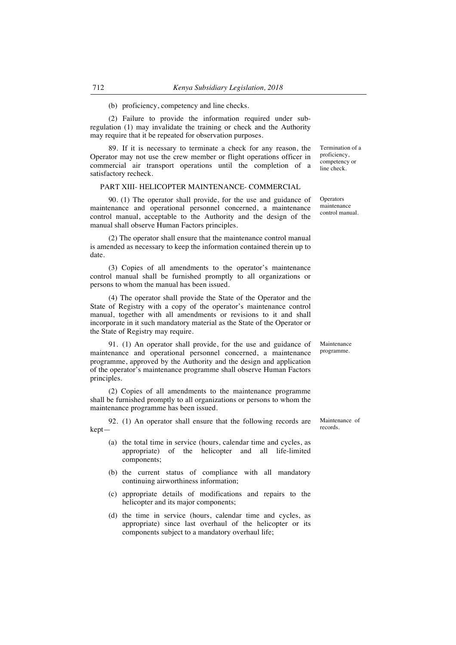## (b) proficiency, competency and line checks.

(2) Failure to provide the information required under subregulation (1) may invalidate the training or check and the Authority may require that it be repeated for observation purposes.

89. If it is necessary to terminate a check for any reason, the Operator may not use the crew member or flight operations officer in commercial air transport operations until the completion of a satisfactory recheck.

#### PART XIII- HELICOPTER MAINTENANCE- COMMERCIAL

90. (1) The operator shall provide, for the use and guidance of maintenance and operational personnel concerned, a maintenance control manual, acceptable to the Authority and the design of the manual shall observe Human Factors principles.

(2) The operator shall ensure that the maintenance control manual is amended as necessary to keep the information contained therein up to date.

(3) Copies of all amendments to the operator's maintenance control manual shall be furnished promptly to all organizations or persons to whom the manual has been issued.

(4) The operator shall provide the State of the Operator and the State of Registry with a copy of the operator's maintenance control manual, together with all amendments or revisions to it and shall incorporate in it such mandatory material as the State of the Operator or the State of Registry may require.

91. (1) An operator shall provide, for the use and guidance of maintenance and operational personnel concerned, a maintenance programme, approved by the Authority and the design and application of the operator's maintenance programme shall observe Human Factors principles.

(2) Copies of all amendments to the maintenance programme shall be furnished promptly to all organizations or persons to whom the maintenance programme has been issued.

92. (1) An operator shall ensure that the following records are kept—

- (a) the total time in service (hours, calendar time and cycles, as appropriate) of the helicopter and all life-limited components;
- (b) the current status of compliance with all mandatory continuing airworthiness information;
- (c) appropriate details of modifications and repairs to the helicopter and its major components;
- (d) the time in service (hours, calendar time and cycles, as appropriate) since last overhaul of the helicopter or its components subject to a mandatory overhaul life;

proficiency, competency or line check.

Termination of a

**Operators** maintenance control manual.

Maintenance programme.

Maintenance of records.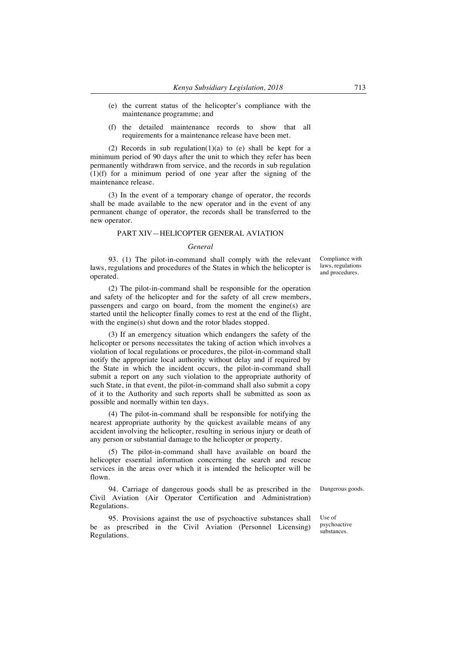- (e) the current status of the helicopter's compliance with the maintenance programme; and
- (f) the detailed maintenance records to show that all requirements for a maintenance release have been met.

(2) Records in sub regulation(1)(a) to (e) shall be kept for a minimum period of 90 days after the unit to which they refer has been permanently withdrawn from service, and the records in sub regulation (1)(f) for a minimum period of one year after the signing of the maintenance release.

(3) In the event of a temporary change of operator, the records shall be made available to the new operator and in the event of any permanent change of operator, the records shall be transferred to the new operator.

## PART XIV—HELICOPTER GENERAL AVIATION

## *General*

93. (1) The pilot-in-command shall comply with the relevant laws, regulations and procedures of the States in which the helicopter is operated.

(2) The pilot-in-command shall be responsible for the operation and safety of the helicopter and for the safety of all crew members, passengers and cargo on board, from the moment the engine(s) are started until the helicopter finally comes to rest at the end of the flight, with the engine(s) shut down and the rotor blades stopped.

(3) If an emergency situation which endangers the safety of the helicopter or persons necessitates the taking of action which involves a violation of local regulations or procedures, the pilot-in-command shall notify the appropriate local authority without delay and if required by the State in which the incident occurs, the pilot-in-command shall submit a report on any such violation to the appropriate authority of such State, in that event, the pilot-in-command shall also submit a copy of it to the Authority and such reports shall be submitted as soon as possible and normally within ten days.

(4) The pilot-in-command shall be responsible for notifying the nearest appropriate authority by the quickest available means of any accident involving the helicopter, resulting in serious injury or death of any person or substantial damage to the helicopter or property.

(5) The pilot-in-command shall have available on board the helicopter essential information concerning the search and rescue services in the areas over which it is intended the helicopter will be flown.

94. Carriage of dangerous goods shall be as prescribed in the Civil Aviation (Air Operator Certification and Administration) Regulations.

95. Provisions against the use of psychoactive substances shall be as prescribed in the Civil Aviation (Personnel Licensing) Regulations.

Compliance with laws, regulations and procedures.

Dangerous goods.

Use of psychoactive substances.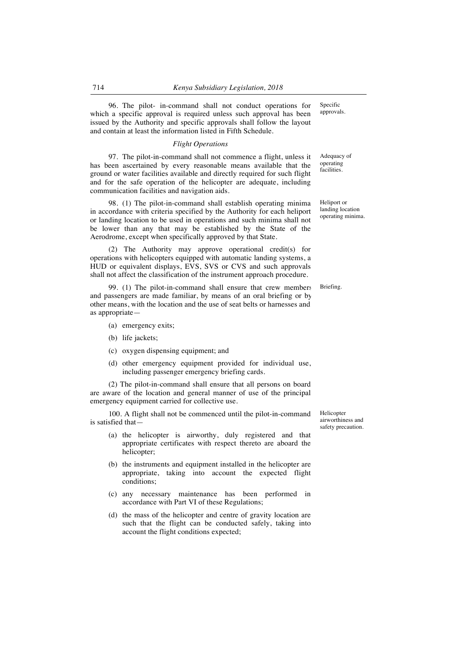96. The pilot- in-command shall not conduct operations for which a specific approval is required unless such approval has been issued by the Authority and specific approvals shall follow the layout and contain at least the information listed in Fifth Schedule.

### *Flight Operations*

97. The pilot-in-command shall not commence a flight, unless it has been ascertained by every reasonable means available that the ground or water facilities available and directly required for such flight and for the safe operation of the helicopter are adequate, including communication facilities and navigation aids.

98. (1) The pilot-in-command shall establish operating minima in accordance with criteria specified by the Authority for each heliport or landing location to be used in operations and such minima shall not be lower than any that may be established by the State of the Aerodrome, except when specifically approved by that State.

(2) The Authority may approve operational credit(s) for operations with helicopters equipped with automatic landing systems, a HUD or equivalent displays, EVS, SVS or CVS and such approvals shall not affect the classification of the instrument approach procedure.

99. (1) The pilot-in-command shall ensure that crew members and passengers are made familiar, by means of an oral briefing or by other means, with the location and the use of seat belts or harnesses and, as appropriate—

- (a) emergency exits;
- (b) life jackets;
- (c) oxygen dispensing equipment; and
- (d) other emergency equipment provided for individual use, including passenger emergency briefing cards.

(2) The pilot-in-command shall ensure that all persons on board are aware of the location and general manner of use of the principal emergency equipment carried for collective use.

100. A flight shall not be commenced until the pilot-in-command is satisfied that—

- (a) the helicopter is airworthy, duly registered and that appropriate certificates with respect thereto are aboard the helicopter;
- (b) the instruments and equipment installed in the helicopter are appropriate, taking into account the expected flight conditions;
- (c) any necessary maintenance has been performed in accordance with Part VI of these Regulations;
- (d) the mass of the helicopter and centre of gravity location are such that the flight can be conducted safely, taking into account the flight conditions expected;

Helicopter airworthiness and safety precaution.

Specific approvals.

Adequacy of operating facilities.

Heliport or landing location operating minima.

Briefing.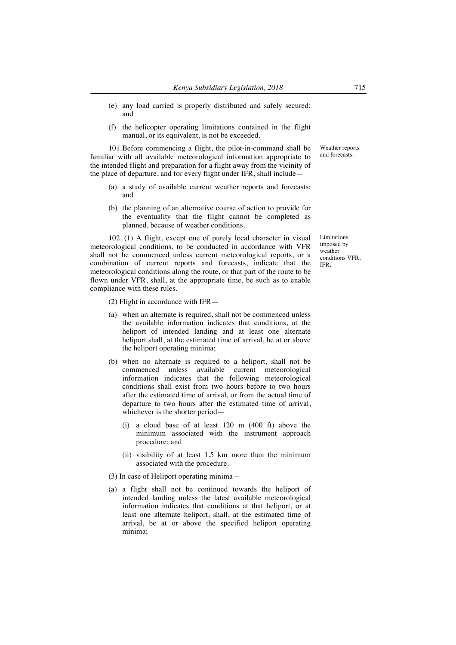- (e) any load carried is properly distributed and safely secured; and
- (f) the helicopter operating limitations contained in the flight manual, or its equivalent, is not be exceeded.

101.Before commencing a flight, the pilot-in-command shall be familiar with all available meteorological information appropriate to the intended flight and preparation for a flight away from the vicinity of the place of departure, and for every flight under IFR, shall include—

- (a) a study of available current weather reports and forecasts; and
- (b) the planning of an alternative course of action to provide for the eventuality that the flight cannot be completed as planned, because of weather conditions.

102. (1) A flight, except one of purely local character in visual meteorological conditions, to be conducted in accordance with VFR shall not be commenced unless current meteorological reports, or a combination of current reports and forecasts, indicate that the meteorological conditions along the route, or that part of the route to be flown under VFR, shall, at the appropriate time, be such as to enable compliance with these rules.

(2) Flight in accordance with IFR—

- (a) when an alternate is required, shall not be commenced unless the available information indicates that conditions, at the heliport of intended landing and at least one alternate heliport shall, at the estimated time of arrival, be at or above the heliport operating minima;
- (b) when no alternate is required to a heliport, shall not be commenced unless available current meteorological information indicates that the following meteorological conditions shall exist from two hours before to two hours after the estimated time of arrival, or from the actual time of departure to two hours after the estimated time of arrival, whichever is the shorter period—
	- (i) a cloud base of at least 120 m (400 ft) above the minimum associated with the instrument approach procedure; and
	- (ii) visibility of at least 1.5 km more than the minimum associated with the procedure.

#### (3) In case of Heliport operating minima—

(a) a flight shall not be continued towards the heliport of intended landing unless the latest available meteorological information indicates that conditions at that heliport, or at least one alternate heliport, shall, at the estimated time of arrival, be at or above the specified heliport operating minima;

Weather reports and forecasts.

Limitations imposed by weather conditions VFR, IFR.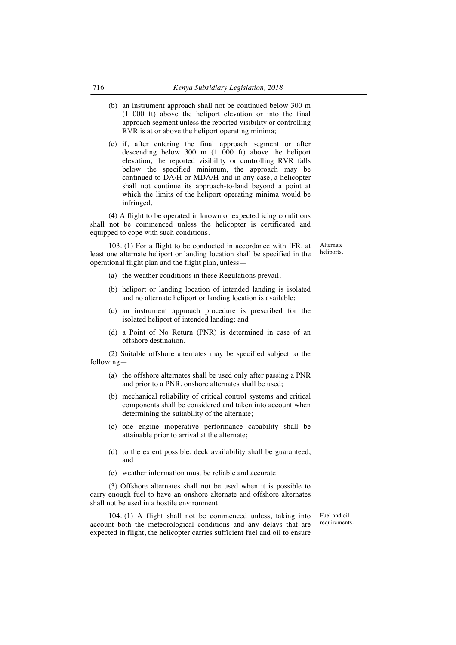- (b) an instrument approach shall not be continued below 300 m (1 000 ft) above the heliport elevation or into the final approach segment unless the reported visibility or controlling RVR is at or above the heliport operating minima;
- (c) if, after entering the final approach segment or after descending below 300 m (1 000 ft) above the heliport elevation, the reported visibility or controlling RVR falls below the specified minimum, the approach may be continued to DA/H or MDA/H and in any case, a helicopter shall not continue its approach-to-land beyond a point at which the limits of the heliport operating minima would be infringed.

(4) A flight to be operated in known or expected icing conditions shall not be commenced unless the helicopter is certificated and equipped to cope with such conditions.

103. (1) For a flight to be conducted in accordance with IFR, at least one alternate heliport or landing location shall be specified in the operational flight plan and the flight plan, unless—

Alternate heliports.

- (a) the weather conditions in these Regulations prevail;
- (b) heliport or landing location of intended landing is isolated and no alternate heliport or landing location is available;
- (c) an instrument approach procedure is prescribed for the isolated heliport of intended landing; and
- (d) a Point of No Return (PNR) is determined in case of an offshore destination.

(2) Suitable offshore alternates may be specified subject to the following—

- (a) the offshore alternates shall be used only after passing a PNR and prior to a PNR, onshore alternates shall be used;
- (b) mechanical reliability of critical control systems and critical components shall be considered and taken into account when determining the suitability of the alternate;
- (c) one engine inoperative performance capability shall be attainable prior to arrival at the alternate;
- (d) to the extent possible, deck availability shall be guaranteed; and
- (e) weather information must be reliable and accurate.

(3) Offshore alternates shall not be used when it is possible to carry enough fuel to have an onshore alternate and offshore alternates shall not be used in a hostile environment.

104. (1) A flight shall not be commenced unless, taking into account both the meteorological conditions and any delays that are expected in flight, the helicopter carries sufficient fuel and oil to ensure Fuel and oil requirements.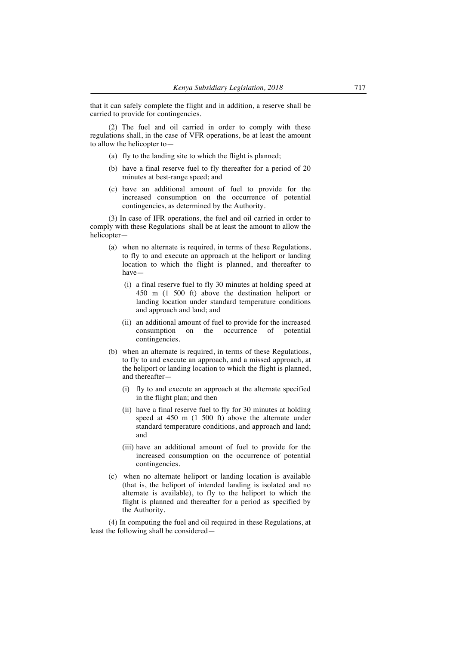that it can safely complete the flight and in addition, a reserve shall be carried to provide for contingencies.

(2) The fuel and oil carried in order to comply with these regulations shall, in the case of VFR operations, be at least the amount to allow the helicopter to—

- (a) fly to the landing site to which the flight is planned;
- (b) have a final reserve fuel to fly thereafter for a period of 20 minutes at best-range speed; and
- (c) have an additional amount of fuel to provide for the increased consumption on the occurrence of potential contingencies, as determined by the Authority.

(3) In case of IFR operations, the fuel and oil carried in order to comply with these Regulations shall be at least the amount to allow the helicopter—

- (a) when no alternate is required, in terms of these Regulations, to fly to and execute an approach at the heliport or landing location to which the flight is planned, and thereafter to have—
	- (i) a final reserve fuel to fly 30 minutes at holding speed at 450 m (1 500 ft) above the destination heliport or landing location under standard temperature conditions and approach and land; and
	- (ii) an additional amount of fuel to provide for the increased consumption on the occurrence of potential contingencies.
- (b) when an alternate is required, in terms of these Regulations, to fly to and execute an approach, and a missed approach, at the heliport or landing location to which the flight is planned, and thereafter—
	- (i) fly to and execute an approach at the alternate specified in the flight plan; and then
	- (ii) have a final reserve fuel to fly for 30 minutes at holding speed at 450 m (1 500 ft) above the alternate under standard temperature conditions, and approach and land; and
	- (iii) have an additional amount of fuel to provide for the increased consumption on the occurrence of potential contingencies.
- (c) when no alternate heliport or landing location is available (that is, the heliport of intended landing is isolated and no alternate is available), to fly to the heliport to which the flight is planned and thereafter for a period as specified by the Authority.

(4) In computing the fuel and oil required in these Regulations, at least the following shall be considered—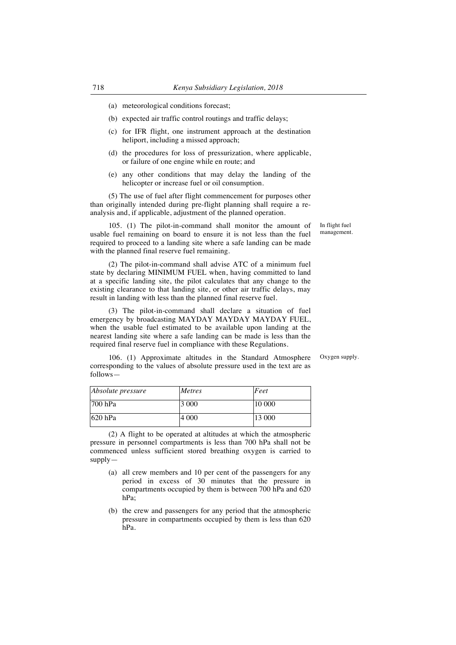- (a) meteorological conditions forecast;
- (b) expected air traffic control routings and traffic delays;
- (c) for IFR flight, one instrument approach at the destination heliport, including a missed approach;
- (d) the procedures for loss of pressurization, where applicable, or failure of one engine while en route; and
- (e) any other conditions that may delay the landing of the helicopter or increase fuel or oil consumption.

(5) The use of fuel after flight commencement for purposes other than originally intended during pre-flight planning shall require a reanalysis and, if applicable, adjustment of the planned operation.

105. (1) The pilot-in-command shall monitor the amount of usable fuel remaining on board to ensure it is not less than the fuel required to proceed to a landing site where a safe landing can be made with the planned final reserve fuel remaining.

(2) The pilot-in-command shall advise ATC of a minimum fuel state by declaring MINIMUM FUEL when, having committed to land at a specific landing site, the pilot calculates that any change to the existing clearance to that landing site, or other air traffic delays, may result in landing with less than the planned final reserve fuel.

(3) The pilot-in-command shall declare a situation of fuel emergency by broadcasting MAYDAY MAYDAY MAYDAY FUEL, when the usable fuel estimated to be available upon landing at the nearest landing site where a safe landing can be made is less than the required final reserve fuel in compliance with these Regulations.

Oxygen supply.

In flight fuel management.

106. (1) Approximate altitudes in the Standard Atmosphere corresponding to the values of absolute pressure used in the text are as follows—

| Absolute pressure | <b>Metres</b> | Feet   |
|-------------------|---------------|--------|
| $700$ hPa         | 3 0 0 0       | 10 000 |
| $620$ hPa         | 4 000         | 13 000 |

(2) A flight to be operated at altitudes at which the atmospheric pressure in personnel compartments is less than 700 hPa shall not be commenced unless sufficient stored breathing oxygen is carried to supply—

- (a) all crew members and 10 per cent of the passengers for any period in excess of 30 minutes that the pressure in compartments occupied by them is between 700 hPa and 620 hPa;
- (b) the crew and passengers for any period that the atmospheric pressure in compartments occupied by them is less than 620 hPa.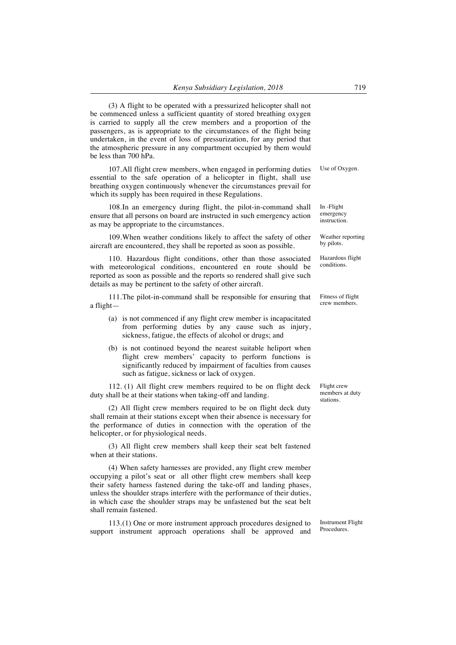(3) A flight to be operated with a pressurized helicopter shall not be commenced unless a sufficient quantity of stored breathing oxygen is carried to supply all the crew members and a proportion of the passengers, as is appropriate to the circumstances of the flight being undertaken, in the event of loss of pressurization, for any period that the atmospheric pressure in any compartment occupied by them would be less than 700 hPa.

107.All flight crew members, when engaged in performing duties essential to the safe operation of a helicopter in flight, shall use breathing oxygen continuously whenever the circumstances prevail for which its supply has been required in these Regulations.

108.In an emergency during flight, the pilot-in-command shall ensure that all persons on board are instructed in such emergency action as may be appropriate to the circumstances.

109.When weather conditions likely to affect the safety of other aircraft are encountered, they shall be reported as soon as possible.

110. Hazardous flight conditions, other than those associated with meteorological conditions, encountered en route should be reported as soon as possible and the reports so rendered shall give such details as may be pertinent to the safety of other aircraft.

111.The pilot-in-command shall be responsible for ensuring that a flight—

- (a) is not commenced if any flight crew member is incapacitated from performing duties by any cause such as injury, sickness, fatigue, the effects of alcohol or drugs; and
- (b) is not continued beyond the nearest suitable heliport when flight crew members' capacity to perform functions is significantly reduced by impairment of faculties from causes such as fatigue, sickness or lack of oxygen.

112. (1) All flight crew members required to be on flight deck duty shall be at their stations when taking-off and landing.

(2) All flight crew members required to be on flight deck duty shall remain at their stations except when their absence is necessary for the performance of duties in connection with the operation of the helicopter, or for physiological needs.

(3) All flight crew members shall keep their seat belt fastened when at their stations.

(4) When safety harnesses are provided, any flight crew member occupying a pilot's seat or all other flight crew members shall keep their safety harness fastened during the take-off and landing phases, unless the shoulder straps interfere with the performance of their duties, in which case the shoulder straps may be unfastened but the seat belt shall remain fastened.

113.(1) One or more instrument approach procedures designed to support instrument approach operations shall be approved and

Instrument Flight Procedures.

Flight crew members at duty stations.

Use of Oxygen.

In -Flight emergency instruction.

Weather reporting by pilots.

Hazardous flight conditions.

Fitness of flight crew members.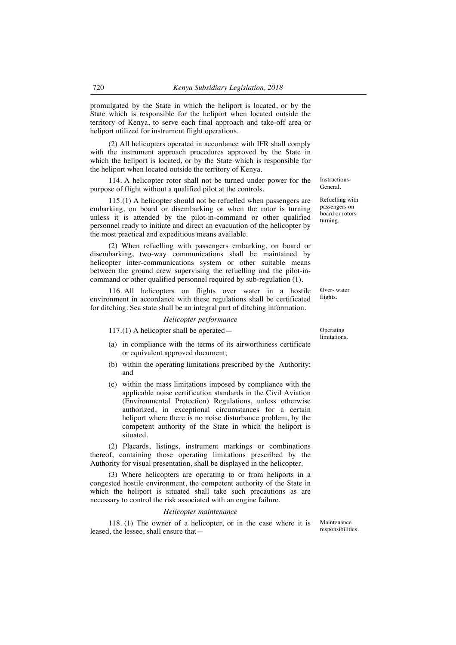promulgated by the State in which the heliport is located, or by the State which is responsible for the heliport when located outside the territory of Kenya, to serve each final approach and take-off area or heliport utilized for instrument flight operations.

(2) All helicopters operated in accordance with IFR shall comply with the instrument approach procedures approved by the State in which the heliport is located, or by the State which is responsible for the heliport when located outside the territory of Kenya.

114. A helicopter rotor shall not be turned under power for the purpose of flight without a qualified pilot at the controls.

115.(1) A helicopter should not be refuelled when passengers are embarking, on board or disembarking or when the rotor is turning unless it is attended by the pilot-in-command or other qualified personnel ready to initiate and direct an evacuation of the helicopter by the most practical and expeditious means available.

(2) When refuelling with passengers embarking, on board or disembarking, two-way communications shall be maintained by helicopter inter-communications system or other suitable means between the ground crew supervising the refuelling and the pilot-incommand or other qualified personnel required by sub-regulation (1).

116. All helicopters on flights over water in a hostile environment in accordance with these regulations shall be certificated for ditching. Sea state shall be an integral part of ditching information.

### *Helicopter performance*

117.(1) A helicopter shall be operated— Operating

- (a) in compliance with the terms of its airworthiness certificate or equivalent approved document;
- (b) within the operating limitations prescribed by the Authority; and
- (c) within the mass limitations imposed by compliance with the applicable noise certification standards in the Civil Aviation (Environmental Protection) Regulations, unless otherwise authorized, in exceptional circumstances for a certain heliport where there is no noise disturbance problem, by the competent authority of the State in which the heliport is situated.

(2) Placards, listings, instrument markings or combinations thereof, containing those operating limitations prescribed by the Authority for visual presentation, shall be displayed in the helicopter.

(3) Where helicopters are operating to or from heliports in a congested hostile environment, the competent authority of the State in which the heliport is situated shall take such precautions as are necessary to control the risk associated with an engine failure.

### *Helicopter maintenance*

118. (1) The owner of a helicopter, or in the case where it is leased, the lessee, shall ensure that—

Maintenance responsibilities.

limitations.

Over- water flights.

Instructions-General.

Refuelling with passengers on board or rotors turning.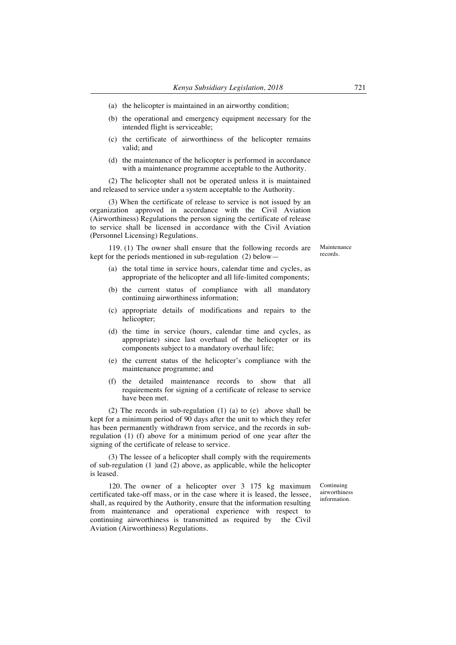- (a) the helicopter is maintained in an airworthy condition;
- (b) the operational and emergency equipment necessary for the intended flight is serviceable;
- (c) the certificate of airworthiness of the helicopter remains valid; and
- (d) the maintenance of the helicopter is performed in accordance with a maintenance programme acceptable to the Authority.

(2) The helicopter shall not be operated unless it is maintained and released to service under a system acceptable to the Authority.

(3) When the certificate of release to service is not issued by an organization approved in accordance with the Civil Aviation (Airworthiness) Regulations the person signing the certificate of release to service shall be licensed in accordance with the Civil Aviation (Personnel Licensing) Regulations.

119. (1) The owner shall ensure that the following records are kept for the periods mentioned in sub-regulation (2) below—

- (a) the total time in service hours, calendar time and cycles, as appropriate of the helicopter and all life-limited components;
- (b) the current status of compliance with all mandatory continuing airworthiness information;
- (c) appropriate details of modifications and repairs to the helicopter;
- (d) the time in service (hours, calendar time and cycles, as appropriate) since last overhaul of the helicopter or its components subject to a mandatory overhaul life;
- (e) the current status of the helicopter's compliance with the maintenance programme; and
- (f) the detailed maintenance records to show that all requirements for signing of a certificate of release to service have been met.

(2) The records in sub-regulation (1) (a) to (e) above shall be kept for a minimum period of 90 days after the unit to which they refer has been permanently withdrawn from service, and the records in subregulation (1) (f) above for a minimum period of one year after the signing of the certificate of release to service.

(3) The lessee of a helicopter shall comply with the requirements of sub-regulation (1 )and (2) above, as applicable, while the helicopter is leased.

120. The owner of a helicopter over 3 175 kg maximum certificated take-off mass, or in the case where it is leased, the lessee, shall, as required by the Authority, ensure that the information resulting from maintenance and operational experience with respect to continuing airworthiness is transmitted as required by the Civil Aviation (Airworthiness) Regulations.

Continuing airworthiness information.

Maintenance records.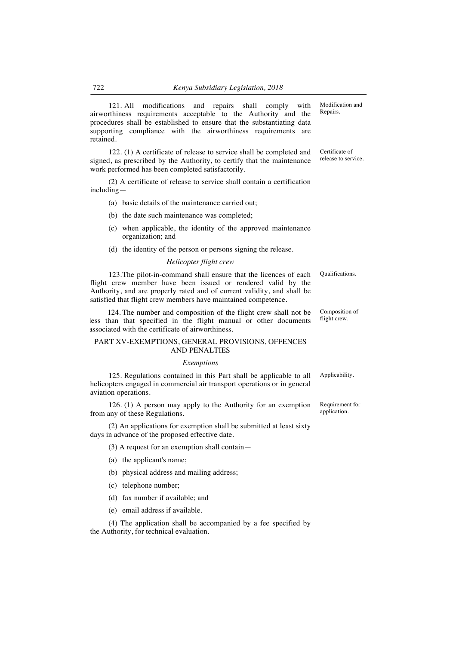121. All modifications and repairs shall comply with airworthiness requirements acceptable to the Authority and the procedures shall be established to ensure that the substantiating data supporting compliance with the airworthiness requirements are retained.

122. (1) A certificate of release to service shall be completed and signed, as prescribed by the Authority, to certify that the maintenance work performed has been completed satisfactorily.

(2) A certificate of release to service shall contain a certification including—

- (a) basic details of the maintenance carried out;
- (b) the date such maintenance was completed;
- (c) when applicable, the identity of the approved maintenance organization; and
- (d) the identity of the person or persons signing the release.

### *Helicopter flight crew*

123.The pilot-in-command shall ensure that the licences of each flight crew member have been issued or rendered valid by the Authority, and are properly rated and of current validity, and shall be satisfied that flight crew members have maintained competence.

124. The number and composition of the flight crew shall not be less than that specified in the flight manual or other documents associated with the certificate of airworthiness.

## PART XV-EXEMPTIONS, GENERAL PROVISIONS, OFFENCES AND PENALTIES

#### *Exemptions*

125. Regulations contained in this Part shall be applicable to all helicopters engaged in commercial air transport operations or in general aviation operations.

126. (1) A person may apply to the Authority for an exemption from any of these Regulations.

(2) An applications for exemption shall be submitted at least sixty days in advance of the proposed effective date.

(3) A request for an exemption shall contain—

- (a) the applicant's name;
- (b) physical address and mailing address;
- (c) telephone number;
- (d) fax number if available; and
- (e) email address if available.

(4) The application shall be accompanied by a fee specified by the Authority, for technical evaluation.

Modification and Repairs.

Certificate of release to service.

Composition of

Qualifications.

flight crew.

Applicability.

Requirement for application.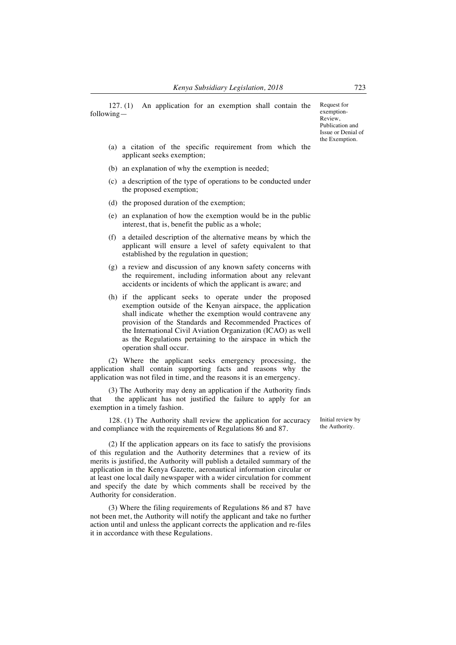127. (1) An application for an exemption shall contain the followingRequest for exemption-Review, Publication and Issue or Denial of the Exemption.

- (a) a citation of the specific requirement from which the applicant seeks exemption;
- (b) an explanation of why the exemption is needed;
- (c) a description of the type of operations to be conducted under the proposed exemption;
- (d) the proposed duration of the exemption;
- (e) an explanation of how the exemption would be in the public interest, that is, benefit the public as a whole;
- (f) a detailed description of the alternative means by which the applicant will ensure a level of safety equivalent to that established by the regulation in question;
- (g) a review and discussion of any known safety concerns with the requirement, including information about any relevant accidents or incidents of which the applicant is aware; and
- (h) if the applicant seeks to operate under the proposed exemption outside of the Kenyan airspace, the application shall indicate whether the exemption would contravene any provision of the Standards and Recommended Practices of the International Civil Aviation Organization (ICAO) as well as the Regulations pertaining to the airspace in which the operation shall occur.

(2) Where the applicant seeks emergency processing, the application shall contain supporting facts and reasons why the application was not filed in time, and the reasons it is an emergency.

(3) The Authority may deny an application if the Authority finds that the applicant has not justified the failure to apply for an exemption in a timely fashion.

128. (1) The Authority shall review the application for accuracy and compliance with the requirements of Regulations 86 and 87.

Initial review by the Authority.

(2) If the application appears on its face to satisfy the provisions of this regulation and the Authority determines that a review of its merits is justified, the Authority will publish a detailed summary of the application in the Kenya Gazette, aeronautical information circular or at least one local daily newspaper with a wider circulation for comment and specify the date by which comments shall be received by the Authority for consideration.

(3) Where the filing requirements of Regulations 86 and 87 have not been met, the Authority will notify the applicant and take no further action until and unless the applicant corrects the application and re-files it in accordance with these Regulations.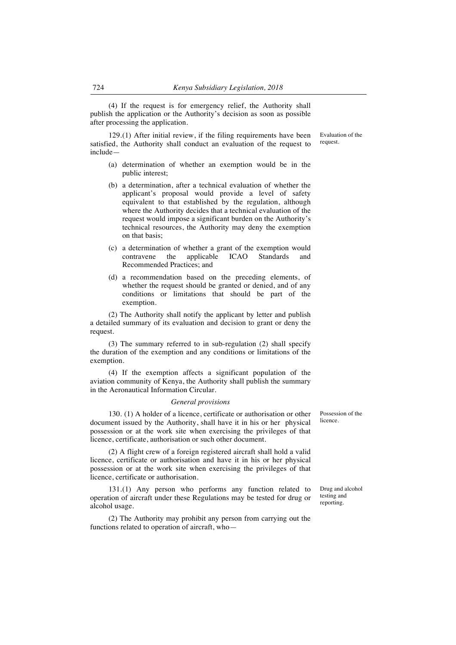(4) If the request is for emergency relief, the Authority shall publish the application or the Authority's decision as soon as possible after processing the application.

129.(1) After initial review, if the filing requirements have been satisfied, the Authority shall conduct an evaluation of the request to include—

- (a) determination of whether an exemption would be in the public interest;
- (b) a determination, after a technical evaluation of whether the applicant's proposal would provide a level of safety equivalent to that established by the regulation, although where the Authority decides that a technical evaluation of the request would impose a significant burden on the Authority's technical resources, the Authority may deny the exemption on that basis;
- (c) a determination of whether a grant of the exemption would contravene the applicable ICAO Standards and Recommended Practices; and
- (d) a recommendation based on the preceding elements, of whether the request should be granted or denied, and of any conditions or limitations that should be part of the exemption.

(2) The Authority shall notify the applicant by letter and publish a detailed summary of its evaluation and decision to grant or deny the request.

(3) The summary referred to in sub-regulation (2) shall specify the duration of the exemption and any conditions or limitations of the exemption.

(4) If the exemption affects a significant population of the aviation community of Kenya, the Authority shall publish the summary in the Aeronautical Information Circular.

#### *General provisions*

130. (1) A holder of a licence, certificate or authorisation or other document issued by the Authority, shall have it in his or her physical possession or at the work site when exercising the privileges of that licence, certificate, authorisation or such other document.

(2) A flight crew of a foreign registered aircraft shall hold a valid licence, certificate or authorisation and have it in his or her physical possession or at the work site when exercising the privileges of that licence, certificate or authorisation.

131.(1) Any person who performs any function related to operation of aircraft under these Regulations may be tested for drug or alcohol usage.

(2) The Authority may prohibit any person from carrying out the functions related to operation of aircraft, whoPossession of the licence.

Drug and alcohol testing and reporting.

Evaluation of the request.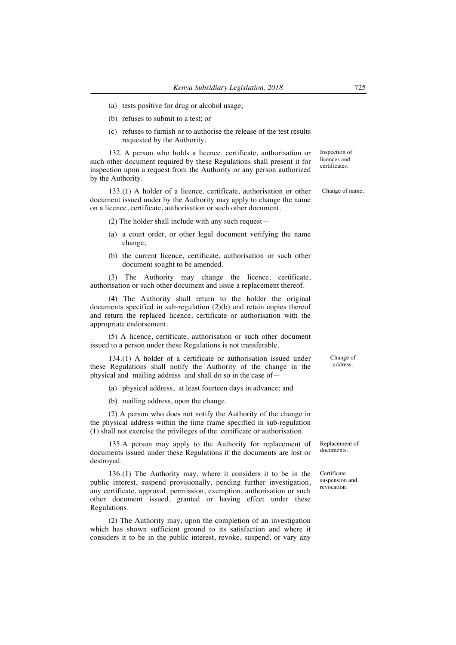- (a) tests positive for drug or alcohol usage;
- (b) refuses to submit to a test; or
- (c) refuses to furnish or to authorise the release of the test results requested by the Authority.

132. A person who holds a licence, certificate, authorisation or such other document required by these Regulations shall present it for inspection upon a request from the Authority or any person authorized by the Authority.

133.(1) A holder of a licence, certificate, authorisation or other document issued under by the Authority may apply to change the name on a licence, certificate, authorisation or such other document.

(2) The holder shall include with any such request—

- (a) a court order, or other legal document verifying the name change;
- (b) the current licence, certificate, authorisation or such other document sought to be amended.

(3) The Authority may change the licence, certificate, authorisation or such other document and issue a replacement thereof.

(4) The Authority shall return to the holder the original documents specified in sub-regulation (2)(b) and retain copies thereof and return the replaced licence, certificate or authorisation with the appropriate endorsement.

(5) A licence, certificate, authorisation or such other document issued to a person under these Regulations is not transferable.

134.(1) A holder of a certificate or authorisation issued under these Regulations shall notify the Authority of the change in the physical and mailing address and shall do so in the case of—

(a) physical address, at least fourteen days in advance; and

(b) mailing address, upon the change.

(2) A person who does not notify the Authority of the change in the physical address within the time frame specified in sub-regulation (1) shall not exercise the privileges of the certificate or authorisation.

135.A person may apply to the Authority for replacement of documents issued under these Regulations if the documents are lost or destroyed.

136.(1) The Authority may, where it considers it to be in the public interest, suspend provisionally, pending further investigation, any certificate, approval, permission, exemption, authorisation or such other document issued, granted or having effect under these Regulations.

(2) The Authority may, upon the completion of an investigation which has shown sufficient ground to its satisfaction and where it considers it to be in the public interest, revoke, suspend, or vary any Change of address.

Replacement of documents.

Certificate suspension and revocation.

Inspection of licences and certificates.

Change of name.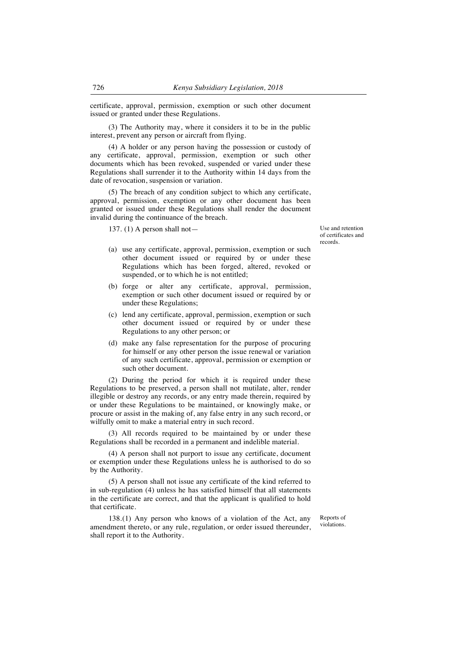certificate, approval, permission, exemption or such other document issued or granted under these Regulations.

(3) The Authority may, where it considers it to be in the public interest, prevent any person or aircraft from flying.

(4) A holder or any person having the possession or custody of any certificate, approval, permission, exemption or such other documents which has been revoked, suspended or varied under these Regulations shall surrender it to the Authority within 14 days from the date of revocation, suspension or variation.

(5) The breach of any condition subject to which any certificate, approval, permission, exemption or any other document has been granted or issued under these Regulations shall render the document invalid during the continuance of the breach.

137. (1) A person shall not — Use and retention

- (a) use any certificate, approval, permission, exemption or such other document issued or required by or under these Regulations which has been forged, altered, revoked or suspended, or to which he is not entitled;
- (b) forge or alter any certificate, approval, permission, exemption or such other document issued or required by or under these Regulations;
- (c) lend any certificate, approval, permission, exemption or such other document issued or required by or under these Regulations to any other person; or
- (d) make any false representation for the purpose of procuring for himself or any other person the issue renewal or variation of any such certificate, approval, permission or exemption or such other document.

(2) During the period for which it is required under these Regulations to be preserved, a person shall not mutilate, alter, render illegible or destroy any records, or any entry made therein, required by or under these Regulations to be maintained, or knowingly make, or procure or assist in the making of, any false entry in any such record, or wilfully omit to make a material entry in such record.

(3) All records required to be maintained by or under these Regulations shall be recorded in a permanent and indelible material.

(4) A person shall not purport to issue any certificate, document or exemption under these Regulations unless he is authorised to do so by the Authority.

(5) A person shall not issue any certificate of the kind referred to in sub-regulation (4) unless he has satisfied himself that all statements in the certificate are correct, and that the applicant is qualified to hold that certificate.

138.(1) Any person who knows of a violation of the Act, any amendment thereto, or any rule, regulation, or order issued thereunder, shall report it to the Authority.

Reports of violations.

of certificates and records.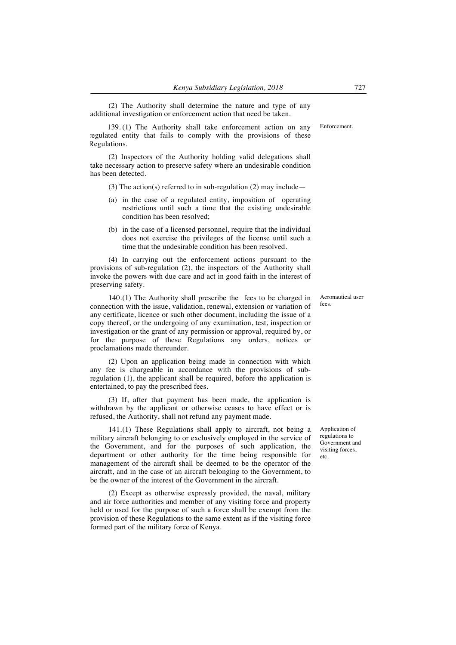(2) The Authority shall determine the nature and type of any additional investigation or enforcement action that need be taken.

139. (1) The Authority shall take enforcement action on any regulated entity that fails to comply with the provisions of these Regulations. Enforcement.

(2) Inspectors of the Authority holding valid delegations shall take necessary action to preserve safety where an undesirable condition has been detected.

(3) The action(s) referred to in sub-regulation (2) may include—

- (a) in the case of a regulated entity, imposition of operating restrictions until such a time that the existing undesirable condition has been resolved;
- (b) in the case of a licensed personnel, require that the individual does not exercise the privileges of the license until such a time that the undesirable condition has been resolved.

(4) In carrying out the enforcement actions pursuant to the provisions of sub-regulation (2), the inspectors of the Authority shall invoke the powers with due care and act in good faith in the interest of preserving safety.

140.(1) The Authority shall prescribe the fees to be charged in connection with the issue, validation, renewal, extension or variation of any certificate, licence or such other document, including the issue of a copy thereof, or the undergoing of any examination, test, inspection or investigation or the grant of any permission or approval, required by, or for the purpose of these Regulations any orders, notices or proclamations made thereunder.

(2) Upon an application being made in connection with which any fee is chargeable in accordance with the provisions of subregulation (1), the applicant shall be required, before the application is entertained, to pay the prescribed fees.

(3) If, after that payment has been made, the application is withdrawn by the applicant or otherwise ceases to have effect or is refused, the Authority, shall not refund any payment made.

141.(1) These Regulations shall apply to aircraft, not being a military aircraft belonging to or exclusively employed in the service of the Government, and for the purposes of such application, the department or other authority for the time being responsible for management of the aircraft shall be deemed to be the operator of the aircraft, and in the case of an aircraft belonging to the Government, to be the owner of the interest of the Government in the aircraft.

(2) Except as otherwise expressly provided, the naval, military and air force authorities and member of any visiting force and property held or used for the purpose of such a force shall be exempt from the provision of these Regulations to the same extent as if the visiting force formed part of the military force of Kenya.

Aeronautical user fees.

Application of regulations to Government and visiting forces, etc.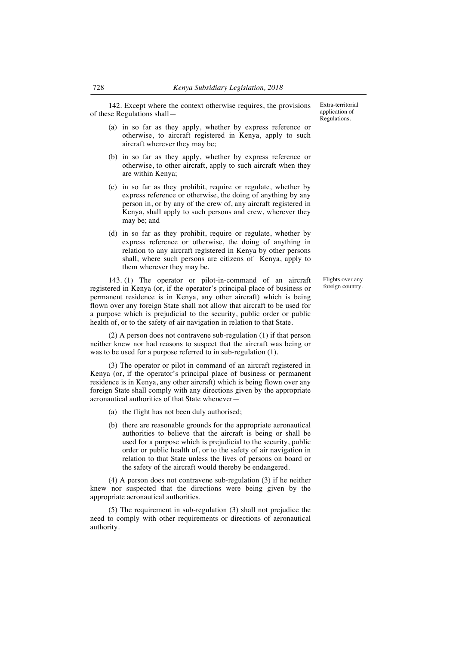142. Except where the context otherwise requires, the provisions of these Regulations shall—

Extra-territorial application of Regulations.

- (a) in so far as they apply, whether by express reference or otherwise, to aircraft registered in Kenya, apply to such aircraft wherever they may be;
- (b) in so far as they apply, whether by express reference or otherwise, to other aircraft, apply to such aircraft when they are within Kenya;
- (c) in so far as they prohibit, require or regulate, whether by express reference or otherwise, the doing of anything by any person in, or by any of the crew of, any aircraft registered in Kenya, shall apply to such persons and crew, wherever they may be; and
- (d) in so far as they prohibit, require or regulate, whether by express reference or otherwise, the doing of anything in relation to any aircraft registered in Kenya by other persons shall, where such persons are citizens of Kenya, apply to them wherever they may be.

143. (1) The operator or pilot-in-command of an aircraft registered in Kenya (or, if the operator's principal place of business or permanent residence is in Kenya, any other aircraft) which is being flown over any foreign State shall not allow that aircraft to be used for a purpose which is prejudicial to the security, public order or public health of, or to the safety of air navigation in relation to that State.

(2) A person does not contravene sub-regulation (1) if that person neither knew nor had reasons to suspect that the aircraft was being or was to be used for a purpose referred to in sub-regulation (1).

(3) The operator or pilot in command of an aircraft registered in Kenya (or, if the operator's principal place of business or permanent residence is in Kenya, any other aircraft) which is being flown over any foreign State shall comply with any directions given by the appropriate aeronautical authorities of that State whenever—

- (a) the flight has not been duly authorised;
- (b) there are reasonable grounds for the appropriate aeronautical authorities to believe that the aircraft is being or shall be used for a purpose which is prejudicial to the security, public order or public health of, or to the safety of air navigation in relation to that State unless the lives of persons on board or the safety of the aircraft would thereby be endangered.

(4) A person does not contravene sub-regulation (3) if he neither knew nor suspected that the directions were being given by the appropriate aeronautical authorities.

(5) The requirement in sub-regulation (3) shall not prejudice the need to comply with other requirements or directions of aeronautical authority.

Flights over any foreign country.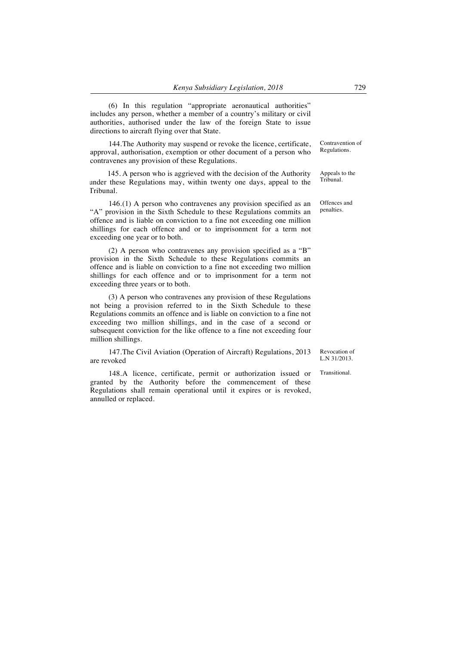(6) In this regulation "appropriate aeronautical authorities" includes any person, whether a member of a country's military or civil authorities, authorised under the law of the foreign State to issue directions to aircraft flying over that State.

144.The Authority may suspend or revoke the licence, certificate, approval, authorisation, exemption or other document of a person who contravenes any provision of these Regulations.

145. A person who is aggrieved with the decision of the Authority under these Regulations may, within twenty one days, appeal to the Tribunal.

146.(1) A person who contravenes any provision specified as an "A" provision in the Sixth Schedule to these Regulations commits an offence and is liable on conviction to a fine not exceeding one million shillings for each offence and or to imprisonment for a term not exceeding one year or to both.

(2) A person who contravenes any provision specified as a "B" provision in the Sixth Schedule to these Regulations commits an offence and is liable on conviction to a fine not exceeding two million shillings for each offence and or to imprisonment for a term not exceeding three years or to both.

(3) A person who contravenes any provision of these Regulations not being a provision referred to in the Sixth Schedule to these Regulations commits an offence and is liable on conviction to a fine not exceeding two million shillings, and in the case of a second or subsequent conviction for the like offence to a fine not exceeding four million shillings.

147.The Civil Aviation (Operation of Aircraft) Regulations, 2013 are revoked

148.A licence, certificate, permit or authorization issued or granted by the Authority before the commencement of these Regulations shall remain operational until it expires or is revoked, annulled or replaced.

Contravention of Regulations.

Appeals to the Tribunal.

Offences and penalties.

Revocation of L.N 31/2013.

**Transitional**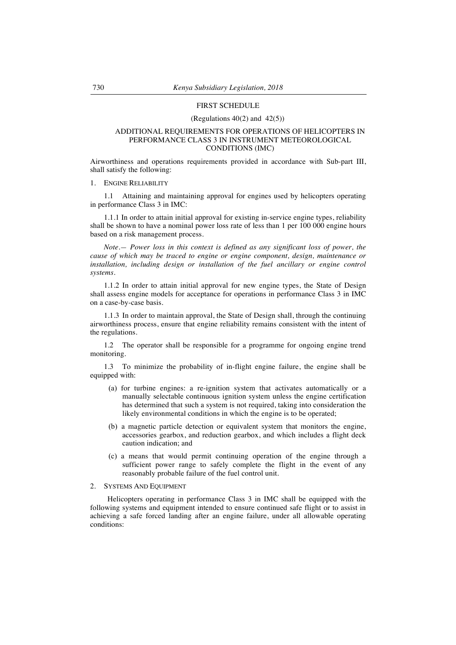### FIRST SCHEDULE

### (Regulations  $40(2)$  and  $42(5)$ )

## ADDITIONAL REQUIREMENTS FOR OPERATIONS OF HELICOPTERS IN PERFORMANCE CLASS 3 IN INSTRUMENT METEOROLOGICAL CONDITIONS (IMC)

Airworthiness and operations requirements provided in accordance with Sub-part III, shall satisfy the following:

1. ENGINE RELIABILITY

1.1 Attaining and maintaining approval for engines used by helicopters operating in performance Class 3 in IMC:

1.1.1 In order to attain initial approval for existing in-service engine types, reliability shall be shown to have a nominal power loss rate of less than 1 per 100 000 engine hours based on a risk management process.

*Note.— Power loss in this context is defined as any significant loss of power, the cause of which may be traced to engine or engine component, design, maintenance or*  installation, including design or installation of the fuel ancillary or engine control *systems.* 

1.1.2 In order to attain initial approval for new engine types, the State of Design shall assess engine models for acceptance for operations in performance Class 3 in IMC on a case-by-case basis.

1.1.3 In order to maintain approval, the State of Design shall, through the continuing airworthiness process, ensure that engine reliability remains consistent with the intent of the regulations.

1.2 The operator shall be responsible for a programme for ongoing engine trend monitoring.

1.3 To minimize the probability of in-flight engine failure, the engine shall be equipped with:

- (a) for turbine engines: a re-ignition system that activates automatically or a manually selectable continuous ignition system unless the engine certification has determined that such a system is not required, taking into consideration the likely environmental conditions in which the engine is to be operated;
- (b) a magnetic particle detection or equivalent system that monitors the engine, accessories gearbox, and reduction gearbox, and which includes a flight deck caution indication; and
- (c) a means that would permit continuing operation of the engine through a sufficient power range to safely complete the flight in the event of any reasonably probable failure of the fuel control unit.

#### 2. SYSTEMS AND EQUIPMENT

Helicopters operating in performance Class 3 in IMC shall be equipped with the following systems and equipment intended to ensure continued safe flight or to assist in achieving a safe forced landing after an engine failure, under all allowable operating conditions: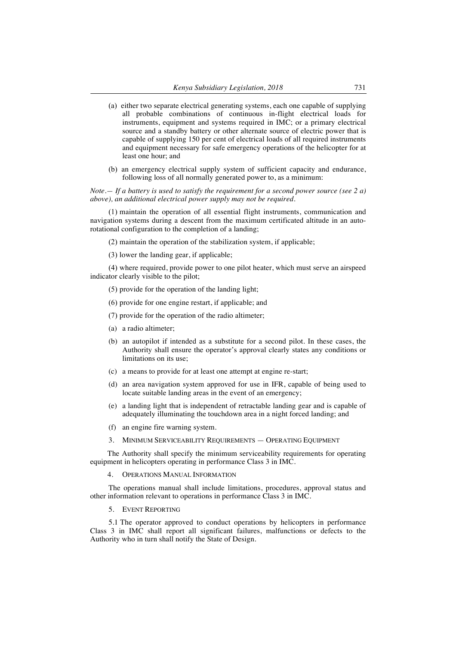- (a) either two separate electrical generating systems, each one capable of supplying all probable combinations of continuous in-flight electrical loads for instruments, equipment and systems required in IMC; or a primary electrical source and a standby battery or other alternate source of electric power that is capable of supplying 150 per cent of electrical loads of all required instruments and equipment necessary for safe emergency operations of the helicopter for at least one hour; and
- (b) an emergency electrical supply system of sufficient capacity and endurance, following loss of all normally generated power to, as a minimum:

*Note.— If a battery is used to satisfy the requirement for a second power source (see 2 a) above), an additional electrical power supply may not be required.*

(1) maintain the operation of all essential flight instruments, communication and navigation systems during a descent from the maximum certificated altitude in an autorotational configuration to the completion of a landing;

- (2) maintain the operation of the stabilization system, if applicable;
- (3) lower the landing gear, if applicable;

(4) where required, provide power to one pilot heater, which must serve an airspeed indicator clearly visible to the pilot;

- (5) provide for the operation of the landing light;
- (6) provide for one engine restart, if applicable; and
- (7) provide for the operation of the radio altimeter;
- (a) a radio altimeter;
- (b) an autopilot if intended as a substitute for a second pilot. In these cases, the Authority shall ensure the operator's approval clearly states any conditions or limitations on its use;
- (c) a means to provide for at least one attempt at engine re-start;
- (d) an area navigation system approved for use in IFR, capable of being used to locate suitable landing areas in the event of an emergency;
- (e) a landing light that is independent of retractable landing gear and is capable of adequately illuminating the touchdown area in a night forced landing; and
- (f) an engine fire warning system.
- 3. MINIMUM SERVICEABILITY REQUIREMENTS OPERATING EQUIPMENT

The Authority shall specify the minimum serviceability requirements for operating equipment in helicopters operating in performance Class 3 in IMC.

4. OPERATIONS MANUAL INFORMATION

The operations manual shall include limitations, procedures, approval status and other information relevant to operations in performance Class 3 in IMC.

5. EVENT REPORTING

5.1 The operator approved to conduct operations by helicopters in performance Class 3 in IMC shall report all significant failures, malfunctions or defects to the Authority who in turn shall notify the State of Design.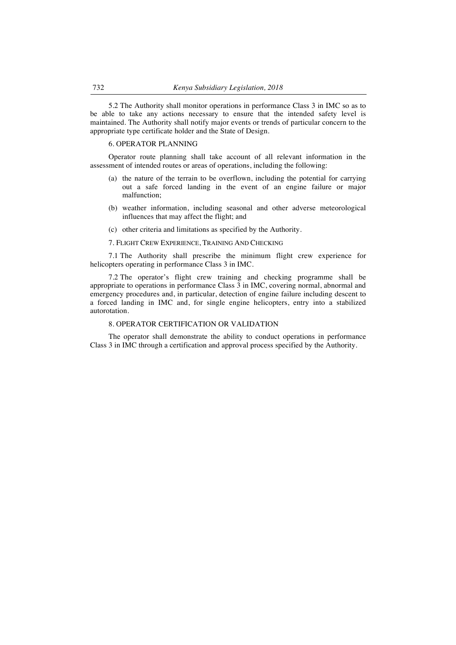5.2 The Authority shall monitor operations in performance Class 3 in IMC so as to be able to take any actions necessary to ensure that the intended safety level is maintained. The Authority shall notify major events or trends of particular concern to the appropriate type certificate holder and the State of Design.

#### 6. OPERATOR PLANNING

Operator route planning shall take account of all relevant information in the assessment of intended routes or areas of operations, including the following:

- (a) the nature of the terrain to be overflown, including the potential for carrying out a safe forced landing in the event of an engine failure or major malfunction;
- (b) weather information, including seasonal and other adverse meteorological influences that may affect the flight; and
- (c) other criteria and limitations as specified by the Authority.
- 7. FLIGHT CREW EXPERIENCE, TRAINING AND CHECKING

7.1 The Authority shall prescribe the minimum flight crew experience for helicopters operating in performance Class 3 in IMC.

7.2 The operator's flight crew training and checking programme shall be appropriate to operations in performance Class 3 in IMC, covering normal, abnormal and emergency procedures and, in particular, detection of engine failure including descent to a forced landing in IMC and, for single engine helicopters, entry into a stabilized autorotation.

# 8. OPERATOR CERTIFICATION OR VALIDATION

The operator shall demonstrate the ability to conduct operations in performance Class 3 in IMC through a certification and approval process specified by the Authority.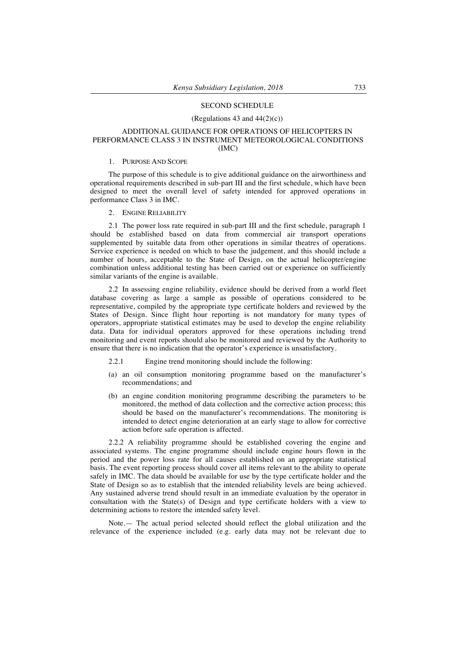### SECOND SCHEDULE

#### (Regulations 43 and  $44(2)(c)$ )

# ADDITIONAL GUIDANCE FOR OPERATIONS OF HELICOPTERS IN PERFORMANCE CLASS 3 IN INSTRUMENT METEOROLOGICAL CONDITIONS (IMC)

#### 1. PURPOSE AND SCOPE

The purpose of this schedule is to give additional guidance on the airworthiness and operational requirements described in sub-part III and the first schedule, which have been designed to meet the overall level of safety intended for approved operations in performance Class 3 in IMC.

2. ENGINE RELIABILITY

2.1 The power loss rate required in sub-part III and the first schedule, paragraph 1 should be established based on data from commercial air transport operations supplemented by suitable data from other operations in similar theatres of operations. Service experience is needed on which to base the judgement, and this should include a number of hours, acceptable to the State of Design, on the actual helicopter/engine combination unless additional testing has been carried out or experience on sufficiently similar variants of the engine is available.

2.2 In assessing engine reliability, evidence should be derived from a world fleet database covering as large a sample as possible of operations considered to be representative, compiled by the appropriate type certificate holders and reviewed by the States of Design. Since flight hour reporting is not mandatory for many types of operators, appropriate statistical estimates may be used to develop the engine reliability data. Data for individual operators approved for these operations including trend monitoring and event reports should also be monitored and reviewed by the Authority to ensure that there is no indication that the operator's experience is unsatisfactory.

2.2.1 Engine trend monitoring should include the following:

- (a) an oil consumption monitoring programme based on the manufacturer's recommendations; and
- (b) an engine condition monitoring programme describing the parameters to be monitored, the method of data collection and the corrective action process; this should be based on the manufacturer's recommendations. The monitoring is intended to detect engine deterioration at an early stage to allow for corrective action before safe operation is affected.

2.2.2 A reliability programme should be established covering the engine and associated systems. The engine programme should include engine hours flown in the period and the power loss rate for all causes established on an appropriate statistical basis. The event reporting process should cover all items relevant to the ability to operate safely in IMC. The data should be available for use by the type certificate holder and the State of Design so as to establish that the intended reliability levels are being achieved. Any sustained adverse trend should result in an immediate evaluation by the operator in consultation with the State(s) of Design and type certificate holders with a view to determining actions to restore the intended safety level.

Note.— The actual period selected should reflect the global utilization and the relevance of the experience included (e.g. early data may not be relevant due to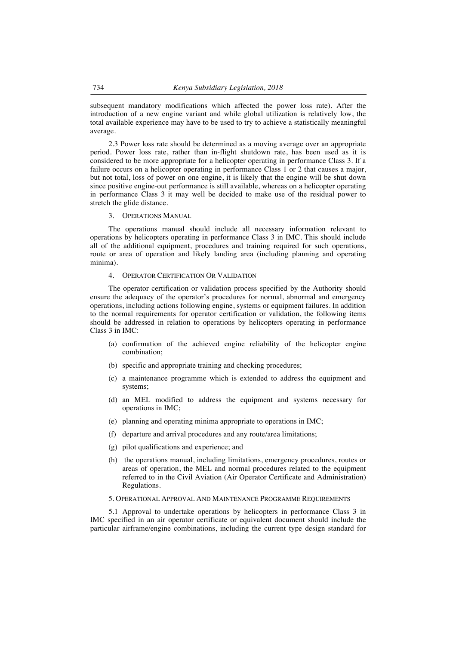subsequent mandatory modifications which affected the power loss rate). After the introduction of a new engine variant and while global utilization is relatively low, the total available experience may have to be used to try to achieve a statistically meaningful average.

2.3 Power loss rate should be determined as a moving average over an appropriate period. Power loss rate, rather than in-flight shutdown rate, has been used as it is considered to be more appropriate for a helicopter operating in performance Class 3. If a failure occurs on a helicopter operating in performance Class 1 or 2 that causes a major, but not total, loss of power on one engine, it is likely that the engine will be shut down since positive engine-out performance is still available, whereas on a helicopter operating in performance Class 3 it may well be decided to make use of the residual power to stretch the glide distance.

3. OPERATIONS MANUAL

The operations manual should include all necessary information relevant to operations by helicopters operating in performance Class 3 in IMC. This should include all of the additional equipment, procedures and training required for such operations, route or area of operation and likely landing area (including planning and operating minima).

# 4. OPERATOR CERTIFICATION OR VALIDATION

The operator certification or validation process specified by the Authority should ensure the adequacy of the operator's procedures for normal, abnormal and emergency operations, including actions following engine, systems or equipment failures. In addition to the normal requirements for operator certification or validation, the following items should be addressed in relation to operations by helicopters operating in performance Class 3 in IMC:

- (a) confirmation of the achieved engine reliability of the helicopter engine combination;
- (b) specific and appropriate training and checking procedures;
- (c) a maintenance programme which is extended to address the equipment and systems;
- (d) an MEL modified to address the equipment and systems necessary for operations in IMC;
- (e) planning and operating minima appropriate to operations in IMC;
- (f) departure and arrival procedures and any route/area limitations;
- (g) pilot qualifications and experience; and
- (h) the operations manual, including limitations, emergency procedures, routes or areas of operation, the MEL and normal procedures related to the equipment referred to in the Civil Aviation (Air Operator Certificate and Administration) Regulations.
- 5. OPERATIONAL APPROVAL AND MAINTENANCE PROGRAMME REQUIREMENTS

5.1 Approval to undertake operations by helicopters in performance Class 3 in IMC specified in an air operator certificate or equivalent document should include the particular airframe/engine combinations, including the current type design standard for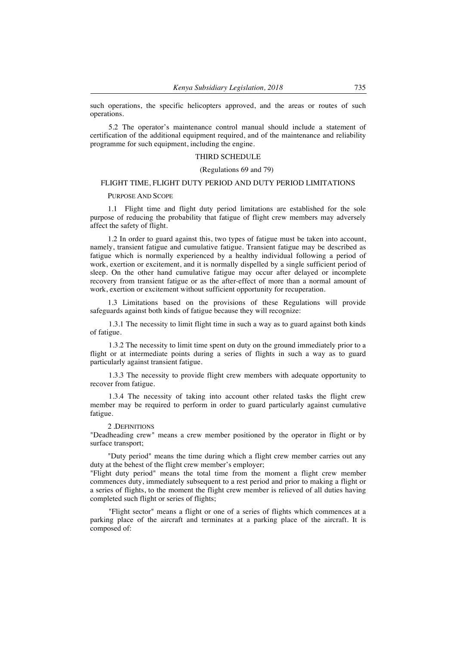such operations, the specific helicopters approved, and the areas or routes of such operations.

5.2 The operator's maintenance control manual should include a statement of certification of the additional equipment required, and of the maintenance and reliability programme for such equipment, including the engine.

### THIRD SCHEDULE

### (Regulations 69 and 79)

# FLIGHT TIME, FLIGHT DUTY PERIOD AND DUTY PERIOD LIMITATIONS

#### PURPOSE AND SCOPE

1.1 Flight time and flight duty period limitations are established for the sole purpose of reducing the probability that fatigue of flight crew members may adversely affect the safety of flight.

1.2 In order to guard against this, two types of fatigue must be taken into account, namely, transient fatigue and cumulative fatigue. Transient fatigue may be described as fatigue which is normally experienced by a healthy individual following a period of work, exertion or excitement, and it is normally dispelled by a single sufficient period of sleep. On the other hand cumulative fatigue may occur after delayed or incomplete recovery from transient fatigue or as the after-effect of more than a normal amount of work, exertion or excitement without sufficient opportunity for recuperation.

1.3 Limitations based on the provisions of these Regulations will provide safeguards against both kinds of fatigue because they will recognize:

1.3.1 The necessity to limit flight time in such a way as to guard against both kinds of fatigue.

1.3.2 The necessity to limit time spent on duty on the ground immediately prior to a flight or at intermediate points during a series of flights in such a way as to guard particularly against transient fatigue.

1.3.3 The necessity to provide flight crew members with adequate opportunity to recover from fatigue.

1.3.4 The necessity of taking into account other related tasks the flight crew member may be required to perform in order to guard particularly against cumulative fatigue.

#### 2 .DEFINITIONS

"Deadheading crew" means a crew member positioned by the operator in flight or by surface transport;

"Duty period" means the time during which a flight crew member carries out any duty at the behest of the flight crew member's employer;

"Flight duty period" means the total time from the moment a flight crew member commences duty, immediately subsequent to a rest period and prior to making a flight or a series of flights, to the moment the flight crew member is relieved of all duties having completed such flight or series of flights;

"Flight sector" means a flight or one of a series of flights which commences at a parking place of the aircraft and terminates at a parking place of the aircraft. It is composed of: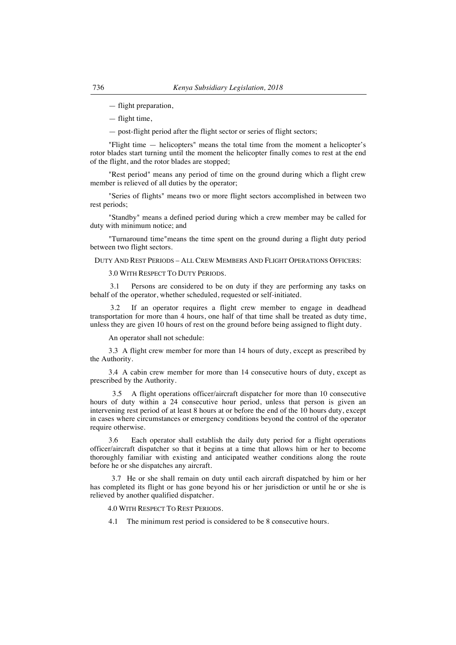- flight preparation,
- flight time,
- post-flight period after the flight sector or series of flight sectors;

"Flight time — helicopters" means the total time from the moment a helicopter's rotor blades start turning until the moment the helicopter finally comes to rest at the end of the flight, and the rotor blades are stopped;

"Rest period" means any period of time on the ground during which a flight crew member is relieved of all duties by the operator;

"Series of flights" means two or more flight sectors accomplished in between two rest periods;

"Standby" means a defined period during which a crew member may be called for duty with minimum notice; and

"Turnaround time"means the time spent on the ground during a flight duty period between two flight sectors.

DUTY AND REST PERIODS – ALL CREW MEMBERS AND FLIGHT OPERATIONS OFFICERS:

3.0 WITH RESPECT TO DUTY PERIODS.

3.1 Persons are considered to be on duty if they are performing any tasks on behalf of the operator, whether scheduled, requested or self-initiated.

If an operator requires a flight crew member to engage in deadhead transportation for more than 4 hours, one half of that time shall be treated as duty time, unless they are given 10 hours of rest on the ground before being assigned to flight duty.

An operator shall not schedule:

3.3 A flight crew member for more than 14 hours of duty, except as prescribed by the Authority.

3.4 A cabin crew member for more than 14 consecutive hours of duty, except as prescribed by the Authority.

 3.5 A flight operations officer/aircraft dispatcher for more than 10 consecutive hours of duty within a 24 consecutive hour period, unless that person is given an intervening rest period of at least 8 hours at or before the end of the 10 hours duty, except in cases where circumstances or emergency conditions beyond the control of the operator require otherwise.

3.6 Each operator shall establish the daily duty period for a flight operations officer/aircraft dispatcher so that it begins at a time that allows him or her to become thoroughly familiar with existing and anticipated weather conditions along the route before he or she dispatches any aircraft.

 3.7 He or she shall remain on duty until each aircraft dispatched by him or her has completed its flight or has gone beyond his or her jurisdiction or until he or she is relieved by another qualified dispatcher.

4.0 WITH RESPECT TO REST PERIODS.

4.1 The minimum rest period is considered to be 8 consecutive hours.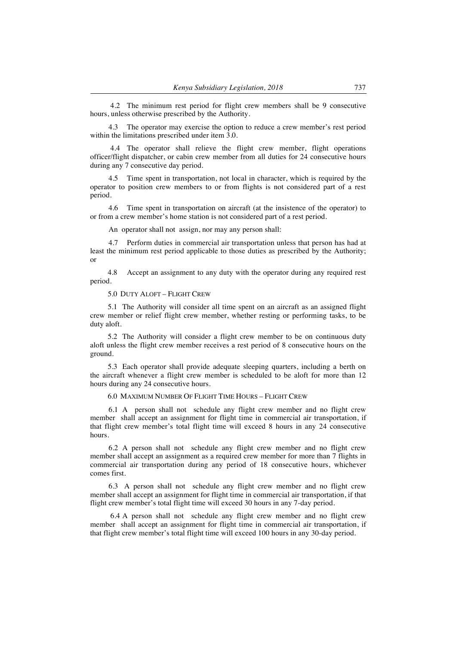4.2 The minimum rest period for flight crew members shall be 9 consecutive hours, unless otherwise prescribed by the Authority.

4.3 The operator may exercise the option to reduce a crew member's rest period within the limitations prescribed under item 3.0.

4.4 The operator shall relieve the flight crew member, flight operations officer/flight dispatcher, or cabin crew member from all duties for 24 consecutive hours during any 7 consecutive day period.

4.5 Time spent in transportation, not local in character, which is required by the operator to position crew members to or from flights is not considered part of a rest period.

4.6 Time spent in transportation on aircraft (at the insistence of the operator) to or from a crew member's home station is not considered part of a rest period.

An operator shall not assign, nor may any person shall:

4.7 Perform duties in commercial air transportation unless that person has had at least the minimum rest period applicable to those duties as prescribed by the Authority; or

4.8 Accept an assignment to any duty with the operator during any required rest period.

5.0 DUTY ALOFT – FLIGHT CREW

5.1 The Authority will consider all time spent on an aircraft as an assigned flight crew member or relief flight crew member, whether resting or performing tasks, to be duty aloft.

5.2 The Authority will consider a flight crew member to be on continuous duty aloft unless the flight crew member receives a rest period of 8 consecutive hours on the ground.

5.3 Each operator shall provide adequate sleeping quarters, including a berth on the aircraft whenever a flight crew member is scheduled to be aloft for more than 12 hours during any 24 consecutive hours.

6.0 MAXIMUM NUMBER OF FLIGHT TIME HOURS – FLIGHT CREW

6.1 A person shall not schedule any flight crew member and no flight crew member shall accept an assignment for flight time in commercial air transportation, if that flight crew member's total flight time will exceed 8 hours in any 24 consecutive hours.

6.2 A person shall not schedule any flight crew member and no flight crew member shall accept an assignment as a required crew member for more than 7 flights in commercial air transportation during any period of 18 consecutive hours, whichever comes first.

6.3 A person shall not schedule any flight crew member and no flight crew member shall accept an assignment for flight time in commercial air transportation, if that flight crew member's total flight time will exceed 30 hours in any 7-day period.

6.4 A person shall not schedule any flight crew member and no flight crew member shall accept an assignment for flight time in commercial air transportation, if that flight crew member's total flight time will exceed 100 hours in any 30-day period.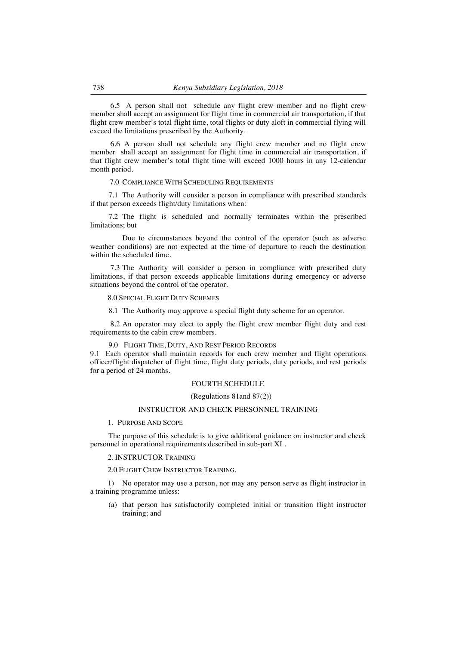6.5 A person shall not schedule any flight crew member and no flight crew member shall accept an assignment for flight time in commercial air transportation, if that flight crew member's total flight time, total flights or duty aloft in commercial flying will exceed the limitations prescribed by the Authority.

6.6 A person shall not schedule any flight crew member and no flight crew member shall accept an assignment for flight time in commercial air transportation, if that flight crew member's total flight time will exceed 1000 hours in any 12-calendar month period.

## 7.0 COMPLIANCE WITH SCHEDULING REQUIREMENTS

7.1 The Authority will consider a person in compliance with prescribed standards if that person exceeds flight/duty limitations when:

7.2 The flight is scheduled and normally terminates within the prescribed limitations; but

Due to circumstances beyond the control of the operator (such as adverse weather conditions) are not expected at the time of departure to reach the destination within the scheduled time.

7.3 The Authority will consider a person in compliance with prescribed duty limitations, if that person exceeds applicable limitations during emergency or adverse situations beyond the control of the operator.

#### 8.0 SPECIAL FLIGHT DUTY SCHEMES

8.1 The Authority may approve a special flight duty scheme for an operator.

8.2 An operator may elect to apply the flight crew member flight duty and rest requirements to the cabin crew members.

### 9.0 FLIGHT TIME, DUTY, AND REST PERIOD RECORDS

9.1 Each operator shall maintain records for each crew member and flight operations officer/flight dispatcher of flight time, flight duty periods, duty periods, and rest periods for a period of 24 months.

# FOURTH SCHEDULE

### (Regulations 81and 87(2))

# INSTRUCTOR AND CHECK PERSONNEL TRAINING

#### 1. PURPOSE AND SCOPE

The purpose of this schedule is to give additional guidance on instructor and check personnel in operational requirements described in sub-part XI .

### 2. INSTRUCTOR TRAINING

#### 2.0 FLIGHT CREW INSTRUCTOR TRAINING.

1) No operator may use a person, nor may any person serve as flight instructor in a training programme unless:

(a) that person has satisfactorily completed initial or transition flight instructor training; and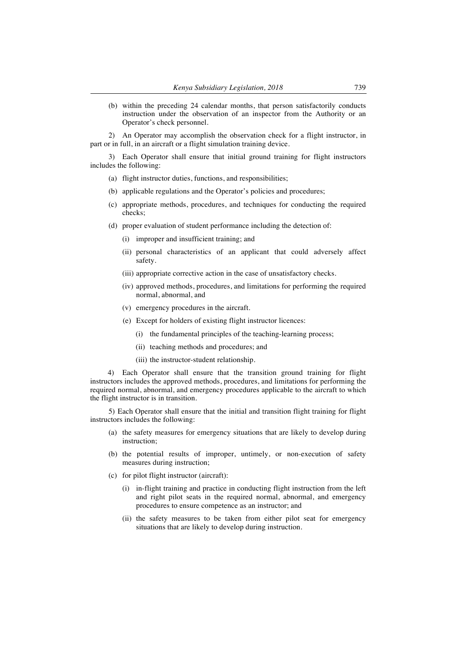(b) within the preceding 24 calendar months, that person satisfactorily conducts instruction under the observation of an inspector from the Authority or an Operator's check personnel.

2) An Operator may accomplish the observation check for a flight instructor, in part or in full, in an aircraft or a flight simulation training device.

3) Each Operator shall ensure that initial ground training for flight instructors includes the following:

- (a) flight instructor duties, functions, and responsibilities;
- (b) applicable regulations and the Operator's policies and procedures;
- (c) appropriate methods, procedures, and techniques for conducting the required checks;
- (d) proper evaluation of student performance including the detection of:
	- (i) improper and insufficient training; and
	- (ii) personal characteristics of an applicant that could adversely affect safety.
	- (iii) appropriate corrective action in the case of unsatisfactory checks.
	- (iv) approved methods, procedures, and limitations for performing the required normal, abnormal, and
	- (v) emergency procedures in the aircraft.
	- (e) Except for holders of existing flight instructor licences:
		- (i) the fundamental principles of the teaching-learning process;
		- (ii) teaching methods and procedures; and
		- (iii) the instructor-student relationship.

4) Each Operator shall ensure that the transition ground training for flight instructors includes the approved methods, procedures, and limitations for performing the required normal, abnormal, and emergency procedures applicable to the aircraft to which the flight instructor is in transition.

5) Each Operator shall ensure that the initial and transition flight training for flight instructors includes the following:

- (a) the safety measures for emergency situations that are likely to develop during instruction;
- (b) the potential results of improper, untimely, or non-execution of safety measures during instruction;
- (c) for pilot flight instructor (aircraft):
	- (i) in-flight training and practice in conducting flight instruction from the left and right pilot seats in the required normal, abnormal, and emergency procedures to ensure competence as an instructor; and
	- (ii) the safety measures to be taken from either pilot seat for emergency situations that are likely to develop during instruction.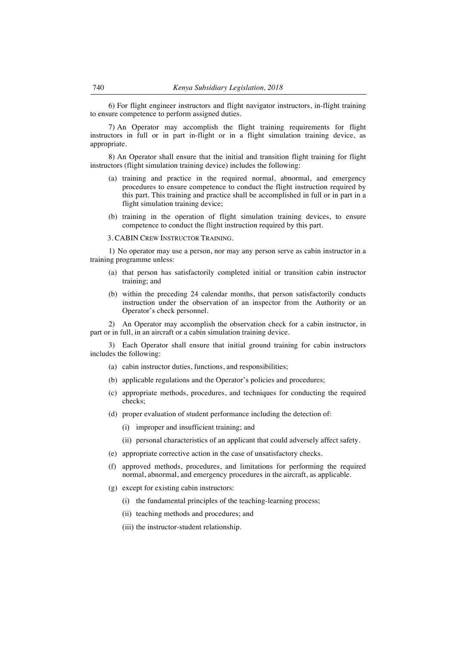6) For flight engineer instructors and flight navigator instructors, in-flight training to ensure competence to perform assigned duties.

7) An Operator may accomplish the flight training requirements for flight instructors in full or in part in-flight or in a flight simulation training device, as appropriate.

8) An Operator shall ensure that the initial and transition flight training for flight instructors (flight simulation training device) includes the following:

- (a) training and practice in the required normal, abnormal, and emergency procedures to ensure competence to conduct the flight instruction required by this part. This training and practice shall be accomplished in full or in part in a flight simulation training device;
- (b) training in the operation of flight simulation training devices, to ensure competence to conduct the flight instruction required by this part.

3. CABIN CREW INSTRUCTOR TRAINING.

1) No operator may use a person, nor may any person serve as cabin instructor in a training programme unless:

- (a) that person has satisfactorily completed initial or transition cabin instructor training; and
- (b) within the preceding 24 calendar months, that person satisfactorily conducts instruction under the observation of an inspector from the Authority or an Operator's check personnel.

2) An Operator may accomplish the observation check for a cabin instructor, in part or in full, in an aircraft or a cabin simulation training device.

3) Each Operator shall ensure that initial ground training for cabin instructors includes the following:

- (a) cabin instructor duties, functions, and responsibilities;
- (b) applicable regulations and the Operator's policies and procedures;
- (c) appropriate methods, procedures, and techniques for conducting the required checks;
- (d) proper evaluation of student performance including the detection of:
	- (i) improper and insufficient training; and
	- (ii) personal characteristics of an applicant that could adversely affect safety.
- (e) appropriate corrective action in the case of unsatisfactory checks.
- (f) approved methods, procedures, and limitations for performing the required normal, abnormal, and emergency procedures in the aircraft, as applicable.
- (g) except for existing cabin instructors:
	- (i) the fundamental principles of the teaching-learning process;
	- (ii) teaching methods and procedures; and
	- (iii) the instructor-student relationship.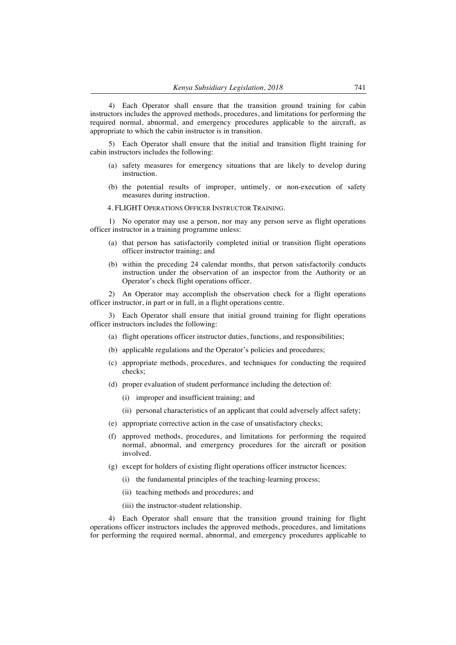4) Each Operator shall ensure that the transition ground training for cabin instructors includes the approved methods, procedures, and limitations for performing the required normal, abnormal, and emergency procedures applicable to the aircraft, as appropriate to which the cabin instructor is in transition.

5) Each Operator shall ensure that the initial and transition flight training for cabin instructors includes the following:

- (a) safety measures for emergency situations that are likely to develop during instruction.
- (b) the potential results of improper, untimely, or non-execution of safety measures during instruction.

#### 4. FLIGHT OPERATIONS OFFICER INSTRUCTOR TRAINING.

1) No operator may use a person, nor may any person serve as flight operations officer instructor in a training programme unless:

- (a) that person has satisfactorily completed initial or transition flight operations officer instructor training; and
- (b) within the preceding 24 calendar months, that person satisfactorily conducts instruction under the observation of an inspector from the Authority or an Operator's check flight operations officer.

2) An Operator may accomplish the observation check for a flight operations officer instructor, in part or in full, in a flight operations centre.

3) Each Operator shall ensure that initial ground training for flight operations officer instructors includes the following:

- (a) flight operations officer instructor duties, functions, and responsibilities;
- (b) applicable regulations and the Operator's policies and procedures;
- (c) appropriate methods, procedures, and techniques for conducting the required checks;
- (d) proper evaluation of student performance including the detection of:
	- (i) improper and insufficient training; and
	- (ii) personal characteristics of an applicant that could adversely affect safety;
- (e) appropriate corrective action in the case of unsatisfactory checks;
- (f) approved methods, procedures, and limitations for performing the required normal, abnormal, and emergency procedures for the aircraft or position involved.
- (g) except for holders of existing flight operations officer instructor licences:
	- (i) the fundamental principles of the teaching-learning process;
	- (ii) teaching methods and procedures; and
	- (iii) the instructor-student relationship.

4) Each Operator shall ensure that the transition ground training for flight operations officer instructors includes the approved methods, procedures, and limitations for performing the required normal, abnormal, and emergency procedures applicable to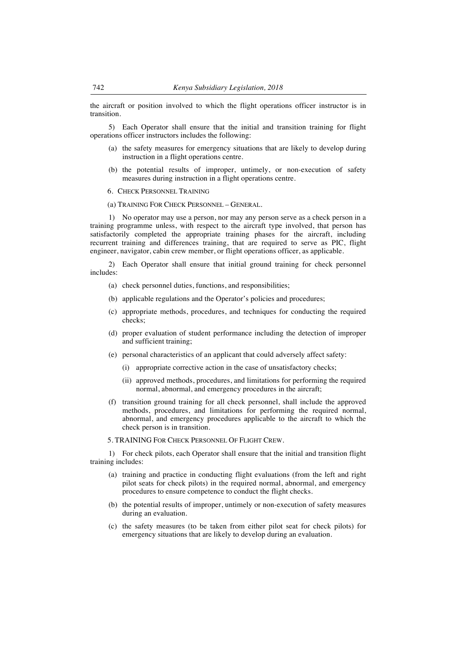the aircraft or position involved to which the flight operations officer instructor is in transition.

5) Each Operator shall ensure that the initial and transition training for flight operations officer instructors includes the following:

- (a) the safety measures for emergency situations that are likely to develop during instruction in a flight operations centre.
- (b) the potential results of improper, untimely, or non-execution of safety measures during instruction in a flight operations centre.
- 6. CHECK PERSONNEL TRAINING
- (a) TRAINING FOR CHECK PERSONNEL GENERAL.

1) No operator may use a person, nor may any person serve as a check person in a training programme unless, with respect to the aircraft type involved, that person has satisfactorily completed the appropriate training phases for the aircraft, including recurrent training and differences training, that are required to serve as PIC, flight engineer, navigator, cabin crew member, or flight operations officer, as applicable.

2) Each Operator shall ensure that initial ground training for check personnel includes:

- (a) check personnel duties, functions, and responsibilities;
- (b) applicable regulations and the Operator's policies and procedures;
- (c) appropriate methods, procedures, and techniques for conducting the required checks;
- (d) proper evaluation of student performance including the detection of improper and sufficient training;
- (e) personal characteristics of an applicant that could adversely affect safety:
	- (i) appropriate corrective action in the case of unsatisfactory checks;
	- (ii) approved methods, procedures, and limitations for performing the required normal, abnormal, and emergency procedures in the aircraft;
- (f) transition ground training for all check personnel, shall include the approved methods, procedures, and limitations for performing the required normal, abnormal, and emergency procedures applicable to the aircraft to which the check person is in transition.

5. TRAINING FOR CHECK PERSONNEL OF FLIGHT CREW.

1) For check pilots, each Operator shall ensure that the initial and transition flight training includes:

- (a) training and practice in conducting flight evaluations (from the left and right pilot seats for check pilots) in the required normal, abnormal, and emergency procedures to ensure competence to conduct the flight checks.
- (b) the potential results of improper, untimely or non-execution of safety measures during an evaluation.
- (c) the safety measures (to be taken from either pilot seat for check pilots) for emergency situations that are likely to develop during an evaluation.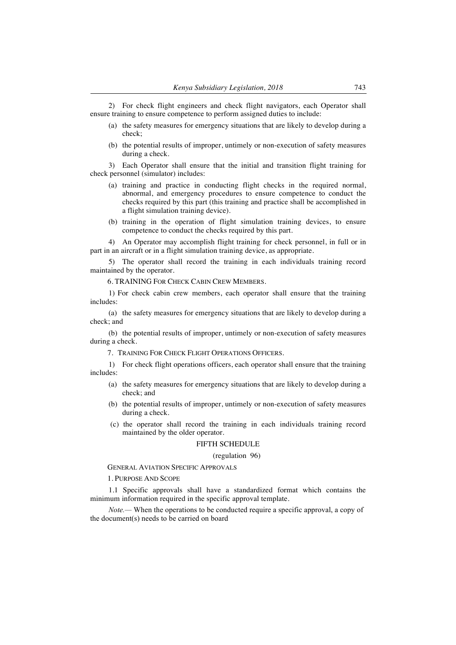2) For check flight engineers and check flight navigators, each Operator shall ensure training to ensure competence to perform assigned duties to include:

- (a) the safety measures for emergency situations that are likely to develop during a check;
- (b) the potential results of improper, untimely or non-execution of safety measures during a check.

3) Each Operator shall ensure that the initial and transition flight training for check personnel (simulator) includes:

- (a) training and practice in conducting flight checks in the required normal, abnormal, and emergency procedures to ensure competence to conduct the checks required by this part (this training and practice shall be accomplished in a flight simulation training device).
- (b) training in the operation of flight simulation training devices, to ensure competence to conduct the checks required by this part.

4) An Operator may accomplish flight training for check personnel, in full or in part in an aircraft or in a flight simulation training device, as appropriate.

5) The operator shall record the training in each individuals training record maintained by the operator.

6. TRAINING FOR CHECK CABIN CREW MEMBERS.

1) For check cabin crew members, each operator shall ensure that the training includes:

(a) the safety measures for emergency situations that are likely to develop during a check; and

(b) the potential results of improper, untimely or non-execution of safety measures during a check.

7. TRAINING FOR CHECK FLIGHT OPERATIONS OFFICERS.

1) For check flight operations officers, each operator shall ensure that the training includes:

- (a) the safety measures for emergency situations that are likely to develop during a check; and
- (b) the potential results of improper, untimely or non-execution of safety measures during a check.
- (c) the operator shall record the training in each individuals training record maintained by the older operator.

## FIFTH SCHEDULE

### (regulation 96)

GENERAL AVIATION SPECIFIC APPROVALS

1. PURPOSE AND SCOPE

1.1 Specific approvals shall have a standardized format which contains the minimum information required in the specific approval template.

*Note.—* When the operations to be conducted require a specific approval, a copy of the document(s) needs to be carried on board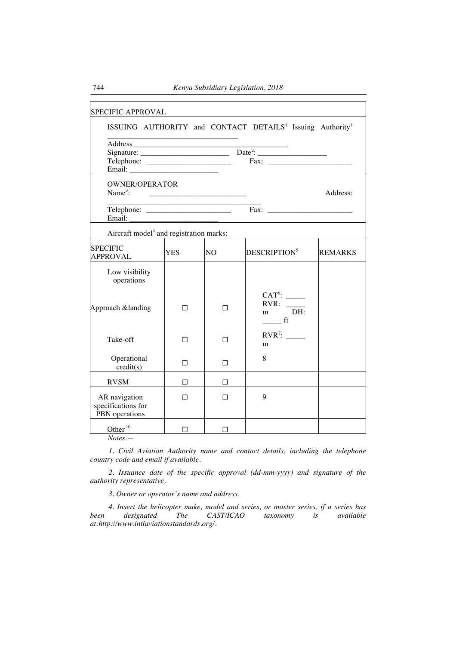| SPECIFIC APPROVAL                                     |      |    |                                                                                   |                |  |  |  |
|-------------------------------------------------------|------|----|-----------------------------------------------------------------------------------|----------------|--|--|--|
|                                                       |      |    | ISSUING AUTHORITY and CONTACT DETAILS <sup>1</sup> Issuing Authority <sup>1</sup> |                |  |  |  |
|                                                       |      |    |                                                                                   |                |  |  |  |
| Email:                                                |      |    |                                                                                   |                |  |  |  |
| <b>OWNER/OPERATOR</b><br>$Name3$ :<br>Address:        |      |    |                                                                                   |                |  |  |  |
|                                                       |      |    |                                                                                   |                |  |  |  |
| Aircraft model <sup>4</sup> and registration marks:   |      |    |                                                                                   |                |  |  |  |
| <b>SPECIFIC</b><br><b>APPROVAL</b>                    | YES. | NO | DESCRIPTION <sup>5</sup>                                                          | <b>REMARKS</b> |  |  |  |
| Low visibility<br>operations                          |      |    |                                                                                   |                |  |  |  |
| Approach &landing                                     | П    | П  | RVR:<br>DH:<br>m<br>f(t)                                                          |                |  |  |  |
| Take-off                                              | п    | П  | $RVR^7$ :<br>m                                                                    |                |  |  |  |
| Operational<br>credit(s)                              | П    | П  | 8                                                                                 |                |  |  |  |
| <b>RVSM</b>                                           | П    | П  |                                                                                   |                |  |  |  |
| AR navigation<br>specifications for<br>PBN operations | П    | П  | 9                                                                                 |                |  |  |  |
| Other <sup>10</sup>                                   | п    | П  |                                                                                   |                |  |  |  |

*Notes.—*

*1. Civil Aviation Authority name and contact details, including the telephone country code and email if available.*

*2. Issuance date of the specific approval (dd-mm-yyyy) and signature of the authority representative.*

*3. Owner or operator's name and address.*

*4. Insert the helicopter make, model and series, or master series, if a series has been designated The CAST/ICAO at:http://www.intlaviationstandards.org/.*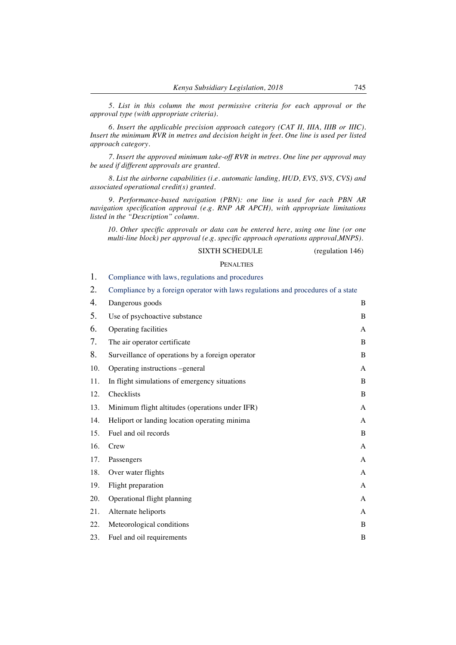*5. List in this column the most permissive criteria for each approval or the approval type (with appropriate criteria).*

*6. Insert the applicable precision approach category (CAT II, IIIA, IIIB or IIIC). Insert the minimum RVR in metres and decision height in feet. One line is used per listed approach category.*

*7. Insert the approved minimum take-off RVR in metres. One line per approval may be used if different approvals are granted.*

*8. List the airborne capabilities (i.e. automatic landing, HUD, EVS, SVS, CVS) and associated operational credit(s) granted.*

*9. Performance-based navigation (PBN): one line is used for each PBN AR navigation specification approval (e.g. RNP AR APCH), with appropriate limitations listed in the "Description" column.*

*10. Other specific approvals or data can be entered here, using one line (or one multi-line block) per approval (e.g. specific approach operations approval,MNPS).*

### SIXTH SCHEDULE (regulation 146)

#### **PENALTIES**

1. Compliance with laws, regulations and procedures

2. Compliance by a foreign operator with laws regulations and procedures of a state

| Dangerous goods                                  | B |
|--------------------------------------------------|---|
| Use of psychoactive substance                    | B |
| Operating facilities                             | А |
| The air operator certificate                     | B |
| Surveillance of operations by a foreign operator | B |
| Operating instructions -general                  | A |
| In flight simulations of emergency situations    | B |
| Checklists                                       | B |
| Minimum flight altitudes (operations under IFR)  | A |
| Heliport or landing location operating minima    | A |
| Fuel and oil records                             | B |
| Crew                                             | A |
| Passengers                                       | A |
| Over water flights                               | A |
| Flight preparation                               | A |
| Operational flight planning                      | A |
| Alternate heliports                              | A |
| Meteorological conditions                        | B |
| Fuel and oil requirements                        | B |
|                                                  |   |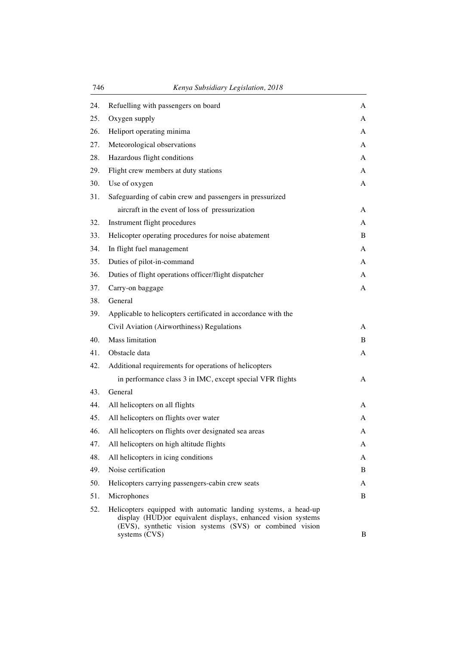| 746 | Kenya Subsidiary Legislation, 2018                                                                                                                                                         |   |
|-----|--------------------------------------------------------------------------------------------------------------------------------------------------------------------------------------------|---|
| 24. | Refuelling with passengers on board                                                                                                                                                        | A |
| 25. | Oxygen supply                                                                                                                                                                              | A |
| 26. | Heliport operating minima                                                                                                                                                                  | А |
| 27. | Meteorological observations                                                                                                                                                                | A |
| 28. | Hazardous flight conditions                                                                                                                                                                | A |
| 29. | Flight crew members at duty stations                                                                                                                                                       | A |
| 30. | Use of oxygen                                                                                                                                                                              | A |
| 31. | Safeguarding of cabin crew and passengers in pressurized                                                                                                                                   |   |
|     | aircraft in the event of loss of pressurization                                                                                                                                            | A |
| 32. | Instrument flight procedures                                                                                                                                                               | А |
| 33. | Helicopter operating procedures for noise abatement                                                                                                                                        | B |
| 34. | In flight fuel management                                                                                                                                                                  | A |
| 35. | Duties of pilot-in-command                                                                                                                                                                 | A |
| 36. | Duties of flight operations officer/flight dispatcher                                                                                                                                      | A |
| 37. | Carry-on baggage                                                                                                                                                                           | A |
| 38. | General                                                                                                                                                                                    |   |
| 39. | Applicable to helicopters certificated in accordance with the                                                                                                                              |   |
|     | Civil Aviation (Airworthiness) Regulations                                                                                                                                                 | A |
| 40. | Mass limitation                                                                                                                                                                            | B |
| 41. | Obstacle data                                                                                                                                                                              | A |
| 42. | Additional requirements for operations of helicopters                                                                                                                                      |   |
|     | in performance class 3 in IMC, except special VFR flights                                                                                                                                  | A |
| 43. | General                                                                                                                                                                                    |   |
| 44. | All helicopters on all flights                                                                                                                                                             | A |
| 45. | All helicopters on flights over water                                                                                                                                                      | А |
| 46. | All helicopters on flights over designated sea areas                                                                                                                                       | A |
| 47. | All helicopters on high altitude flights                                                                                                                                                   | A |
| 48. | All helicopters in icing conditions                                                                                                                                                        | A |
| 49. | Noise certification                                                                                                                                                                        | B |
| 50. | Helicopters carrying passengers-cabin crew seats                                                                                                                                           | A |
| 51. | Microphones                                                                                                                                                                                | B |
| 52. | Helicopters equipped with automatic landing systems, a head-up<br>display (HUD)or equivalent displays, enhanced vision systems<br>(EVS), synthetic vision systems (SVS) or combined vision |   |
|     | systems (CVS)                                                                                                                                                                              | B |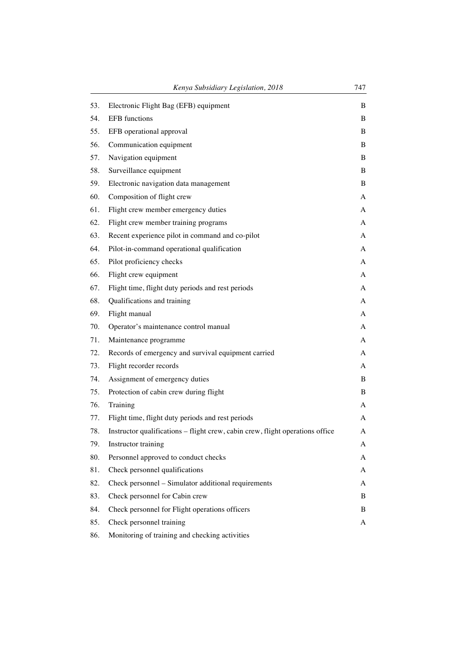|     | Kenya Subsidiary Legislation, 2018                                            | 747 |
|-----|-------------------------------------------------------------------------------|-----|
| 53. | Electronic Flight Bag (EFB) equipment                                         | B   |
| 54. | <b>EFB</b> functions                                                          | B   |
| 55. | EFB operational approval                                                      | B   |
| 56. | Communication equipment                                                       | B   |
| 57. | Navigation equipment                                                          | B   |
| 58. | Surveillance equipment                                                        | B   |
| 59. | Electronic navigation data management                                         | B   |
| 60. | Composition of flight crew                                                    | A   |
| 61. | Flight crew member emergency duties                                           | A   |
| 62. | Flight crew member training programs                                          | A   |
| 63. | Recent experience pilot in command and co-pilot                               | A   |
| 64. | Pilot-in-command operational qualification                                    | A   |
| 65. | Pilot proficiency checks                                                      | A   |
| 66. | Flight crew equipment                                                         | A   |
| 67. | Flight time, flight duty periods and rest periods                             | A   |
| 68. | Qualifications and training                                                   | A   |
| 69. | Flight manual                                                                 | A   |
| 70. | Operator's maintenance control manual                                         | A   |
| 71. | Maintenance programme                                                         | A   |
| 72. | Records of emergency and survival equipment carried                           | A   |
| 73. | Flight recorder records                                                       | A   |
| 74. | Assignment of emergency duties                                                | B   |
| 75. | Protection of cabin crew during flight                                        | B   |
| 76. | Training                                                                      | A   |
| 77. | Flight time, flight duty periods and rest periods                             | A   |
| 78. | Instructor qualifications - flight crew, cabin crew, flight operations office | A   |
| 79. | Instructor training                                                           | A   |
| 80. | Personnel approved to conduct checks                                          | A   |
| 81. | Check personnel qualifications                                                | A   |
| 82. | Check personnel - Simulator additional requirements                           | A   |
| 83. | Check personnel for Cabin crew                                                | B   |
| 84. | Check personnel for Flight operations officers                                | B   |
| 85. | Check personnel training                                                      | A   |
| 86. | Monitoring of training and checking activities                                |     |
|     |                                                                               |     |